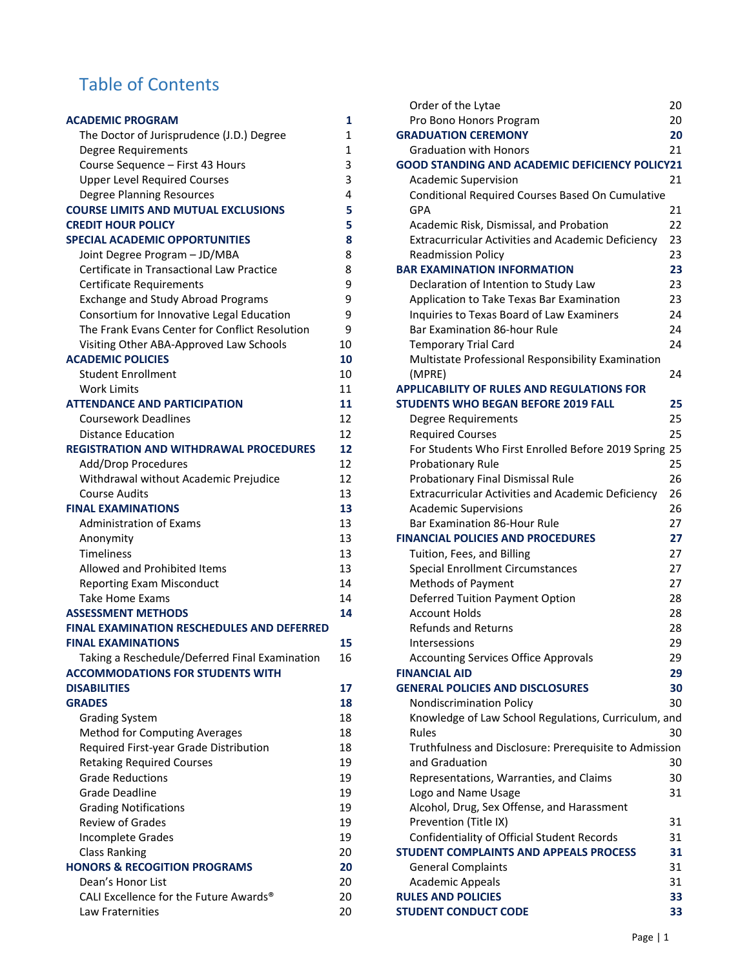# Table of Contents

| <b>ACADEMIC PROGRAM</b>                           | 1            |
|---------------------------------------------------|--------------|
| The Doctor of Jurisprudence (J.D.) Degree         | $\mathbf{1}$ |
| Degree Requirements                               | $\mathbf 1$  |
| Course Sequence - First 43 Hours                  | 3            |
| <b>Upper Level Required Courses</b>               | 3            |
| <b>Degree Planning Resources</b>                  | 4            |
| <b>COURSE LIMITS AND MUTUAL EXCLUSIONS</b>        | 5            |
| <b>CREDIT HOUR POLICY</b>                         | 5            |
| <b>SPECIAL ACADEMIC OPPORTUNITIES</b>             | 8            |
| Joint Degree Program - JD/MBA                     | 8            |
| Certificate in Transactional Law Practice         | 8            |
| <b>Certificate Requirements</b>                   | 9            |
| <b>Exchange and Study Abroad Programs</b>         | 9            |
| Consortium for Innovative Legal Education         | 9            |
| The Frank Evans Center for Conflict Resolution    | 9            |
| Visiting Other ABA-Approved Law Schools           | 10           |
| <b>ACADEMIC POLICIES</b>                          | 10           |
| <b>Student Enrollment</b>                         | 10           |
| <b>Work Limits</b>                                | 11           |
| <b>ATTENDANCE AND PARTICIPATION</b>               | 11           |
| <b>Coursework Deadlines</b>                       | 12           |
| <b>Distance Education</b>                         | 12           |
| <b>REGISTRATION AND WITHDRAWAL PROCEDURES</b>     | 12           |
| Add/Drop Procedures                               | 12           |
| Withdrawal without Academic Prejudice             | 12           |
| Course Audits                                     | 13           |
| <b>FINAL EXAMINATIONS</b>                         | 13           |
| <b>Administration of Exams</b>                    | 13           |
| Anonymity                                         | 13           |
| <b>Timeliness</b>                                 | 13           |
| Allowed and Prohibited Items                      | 13           |
| <b>Reporting Exam Misconduct</b>                  | 14           |
| <b>Take Home Exams</b>                            | 14           |
| <b>ASSESSMENT METHODS</b>                         | 14           |
| <b>FINAL EXAMINATION RESCHEDULES AND DEFERRED</b> |              |
| <b>FINAL EXAMINATIONS</b>                         | 15           |
| Taking a Reschedule/Deferred Final Examination    | 16           |
| <b>ACCOMMODATIONS FOR STUDENTS WITH</b>           |              |
| <b>DISABILITIES</b>                               | 17           |
| <b>GRADES</b>                                     | 18           |
| <b>Grading System</b>                             | 18           |
| <b>Method for Computing Averages</b>              | 18           |
| Required First-year Grade Distribution            | 18           |
| <b>Retaking Required Courses</b>                  | 19           |
| <b>Grade Reductions</b>                           | 19           |
| <b>Grade Deadline</b>                             | 19           |
| <b>Grading Notifications</b>                      | 19           |
| <b>Review of Grades</b>                           | 19           |
| <b>Incomplete Grades</b>                          | 19           |
| <b>Class Ranking</b>                              | 20           |
| <b>HONORS &amp; RECOGITION PROGRAMS</b>           | 20           |
| Dean's Honor List                                 | 20           |
| CALI Excellence for the Future Awards®            | 20           |
| Law Fraternities                                  | 20           |

| Order of the Lytae                                        | 20 |
|-----------------------------------------------------------|----|
| Pro Bono Honors Program                                   | 20 |
| <b>GRADUATION CEREMONY</b>                                | 20 |
| <b>Graduation with Honors</b>                             | 21 |
| <b>GOOD STANDING AND ACADEMIC DEFICIENCY POLICY21</b>     |    |
| <b>Academic Supervision</b>                               | 21 |
| Conditional Required Courses Based On Cumulative          |    |
| GPA                                                       | 21 |
| Academic Risk, Dismissal, and Probation                   | 22 |
| <b>Extracurricular Activities and Academic Deficiency</b> | 23 |
| <b>Readmission Policy</b>                                 | 23 |
| <b>BAR EXAMINATION INFORMATION</b>                        | 23 |
| Declaration of Intention to Study Law                     | 23 |
| Application to Take Texas Bar Examination                 | 23 |
| Inquiries to Texas Board of Law Examiners                 | 24 |
| Bar Examination 86-hour Rule                              | 24 |
| <b>Temporary Trial Card</b>                               | 24 |
| Multistate Professional Responsibility Examination        |    |
| (MPRE)                                                    | 24 |
| <b>APPLICABILITY OF RULES AND REGULATIONS FOR</b>         |    |
| <b>STUDENTS WHO BEGAN BEFORE 2019 FALL</b>                | 25 |
| Degree Requirements                                       | 25 |
| <b>Required Courses</b>                                   | 25 |
| For Students Who First Enrolled Before 2019 Spring 25     |    |
| <b>Probationary Rule</b>                                  | 25 |
| Probationary Final Dismissal Rule                         | 26 |
| <b>Extracurricular Activities and Academic Deficiency</b> | 26 |
| <b>Academic Supervisions</b>                              | 26 |
| <b>Bar Examination 86-Hour Rule</b>                       | 27 |
| <b>FINANCIAL POLICIES AND PROCEDURES</b>                  | 27 |
| Tuition, Fees, and Billing                                | 27 |
| Special Enrollment Circumstances                          | 27 |
| <b>Methods of Payment</b>                                 | 27 |
| Deferred Tuition Payment Option                           | 28 |
| <b>Account Holds</b>                                      | 28 |
| <b>Refunds and Returns</b>                                | 28 |
| Intersessions                                             | 29 |
| <b>Accounting Services Office Approvals</b>               | 29 |
| <b>FINANCIAL AID</b>                                      | 29 |
| <b>GENERAL POLICIES AND DISCLOSURES</b>                   | 30 |
| <b>Nondiscrimination Policy</b>                           | 30 |
| Knowledge of Law School Regulations, Curriculum, and      |    |
| Rules                                                     | 30 |
| Truthfulness and Disclosure: Prerequisite to Admission    |    |
| and Graduation                                            | 30 |
| Representations, Warranties, and Claims                   | 30 |
| Logo and Name Usage                                       | 31 |
| Alcohol, Drug, Sex Offense, and Harassment                |    |
| Prevention (Title IX)                                     | 31 |
| Confidentiality of Official Student Records               | 31 |
| <b>STUDENT COMPLAINTS AND APPEALS PROCESS</b>             | 31 |
| <b>General Complaints</b>                                 | 31 |
| <b>Academic Appeals</b>                                   | 31 |
| <b>RULES AND POLICIES</b>                                 | 33 |
| <b>STUDENT CONDUCT CODE</b>                               | 33 |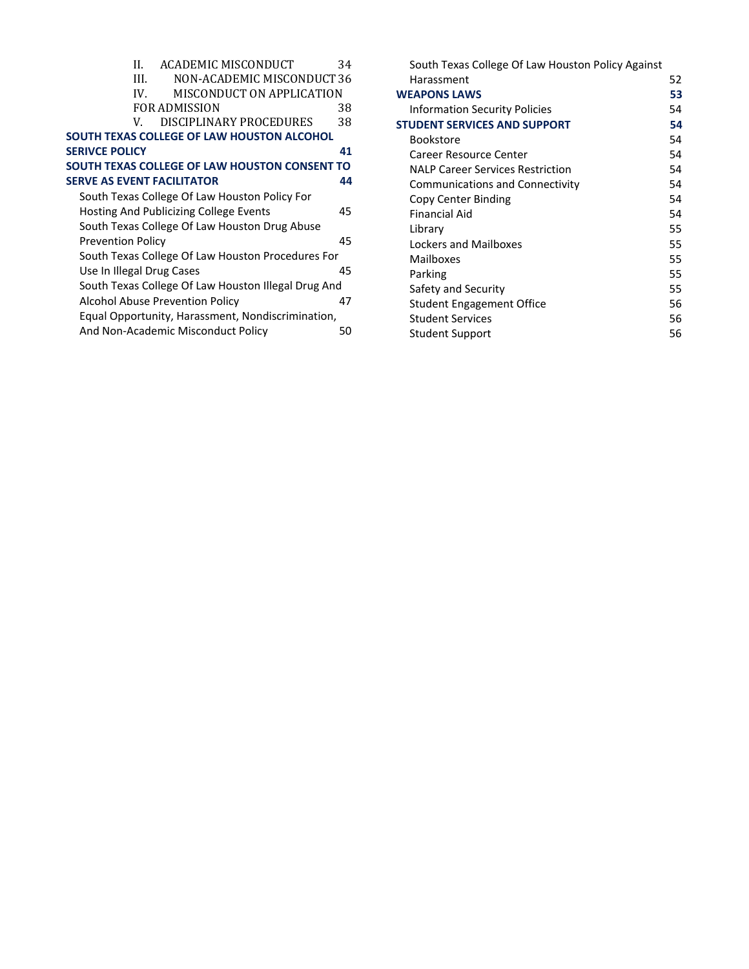| Н.                                | ACADEMIC MISCONDUCT                                 | 34 |
|-----------------------------------|-----------------------------------------------------|----|
| HL.                               | NON-ACADEMIC MISCONDUCT 36                          |    |
| IV.                               | MISCONDUCT ON APPLICATION                           |    |
|                                   | FOR ADMISSION                                       | 38 |
| V                                 | DISCIPLINARY PROCEDURES                             | 38 |
|                                   | SOUTH TEXAS COLLEGE OF LAW HOUSTON ALCOHOL          |    |
| <b>SERIVCE POLICY</b>             |                                                     | 41 |
|                                   | SOUTH TEXAS COLLEGE OF LAW HOUSTON CONSENT TO       |    |
| <b>SERVE AS EVENT FACILITATOR</b> |                                                     | 44 |
|                                   | South Texas College Of Law Houston Policy For       |    |
|                                   | Hosting And Publicizing College Events              | 45 |
|                                   | South Texas College Of Law Houston Drug Abuse       |    |
| <b>Prevention Policy</b>          |                                                     | 45 |
|                                   | South Texas College Of Law Houston Procedures For   |    |
| Use In Illegal Drug Cases         |                                                     | 45 |
|                                   | South Texas College Of Law Houston Illegal Drug And |    |
|                                   | Alcohol Abuse Prevention Policy                     | 47 |
|                                   | Equal Opportunity, Harassment, Nondiscrimination,   |    |
|                                   | And Non-Academic Misconduct Policy                  | 50 |
|                                   |                                                     |    |

| South Texas College Of Law Houston Policy Against |    |
|---------------------------------------------------|----|
| Harassment                                        | 52 |
| <b>WEAPONS LAWS</b>                               | 53 |
| <b>Information Security Policies</b>              | 54 |
| <b>STUDENT SERVICES AND SUPPORT</b>               | 54 |
| Bookstore                                         | 54 |
| Career Resource Center                            | 54 |
| <b>NALP Career Services Restriction</b>           | 54 |
| <b>Communications and Connectivity</b>            | 54 |
| Copy Center Binding                               | 54 |
| Financial Aid                                     | 54 |
| Library                                           | 55 |
| Lockers and Mailboxes                             | 55 |
| Mailboxes                                         | 55 |
| Parking                                           | 55 |
| Safety and Security                               | 55 |
| <b>Student Engagement Office</b>                  | 56 |
| Student Services                                  | 56 |
| <b>Student Support</b>                            | 56 |
|                                                   |    |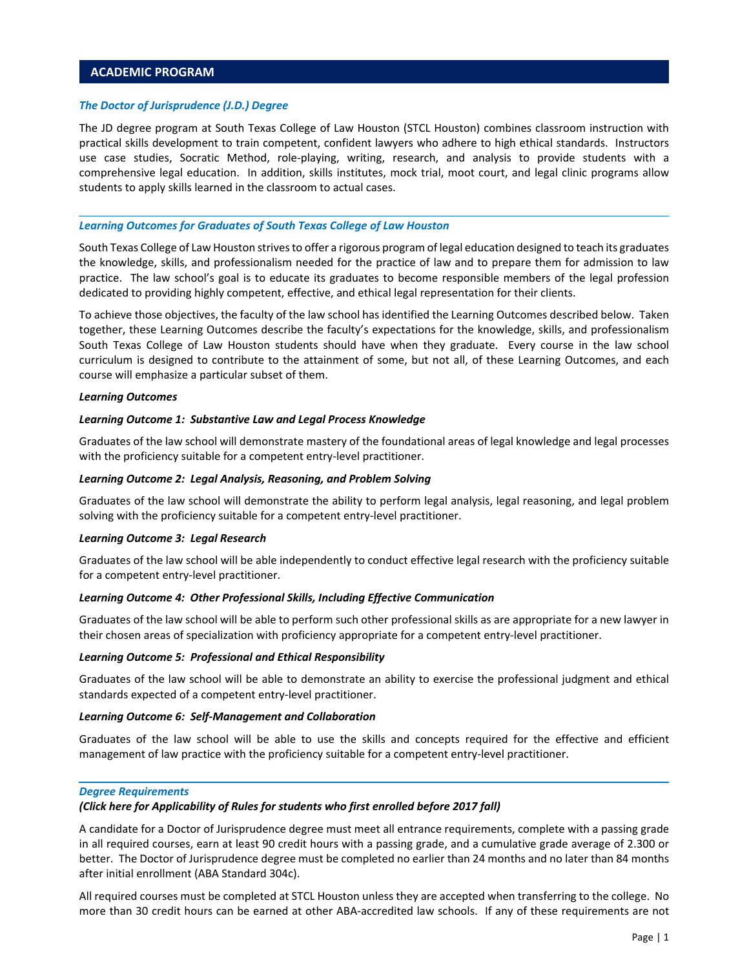# <span id="page-2-0"></span>**ACADEMIC PROGRAM**

#### *The Doctor of Jurisprudence (J.D.) Degree*

The JD degree program at South Texas College of Law Houston (STCL Houston) combines classroom instruction with practical skills development to train competent, confident lawyers who adhere to high ethical standards. Instructors use case studies, Socratic Method, role‐playing, writing, research, and analysis to provide students with a comprehensive legal education. In addition, skills institutes, mock trial, moot court, and legal clinic programs allow students to apply skills learned in the classroom to actual cases.

#### *Learning Outcomes for Graduates of South Texas College of Law Houston*

South Texas College of Law Houston strives to offer a rigorous program of legal education designed to teach its graduates the knowledge, skills, and professionalism needed for the practice of law and to prepare them for admission to law practice. The law school's goal is to educate its graduates to become responsible members of the legal profession dedicated to providing highly competent, effective, and ethical legal representation for their clients.

To achieve those objectives, the faculty of the law school has identified the Learning Outcomes described below. Taken together, these Learning Outcomes describe the faculty's expectations for the knowledge, skills, and professionalism South Texas College of Law Houston students should have when they graduate. Every course in the law school curriculum is designed to contribute to the attainment of some, but not all, of these Learning Outcomes, and each course will emphasize a particular subset of them.

#### *Learning Outcomes*

#### *Learning Outcome 1: Substantive Law and Legal Process Knowledge*

Graduates of the law school will demonstrate mastery of the foundational areas of legal knowledge and legal processes with the proficiency suitable for a competent entry-level practitioner.

### *Learning Outcome 2: Legal Analysis, Reasoning, and Problem Solving*

Graduates of the law school will demonstrate the ability to perform legal analysis, legal reasoning, and legal problem solving with the proficiency suitable for a competent entry-level practitioner.

### *Learning Outcome 3: Legal Research*

Graduates of the law school will be able independently to conduct effective legal research with the proficiency suitable for a competent entry‐level practitioner.

#### *Learning Outcome 4: Other Professional Skills, Including Effective Communication*

Graduates of the law school will be able to perform such other professional skills as are appropriate for a new lawyer in their chosen areas of specialization with proficiency appropriate for a competent entry‐level practitioner.

#### *Learning Outcome 5: Professional and Ethical Responsibility*

Graduates of the law school will be able to demonstrate an ability to exercise the professional judgment and ethical standards expected of a competent entry‐level practitioner.

#### *Learning Outcome 6: Self‐Management and Collaboration*

Graduates of the law school will be able to use the skills and concepts required for the effective and efficient management of law practice with the proficiency suitable for a competent entry‐level practitioner.

#### *Degree Requirements*

#### *(Click here for Applicability of Rules for students who first enrolled before 2017 fall)*

A candidate for a Doctor of Jurisprudence degree must meet all entrance requirements, complete with a passing grade in all required courses, earn at least 90 credit hours with a passing grade, and a cumulative grade average of 2.300 or better. The Doctor of Jurisprudence degree must be completed no earlier than 24 months and no later than 84 months after initial enrollment (ABA Standard 304c).

All required courses must be completed at STCL Houston unless they are accepted when transferring to the college. No more than 30 credit hours can be earned at other ABA‐accredited law schools. If any of these requirements are not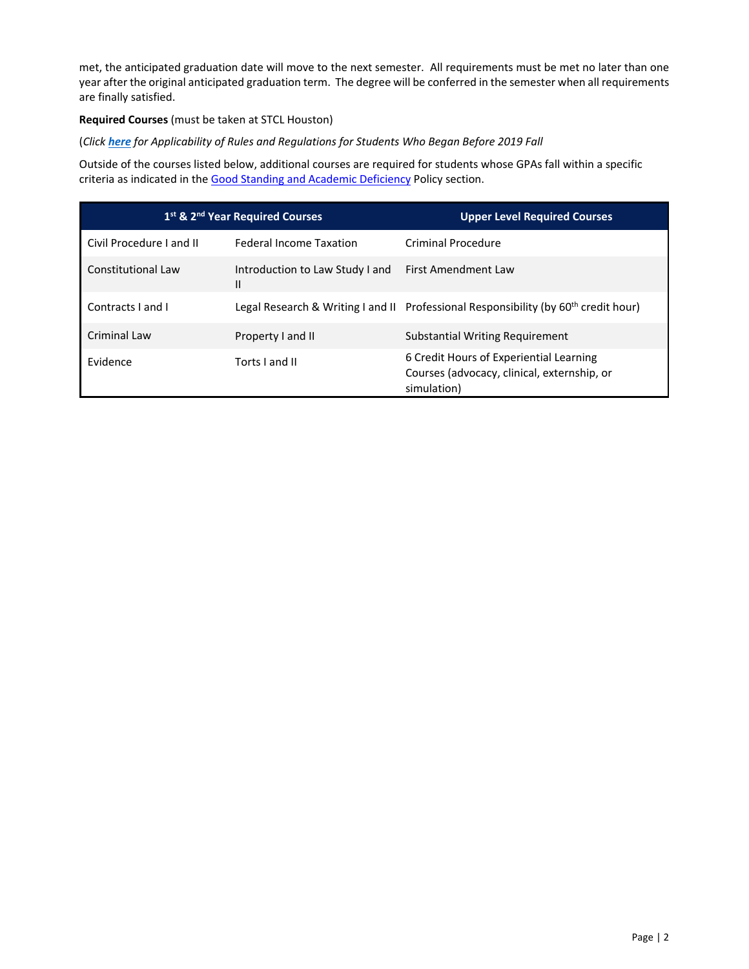<span id="page-3-0"></span>met, the anticipated graduation date will move to the next semester. All requirements must be met no later than one year after the original anticipated graduation term. The degree will be conferred in the semester when all requirements are finally satisfied.

# **Required Courses** (must be taken at STCL Houston)

# (*Click [here](#page-26-0) for Applicability of Rules and Regulations for Students Who Began Before 2019 Fall*

Outside of the courses listed below, additional courses are required for students whose GPAs fall within a specific criteria as indicated in the [Good Standing and Academic Deficiency P](#page-22-0)olicy section.

| 1st & 2nd Year Required Courses |                                       | <b>Upper Level Required Courses</b>                                                                   |
|---------------------------------|---------------------------------------|-------------------------------------------------------------------------------------------------------|
| Civil Procedure Land II         | <b>Federal Income Taxation</b>        | <b>Criminal Procedure</b>                                                                             |
| Constitutional Law              | Introduction to Law Study I and<br>II | <b>First Amendment Law</b>                                                                            |
| Contracts Land I                |                                       | Legal Research & Writing I and II Professional Responsibility (by 60 <sup>th</sup> credit hour)       |
| Criminal Law                    | Property I and II                     | Substantial Writing Requirement                                                                       |
| <b>Fvidence</b>                 | Torts I and II                        | 6 Credit Hours of Experiential Learning<br>Courses (advocacy, clinical, externship, or<br>simulation) |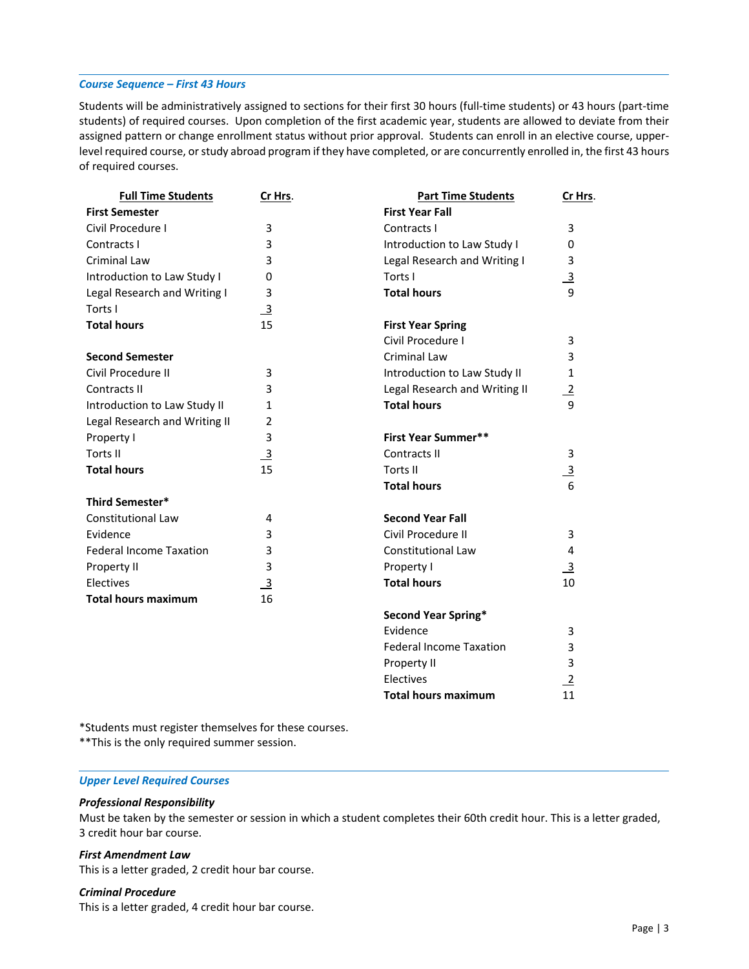### <span id="page-4-0"></span>*Course Sequence – First 43 Hours*

Students will be administratively assigned to sections for their first 30 hours (full‐time students) or 43 hours (part‐time students) of required courses. Upon completion of the first academic year, students are allowed to deviate from their assigned pattern or change enrollment status without prior approval. Students can enroll in an elective course, upper‐ level required course, or study abroad program if they have completed, or are concurrently enrolled in, the first 43 hours of required courses.

| <b>Full Time Students</b>      | Cr Hrs.        | <b>Part Time Students</b>      | Cr Hrs.        |
|--------------------------------|----------------|--------------------------------|----------------|
| <b>First Semester</b>          |                | <b>First Year Fall</b>         |                |
| Civil Procedure I              | 3              | Contracts I                    | 3              |
| Contracts I                    | 3              | Introduction to Law Study I    | 0              |
| Criminal Law                   | 3              | Legal Research and Writing I   | 3              |
| Introduction to Law Study I    | 0              | Torts I                        | $\overline{3}$ |
| Legal Research and Writing I   | 3              | <b>Total hours</b>             | $\mathbf{q}$   |
| Torts I                        | $\overline{3}$ |                                |                |
| <b>Total hours</b>             | 15             | <b>First Year Spring</b>       |                |
|                                |                | Civil Procedure I              | 3              |
| <b>Second Semester</b>         |                | Criminal Law                   | 3              |
| Civil Procedure II             | 3              | Introduction to Law Study II   | 1              |
| Contracts II                   | 3              | Legal Research and Writing II  | $\frac{2}{9}$  |
| Introduction to Law Study II   | $\mathbf{1}$   | <b>Total hours</b>             |                |
| Legal Research and Writing II  | $\overline{2}$ |                                |                |
| Property I                     | 3              | <b>First Year Summer**</b>     |                |
| Torts II                       | $\overline{3}$ | Contracts II                   | 3              |
| <b>Total hours</b>             | 15             | <b>Torts II</b>                | $\overline{3}$ |
|                                |                | <b>Total hours</b>             | 6              |
| <b>Third Semester*</b>         |                |                                |                |
| Constitutional Law             | 4              | <b>Second Year Fall</b>        |                |
| Evidence                       | 3              | Civil Procedure II             | 3              |
| <b>Federal Income Taxation</b> | 3              | <b>Constitutional Law</b>      | 4              |
| Property II                    | 3              | Property I                     | $\overline{3}$ |
| Electives                      | $\overline{3}$ | <b>Total hours</b>             | 10             |
| <b>Total hours maximum</b>     | 16             |                                |                |
|                                |                | <b>Second Year Spring*</b>     |                |
|                                |                | Evidence                       | 3              |
|                                |                | <b>Federal Income Taxation</b> | 3              |
|                                |                | Property II                    | 3              |
|                                |                | Electives                      | $\mathbf 2$    |

\*Students must register themselves for these courses.

\*\*This is the only required summer session.

### *Upper Level Required Courses*

### *Professional Responsibility*

Must be taken by the semester or session in which a student completes their 60th credit hour. This is a letter graded, 3 credit hour bar course.

**Total hours maximum** 

### *First Amendment Law*

This is a letter graded, 2 credit hour bar course.

# *Criminal Procedure*

This is a letter graded, 4 credit hour bar course.

11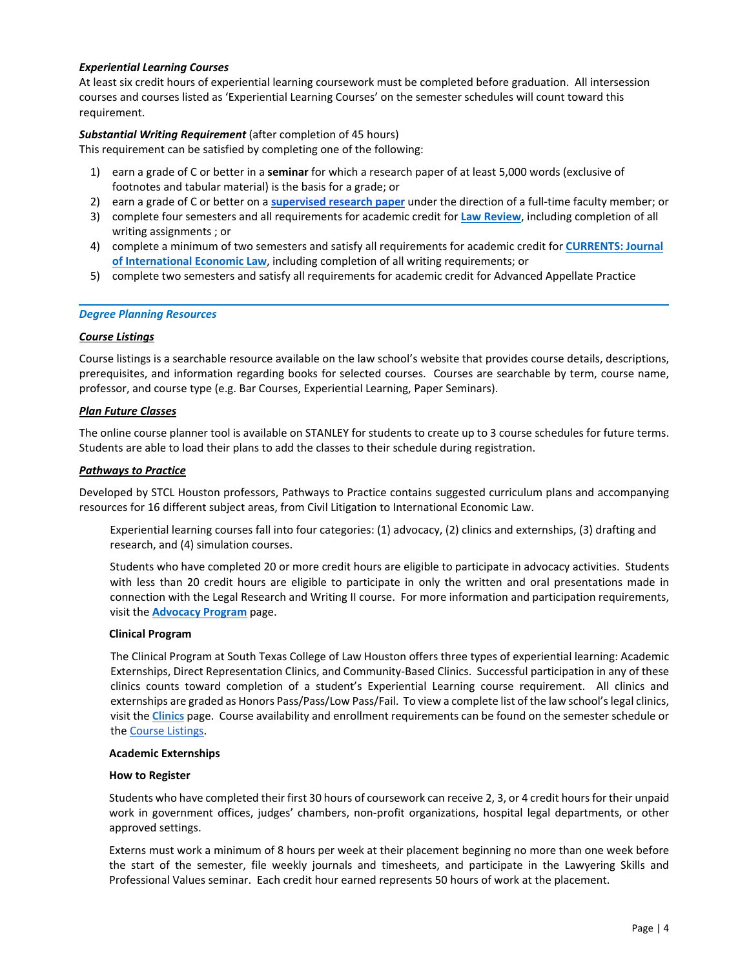# <span id="page-5-0"></span>*Experiential Learning Courses*

At least six credit hours of experiential learning coursework must be completed before graduation. All intersession courses and courses listed as 'Experiential Learning Courses' on the semester schedules will count toward this requirement.

# *Substantial Writing Requirement* (after completion of 45 hours)

This requirement can be satisfied by completing one of the following:

- 1) earn a grade of C or better in a **seminar** for which a research paper of at least 5,000 words (exclusive of footnotes and tabular material) is the basis for a grade; or
- 2) earn a grade of C or better on a **[supervised research paper](https://etcentral.stcl.edu/#/form/1047)** under the direction of a full‐time faculty member; or
- 3) complete four semesters and all requirements for academic credit for **[Law Review](http://www.stcl.edu/academics/law-reviews-journals/south-texas-law-review/)**, including completion of all writing assignments ; or
- 4) complete a minimum of two semesters and satisfy all requirements for academic credit for **[CURRENTS: Journal](http://www.stcl.edu/academics/law-reviews-journals/currents/) [of International Economic Law](http://www.stcl.edu/academics/law-reviews-journals/currents/)**, including completion of all writing requirements; or
- 5) complete two semesters and satisfy all requirements for academic credit for Advanced Appellate Practice

### *Degree Planning Resources*

### *Course Listings*

Course listings is a searchable resource available on the law school's website that provides course details, descriptions, prerequisites, and information regarding books for selected courses. Courses are searchable by term, course name, professor, and course type (e.g. Bar Courses, Experiential Learning, Paper Seminars).

### *Plan Future Classes*

The online course planner tool is available on STANLEY for students to create up to 3 course schedules for future terms. Students are able to load their plans to add the classes to their schedule during registration.

### *Pathways to Practice*

Developed by STCL Houston professors, Pathways to Practice contains suggested curriculum plans and accompanying resources for 16 different subject areas, from Civil Litigation to International Economic Law.

Experiential learning courses fall into four categories: (1) advocacy, (2) clinics and externships, (3) drafting and research, and (4) simulation courses.

Students who have completed 20 or more credit hours are eligible to participate in advocacy activities. Students with less than 20 credit hours are eligible to participate in only the written and oral presentations made in connection with the Legal Research and Writing II course. For more information and participation requirements, visit the **[Advocacy Program](http://www.stcl.edu/academics/advocacy-program/)** page.

### **Clinical Program**

The Clinical Program at South Texas College of Law Houston offers three types of experiential learning: Academic Externships, Direct Representation Clinics, and Community‐Based Clinics. Successful participation in any of these clinics counts toward completion of a student's Experiential Learning course requirement. All clinics and externships are graded as Honors Pass/Pass/Low Pass/Fail. To view a complete list of the law school's legal clinics, visit the **[Clinics](http://www.stcl.edu/academics/legal-clinics/)** page. Course availability and enrollment requirements can be found on the semester schedule or th[e Course Listings](https://banapp03.stcl.edu:8443/StudentRegistrationSsb/ssb/term/termSelection?mode=courseSearch).

### **Academic Externships**

### **How to Register**

Students who have completed their first 30 hours of coursework can receive 2, 3, or 4 credit hours for their unpaid work in government offices, judges' chambers, non-profit organizations, hospital legal departments, or other approved settings.

Externs must work a minimum of 8 hours per week at their placement beginning no more than one week before the start of the semester, file weekly journals and timesheets, and participate in the Lawyering Skills and Professional Values seminar. Each credit hour earned represents 50 hours of work at the placement.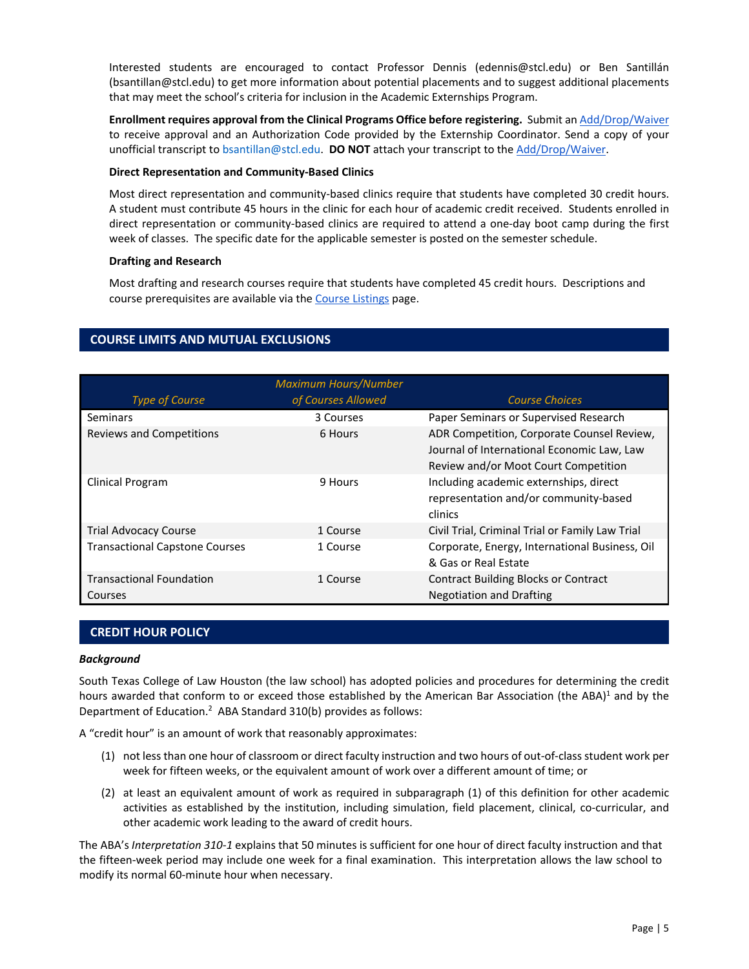<span id="page-6-0"></span>Interested students are encouraged to contact Professor Dennis (edennis@stcl.edu) or Ben Santillán (bsantillan@stcl.edu) to get more information about potential placements and to suggest additional placements that may meet the school's criteria for inclusion in the Academic Externships Program.

**Enrollment requires approval from the Clinical Programs Office before registering.** Submit a[n Add/Drop/Waiver](https://etcentral.stcl.edu/#/form/1047) to receive approval and an Authorization Code provided by the Externship Coordinator. Send a copy of your unofficial transcript to [bsantillan@stcl.edu.](mailto:bsantillan@stcl.edu)  **DO NOT** attach your transcript to th[e Add/Drop/Waiver.](https://etcentral.stcl.edu/#/form/1047)

### **Direct Representation and Community‐Based Clinics**

Most direct representation and community-based clinics require that students have completed 30 credit hours. A student must contribute 45 hours in the clinic for each hour of academic credit received. Students enrolled in direct representation or community‐based clinics are required to attend a one‐day boot camp during the first week of classes. The specific date for the applicable semester is posted on the semester schedule.

### **Drafting and Research**

Most drafting and research courses require that students have completed 45 credit hours. Descriptions and course prerequisites are available via th[e Course Listings p](https://banapp03.stcl.edu:8443/StudentRegistrationSsb/ssb/term/termSelection?mode=courseSearch)age.

# **COURSE LIMITS AND MUTUAL EXCLUSIONS**

|                                            | <b>Maximum Hours/Number</b> |                                                                                                                                  |
|--------------------------------------------|-----------------------------|----------------------------------------------------------------------------------------------------------------------------------|
| <b>Type of Course</b>                      | of Courses Allowed          | <b>Course Choices</b>                                                                                                            |
| Seminars                                   | 3 Courses                   | Paper Seminars or Supervised Research                                                                                            |
| <b>Reviews and Competitions</b>            | 6 Hours                     | ADR Competition, Corporate Counsel Review,<br>Journal of International Economic Law, Law<br>Review and/or Moot Court Competition |
| Clinical Program                           | 9 Hours                     | Including academic externships, direct<br>representation and/or community-based<br>clinics                                       |
| <b>Trial Advocacy Course</b>               | 1 Course                    | Civil Trial, Criminal Trial or Family Law Trial                                                                                  |
| <b>Transactional Capstone Courses</b>      | 1 Course                    | Corporate, Energy, International Business, Oil<br>& Gas or Real Estate                                                           |
| <b>Transactional Foundation</b><br>Courses | 1 Course                    | <b>Contract Building Blocks or Contract</b><br><b>Negotiation and Drafting</b>                                                   |

# **CREDIT HOUR POLICY**

### *Background*

South Texas College of Law Houston (the law school) has adopted policies and procedures for determining the credit hours awarded that conform to or exceed those established by the American Bar Association (the ABA)<sup>1</sup> and by the Department of Education.<sup>2</sup> ABA Standard 310(b) provides as follows:

A "credit hour" is an amount of work that reasonably approximates:

- (1) not less than one hour of classroom or direct faculty instruction and two hours of out‐of‐class student work per week for fifteen weeks, or the equivalent amount of work over a different amount of time; or
- (2) at least an equivalent amount of work as required in subparagraph (1) of this definition for other academic activities as established by the institution, including simulation, field placement, clinical, co-curricular, and other academic work leading to the award of credit hours.

The ABA's *Interpretation 310‐1* explains that 50 minutes is sufficient for one hour of direct faculty instruction and that the fifteen-week period may include one week for a final examination. This interpretation allows the law school to modify its normal 60‐minute hour when necessary.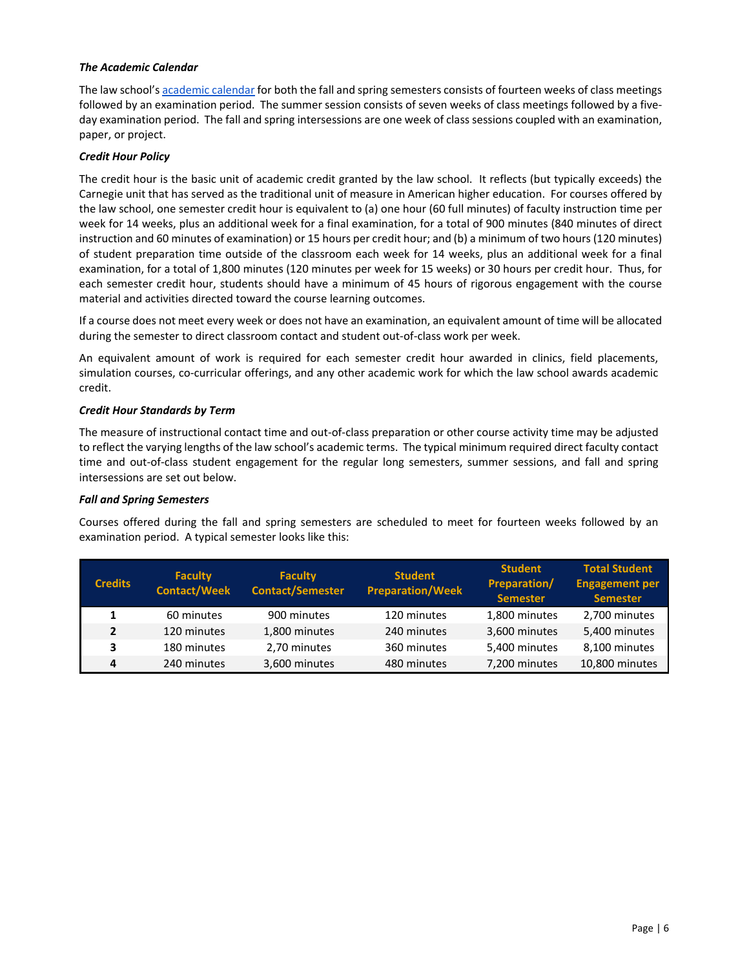# *The Academic Calendar*

The law school'[s academic calendar](https://www.stcl.edu/student-services/registrar-2/) for both the fall and spring semesters consists of fourteen weeks of class meetings followed by an examination period. The summer session consists of seven weeks of class meetings followed by a fiveday examination period. The fall and spring intersessions are one week of class sessions coupled with an examination, paper, or project.

# *Credit Hour Policy*

The credit hour is the basic unit of academic credit granted by the law school. It reflects (but typically exceeds) the Carnegie unit that has served as the traditional unit of measure in American higher education. For courses offered by the law school, one semester credit hour is equivalent to (a) one hour (60 full minutes) of faculty instruction time per week for 14 weeks, plus an additional week for a final examination, for a total of 900 minutes (840 minutes of direct instruction and 60 minutes of examination) or 15 hours per credit hour; and (b) a minimum of two hours (120 minutes) of student preparation time outside of the classroom each week for 14 weeks, plus an additional week for a final examination, for a total of 1,800 minutes (120 minutes per week for 15 weeks) or 30 hours per credit hour. Thus, for each semester credit hour, students should have a minimum of 45 hours of rigorous engagement with the course material and activities directed toward the course learning outcomes.

If a course does not meet every week or does not have an examination, an equivalent amount of time will be allocated during the semester to direct classroom contact and student out‐of‐class work per week.

An equivalent amount of work is required for each semester credit hour awarded in clinics, field placements, simulation courses, co-curricular offerings, and any other academic work for which the law school awards academic credit.

# *Credit Hour Standards by Term*

The measure of instructional contact time and out‐of‐class preparation or other course activity time may be adjusted to reflect the varying lengths of the law school's academic terms. The typical minimum required direct faculty contact time and out-of-class student engagement for the regular long semesters, summer sessions, and fall and spring intersessions are set out below.

# *Fall and Spring Semesters*

Courses offered during the fall and spring semesters are scheduled to meet for fourteen weeks followed by an examination period. A typical semester looks like this:

| <b>Credits</b> | <b>Faculty</b><br><b>Contact/Week</b> | <b>Faculty</b><br><b>Contact/Semester</b> | <b>Student</b><br><b>Preparation/Week</b> | <b>Student</b><br>Preparation/<br><b>Semester</b> | <b>Total Student</b><br><b>Engagement per</b><br><b>Semester</b> |
|----------------|---------------------------------------|-------------------------------------------|-------------------------------------------|---------------------------------------------------|------------------------------------------------------------------|
|                | 60 minutes                            | 900 minutes                               | 120 minutes                               | 1,800 minutes                                     | 2,700 minutes                                                    |
| 2              | 120 minutes                           | 1,800 minutes                             | 240 minutes                               | 3,600 minutes                                     | 5,400 minutes                                                    |
| 3              | 180 minutes                           | 2,70 minutes                              | 360 minutes                               | 5,400 minutes                                     | 8,100 minutes                                                    |
| 4              | 240 minutes                           | 3,600 minutes                             | 480 minutes                               | 7,200 minutes                                     | 10,800 minutes                                                   |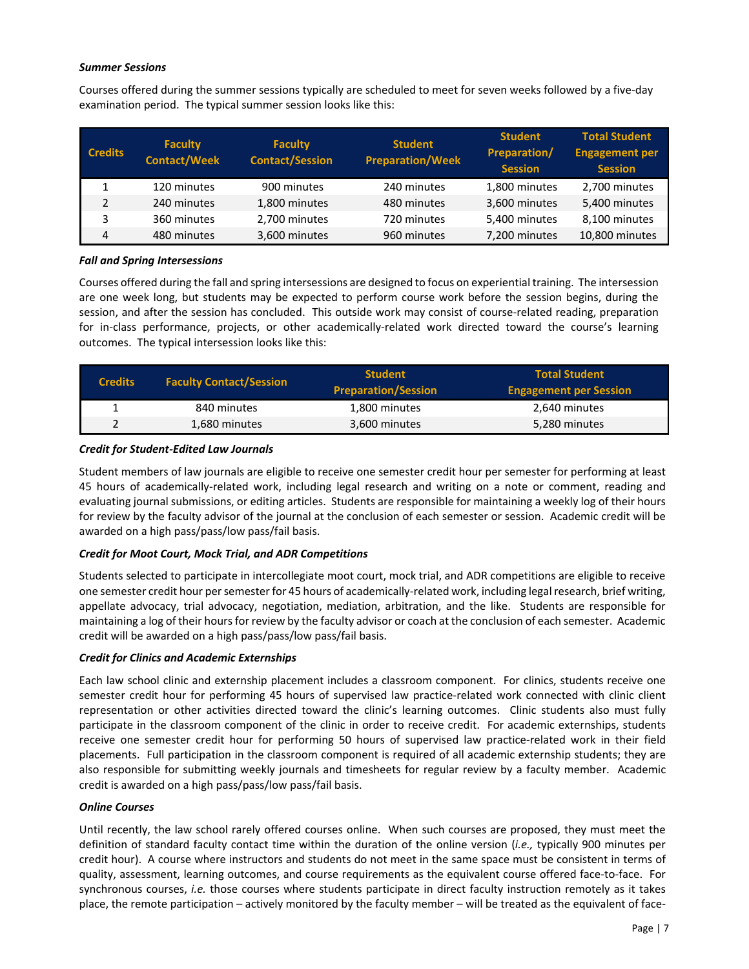# *Summer Sessions*

Courses offered during the summer sessions typically are scheduled to meet for seven weeks followed by a five‐day examination period. The typical summer session looks like this:

| <b>Credits</b> | <b>Faculty</b><br><b>Contact/Week</b> | <b>Faculty</b><br><b>Contact/Session</b> | <b>Student</b><br><b>Preparation/Week</b> | <b>Student</b><br><b>Preparation/</b><br><b>Session</b> | <b>Total Student</b><br><b>Engagement per</b><br><b>Session</b> |
|----------------|---------------------------------------|------------------------------------------|-------------------------------------------|---------------------------------------------------------|-----------------------------------------------------------------|
|                | 120 minutes                           | 900 minutes                              | 240 minutes                               | 1,800 minutes                                           | 2,700 minutes                                                   |
| 2              | 240 minutes                           | 1,800 minutes                            | 480 minutes                               | 3,600 minutes                                           | 5,400 minutes                                                   |
| 3              | 360 minutes                           | 2,700 minutes                            | 720 minutes                               | 5,400 minutes                                           | 8,100 minutes                                                   |
| $\overline{4}$ | 480 minutes                           | 3,600 minutes                            | 960 minutes                               | 7,200 minutes                                           | 10,800 minutes                                                  |

### *Fall and Spring Intersessions*

Courses offered during the fall and spring intersessions are designed to focus on experiential training. The intersession are one week long, but students may be expected to perform course work before the session begins, during the session, and after the session has concluded. This outside work may consist of course-related reading, preparation for in-class performance, projects, or other academically-related work directed toward the course's learning outcomes. The typical intersession looks like this:

| <b>Credits</b> | <b>Faculty Contact/Session</b> | <b>Student</b><br><b>Preparation/Session</b> | <b>Total Student</b><br><b>Engagement per Session</b> |
|----------------|--------------------------------|----------------------------------------------|-------------------------------------------------------|
|                | 840 minutes                    | 1,800 minutes                                | 2,640 minutes                                         |
| $\overline{2}$ | 1,680 minutes                  | 3,600 minutes                                | 5,280 minutes                                         |

### *Credit for Student‐Edited Law Journals*

Student members of law journals are eligible to receive one semester credit hour per semester for performing at least 45 hours of academically-related work, including legal research and writing on a note or comment, reading and evaluating journal submissions, or editing articles. Students are responsible for maintaining a weekly log of their hours for review by the faculty advisor of the journal at the conclusion of each semester or session. Academic credit will be awarded on a high pass/pass/low pass/fail basis.

# *Credit for Moot Court, Mock Trial, and ADR Competitions*

Students selected to participate in intercollegiate moot court, mock trial, and ADR competitions are eligible to receive one semester credit hour per semester for 45 hours of academically‐related work, including legal research, brief writing, appellate advocacy, trial advocacy, negotiation, mediation, arbitration, and the like. Students are responsible for maintaining a log of their hours for review by the faculty advisor or coach at the conclusion of each semester. Academic credit will be awarded on a high pass/pass/low pass/fail basis.

# *Credit for Clinics and Academic Externships*

Each law school clinic and externship placement includes a classroom component. For clinics, students receive one semester credit hour for performing 45 hours of supervised law practice-related work connected with clinic client representation or other activities directed toward the clinic's learning outcomes. Clinic students also must fully participate in the classroom component of the clinic in order to receive credit. For academic externships, students receive one semester credit hour for performing 50 hours of supervised law practice-related work in their field placements. Full participation in the classroom component is required of all academic externship students; they are also responsible for submitting weekly journals and timesheets for regular review by a faculty member. Academic credit is awarded on a high pass/pass/low pass/fail basis.

### *Online Courses*

Until recently, the law school rarely offered courses online. When such courses are proposed, they must meet the definition of standard faculty contact time within the duration of the online version (*i.e.,* typically 900 minutes per credit hour). A course where instructors and students do not meet in the same space must be consistent in terms of quality, assessment, learning outcomes, and course requirements as the equivalent course offered face‐to‐face. For synchronous courses, *i.e.* those courses where students participate in direct faculty instruction remotely as it takes place, the remote participation – actively monitored by the faculty member – will be treated as the equivalent of face‐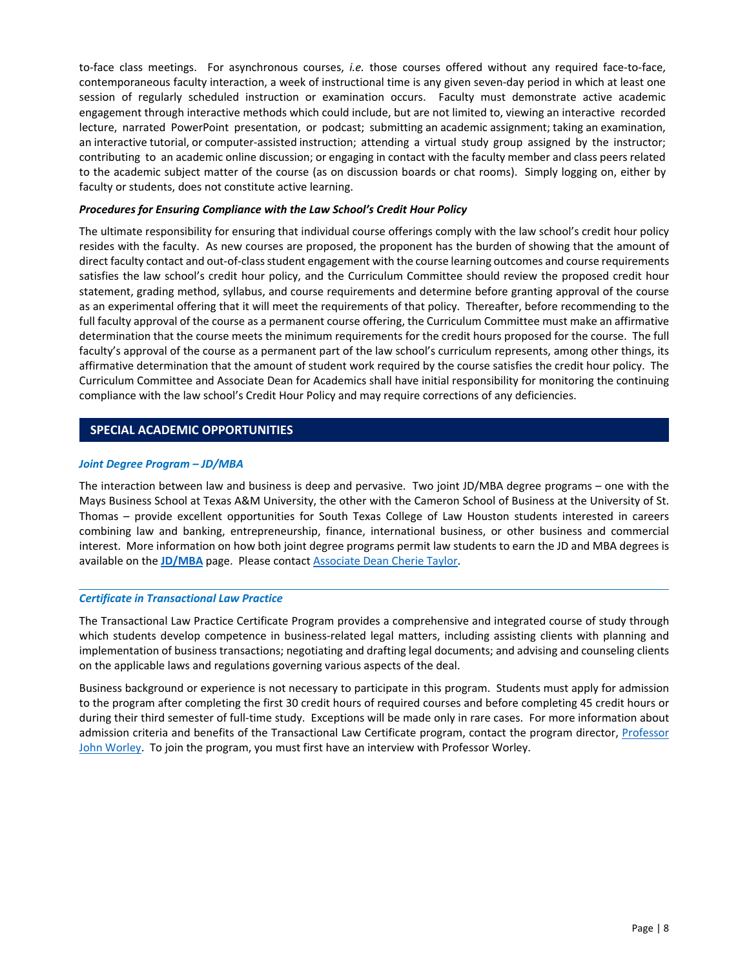<span id="page-9-0"></span>to-face class meetings. For asynchronous courses, *i.e.* those courses offered without any required face-to-face, contemporaneous faculty interaction, a week of instructional time is any given seven-day period in which at least one session of regularly scheduled instruction or examination occurs. Faculty must demonstrate active academic engagement through interactive methods which could include, but are not limited to, viewing an interactive recorded lecture, narrated PowerPoint presentation, or podcast; submitting an academic assignment; taking an examination, an interactive tutorial, or computer-assisted instruction; attending a virtual study group assigned by the instructor; contributing to an academic online discussion; or engaging in contact with the faculty member and class peers related to the academic subject matter of the course (as on discussion boards or chat rooms). Simply logging on, either by faculty or students, does not constitute active learning.

### *Procedures for Ensuring Compliance with the Law School's Credit Hour Policy*

The ultimate responsibility for ensuring that individual course offerings comply with the law school's credit hour policy resides with the faculty. As new courses are proposed, the proponent has the burden of showing that the amount of direct faculty contact and out‐of‐class student engagement with the course learning outcomes and course requirements satisfies the law school's credit hour policy, and the Curriculum Committee should review the proposed credit hour statement, grading method, syllabus, and course requirements and determine before granting approval of the course as an experimental offering that it will meet the requirements of that policy. Thereafter, before recommending to the full faculty approval of the course as a permanent course offering, the Curriculum Committee must make an affirmative determination that the course meets the minimum requirements for the credit hours proposed for the course. The full faculty's approval of the course as a permanent part of the law school's curriculum represents, among other things, its affirmative determination that the amount of student work required by the course satisfies the credit hour policy. The Curriculum Committee and Associate Dean for Academics shall have initial responsibility for monitoring the continuing compliance with the law school's Credit Hour Policy and may require corrections of any deficiencies.

# **SPECIAL ACADEMIC OPPORTUNITIES**

### *Joint Degree Program – JD/MBA*

The interaction between law and business is deep and pervasive. Two joint JD/MBA degree programs – one with the Mays Business School at Texas A&M University, the other with the Cameron School of Business at the University of St. Thomas – provide excellent opportunities for South Texas College of Law Houston students interested in careers combining law and banking, entrepreneurship, finance, international business, or other business and commercial interest. More information on how both joint degree programs permit law students to earn the JD and MBA degrees is available on the **[JD/MBA](http://www.stcl.edu/admissions-aid/admissions/info-for/jd-mba-applicants/)** page. Please contact [Associate Dean Cherie Taylor.](mailto:ctaylor@stcl.edu) 

### *Certificate in Transactional Law Practice*

The Transactional Law Practice Certificate Program provides a comprehensive and integrated course of study through which students develop competence in business-related legal matters, including assisting clients with planning and implementation of business transactions; negotiating and drafting legal documents; and advising and counseling clients on the applicable laws and regulations governing various aspects of the deal.

Business background or experience is not necessary to participate in this program. Students must apply for admission to the program after completing the first 30 credit hours of required courses and before completing 45 credit hours or during their third semester of full‐time study. Exceptions will be made only in rare cases. For more information about admission criteria and benefits of the Transactional Law Certificate program, contact the program director, Professor [John Worley.](mailto:jworley@stcl.edu) To join the program, you must first have an interview with Professor Worley.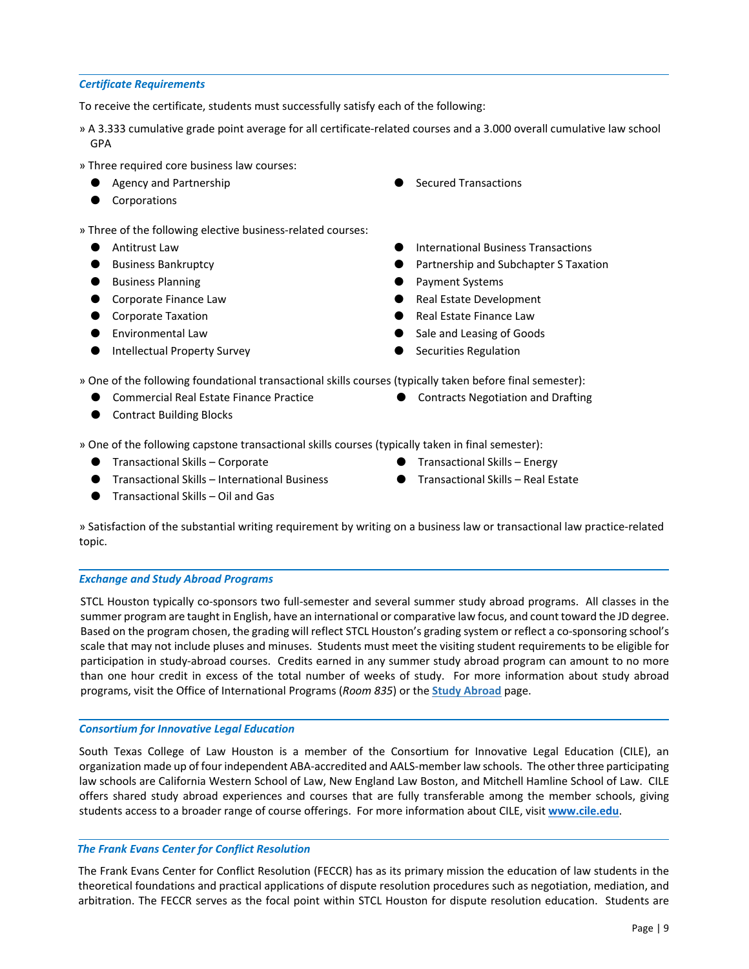# <span id="page-10-0"></span>*Certificate Requirements*

To receive the certificate, students must successfully satisfy each of the following:

- » A 3.333 cumulative grade point average for all certificate‐related courses and a 3.000 overall cumulative law school GPA
- » Three required core business law courses:
	- Agency and Partnership
	- Corporations
- » Three of the following elective business‐related courses:
	- Antitrust Law
	- Business Bankruptcy
	- Business Planning
	- Corporate Finance Law
	- Corporate Taxation
	- Environmental Law
	- Intellectual Property Survey

● Contract Building Blocks

- **Secured Transactions**
- International Business Transactions
- Partnership and Subchapter S Taxation
- Payment Systems
- Real Estate Development
- Real Estate Finance Law
- Sale and Leasing of Goods
- **Securities Regulation**

» One of the following foundational transactional skills courses (typically taken before final semester):

- Commercial Real Estate Finance Practice
- Contracts Negotiation and Drafting
- 

» One of the following capstone transactional skills courses (typically taken in final semester):

- Transactional Skills Corporate 
→ Transactional Skills Energy
- Transactional Skills International Business
- Transactional Skills Oil and Gas
- 
- Transactional Skills Real Estate

» Satisfaction of the substantial writing requirement by writing on a business law or transactional law practice‐related topic.

# *Exchange and Study Abroad Programs*

STCL Houston typically co-sponsors two full-semester and several summer study abroad programs. All classes in the summer program are taught in English, have an international or comparative law focus, and count toward the JD degree. Based on the program chosen, the grading will reflect STCL Houston's grading system or reflect a co-sponsoring school's scale that may not include pluses and minuses. Students must meet the visiting student requirements to be eligible for participation in study‐abroad courses. Credits earned in any summer study abroad program can amount to no more than one hour credit in excess of the total number of weeks of study. For more information about study abroad programs, visit the Office of International Programs (*Room 835*) or the **[Study Abroad](http://www.stcl.edu/academics/foreign-programs/)** page.

# *Consortium for Innovative Legal Education*

South Texas College of Law Houston is a member of the Consortium for Innovative Legal Education (CILE), an organization made up of four independent ABA‐accredited and AALS‐member law schools. The other three participating law schools are California Western School of Law, New England Law Boston, and Mitchell Hamline School of Law. CILE offers shared study abroad experiences and courses that are fully transferable among the member schools, giving students access to a broader range of course offerings. For more information about CILE, visit **<www.cile.edu>**.

# *The Frank Evans Center for Conflict Resolution*

The Frank Evans Center for Conflict Resolution (FECCR) has as its primary mission the education of law students in the theoretical foundations and practical applications of dispute resolution procedures such as negotiation, mediation, and arbitration. The FECCR serves as the focal point within STCL Houston for dispute resolution education. Students are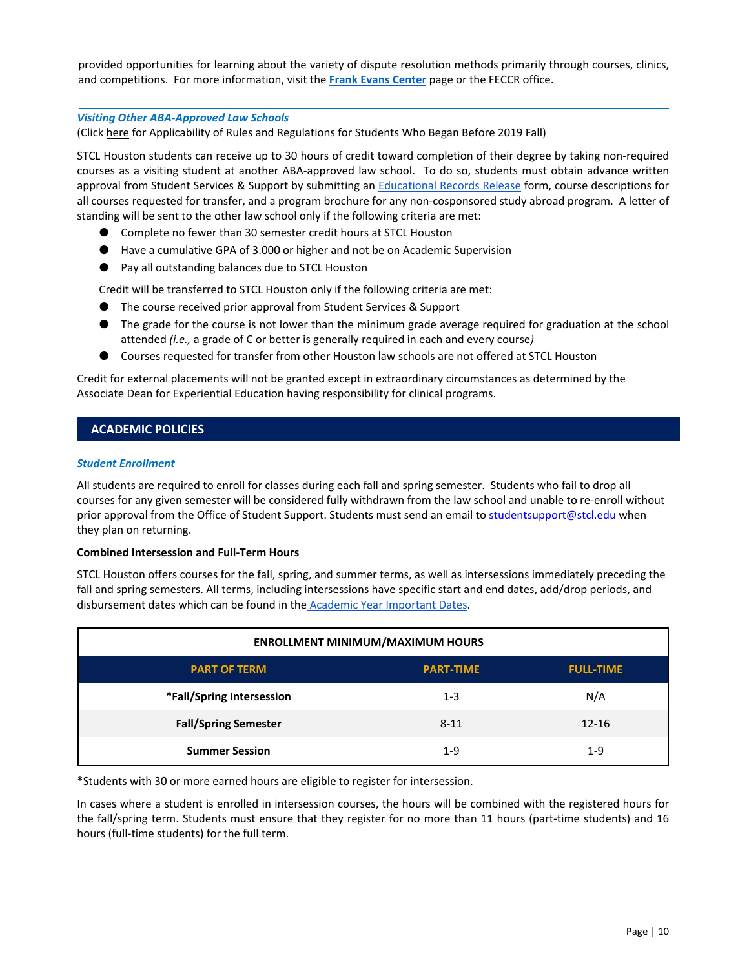<span id="page-11-0"></span>provided opportunities for learning about the variety of dispute resolution methods primarily through courses, clinics, and competitions. For more information, visit the **[Frank Evans Center](http://www.stcl.edu/academics/center-for-conflict-resolution/)** page or the FECCR office.

### *Visiting Other ABA‐Approved Law Schools*

(Click here for Applicability of Rules and Regulations for Students Who Began Before 2019 Fall)

STCL Houston students can receive up to 30 hours of credit toward completion of their degree by taking non‐required courses as a visiting student at another ABA-approved law school. To do so, students must obtain advance written approval from Student Services & Support by submitting an [Educational Records Release](https://etcentral.stcl.edu/#/form/16) form, course descriptions for all courses requested for transfer, and a program brochure for any non‐cosponsored study abroad program. A letter of standing will be sent to the other law school only if the following criteria are met:

- Complete no fewer than 30 semester credit hours at STCL Houston
- Have a cumulative GPA of 3.000 or higher and not be on Academic Supervision
- Pay all outstanding balances due to STCL Houston

Credit will be transferred to STCL Houston only if the following criteria are met:

- The course received prior approval from Student Services & Support
- The grade for the course is not lower than the minimum grade average required for graduation at the school attended *(i.e.,* a grade of C or better is generally required in each and every course*)*
- Courses requested for transfer from other Houston law schools are not offered at STCL Houston

Credit for external placements will not be granted except in extraordinary circumstances as determined by the Associate Dean for Experiential Education having responsibility for clinical programs.

# **ACADEMIC POLICIES**

### *Student Enrollment*

All students are required to enroll for classes during each fall and spring semester. Students who fail to drop all courses for any given semester will be considered fully withdrawn from the law school and unable to re‐enroll without prior approval from the Office of Student Support. Students must send an email t[o studentsupport@stcl.edu w](mailto:studentsupport@stcl.edu)hen they plan on returning.

### **Combined Intersession and Full‐Term Hours**

STCL Houston offers courses for the fall, spring, and summer terms, as well as intersessions immediately preceding the fall and spring semesters. All terms, including intersessions have specific start and end dates, add/drop periods, and disbursement dates which can be found in the **Academic Year Important Dates**.

| <b>ENROLLMENT MINIMUM/MAXIMUM HOURS</b>                     |          |           |  |  |  |
|-------------------------------------------------------------|----------|-----------|--|--|--|
| <b>PART OF TERM</b><br><b>PART-TIME</b><br><b>FULL-TIME</b> |          |           |  |  |  |
| *Fall/Spring Intersession                                   | $1 - 3$  | N/A       |  |  |  |
| <b>Fall/Spring Semester</b>                                 | $8 - 11$ | $12 - 16$ |  |  |  |
| <b>Summer Session</b>                                       | $1 - 9$  | $1 - 9$   |  |  |  |

\*Students with 30 or more earned hours are eligible to register for intersession.

In cases where a student is enrolled in intersession courses, the hours will be combined with the registered hours for the fall/spring term. Students must ensure that they register for no more than 11 hours (part-time students) and 16 hours (full-time students) for the full term.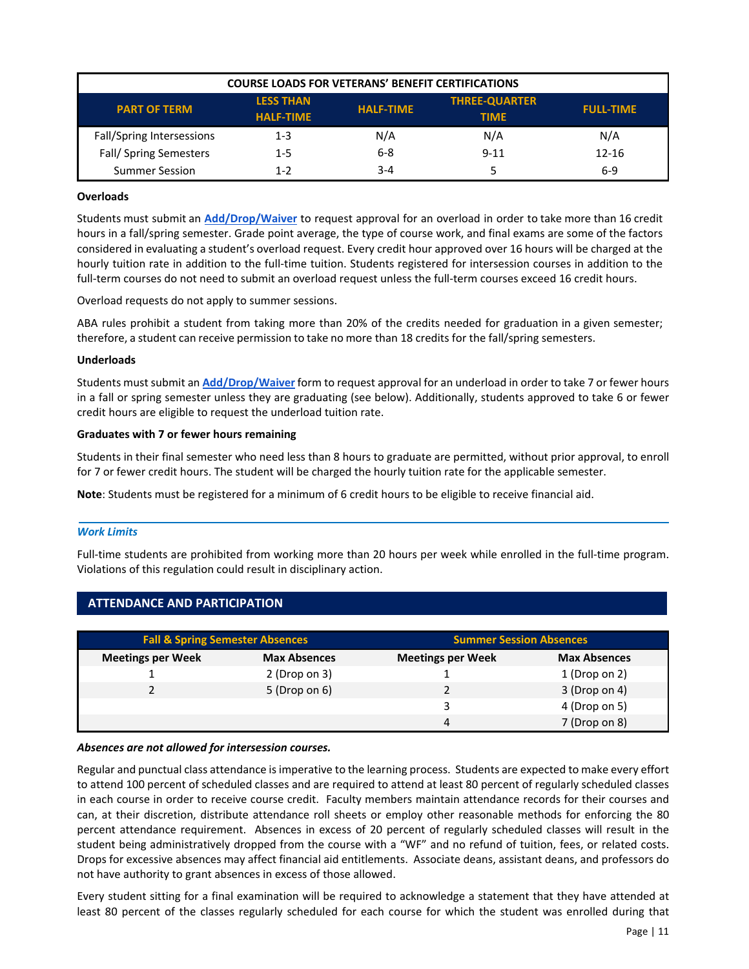<span id="page-12-0"></span>

| <b>COURSE LOADS FOR VETERANS' BENEFIT CERTIFICATIONS</b>                                                                                   |         |         |          |           |  |
|--------------------------------------------------------------------------------------------------------------------------------------------|---------|---------|----------|-----------|--|
| <b>THREE-QUARTER</b><br><b>LESS THAN</b><br><b>HALF-TIME</b><br><b>PART OF TERM</b><br><b>FULL-TIME</b><br><b>HALF-TIME</b><br><b>TIME</b> |         |         |          |           |  |
| Fall/Spring Intersessions                                                                                                                  | $1 - 3$ | N/A     | N/A      | N/A       |  |
| Fall/Spring Semesters                                                                                                                      | $1 - 5$ | 6-8     | $9 - 11$ | $12 - 16$ |  |
| <b>Summer Session</b>                                                                                                                      | $1 - 2$ | $3 - 4$ |          | 6-9       |  |

### **Overloads**

Students must submit an **[Add/Drop/Waiver](https://etcentral.stcl.edu/#/form/1047)** to request approval for an overload in order to take more than 16 credit hours in a fall/spring semester. Grade point average, the type of course work, and final exams are some of the factors considered in evaluating a student's overload request. Every credit hour approved over 16 hours will be charged at the hourly tuition rate in addition to the full-time tuition. Students registered for intersession courses in addition to the full-term courses do not need to submit an overload request unless the full-term courses exceed 16 credit hours.

Overload requests do not apply to summer sessions.

ABA rules prohibit a student from taking more than 20% of the credits needed for graduation in a given semester; therefore, a student can receive permission to take no more than 18 credits for the fall/spring semesters.

### **Underloads**

Students must submit an **[Add/Drop/Waiver](https://etcentral.stcl.edu/#/form/1047)** form to request approval for an underload in order to take 7 or fewer hours in a fall or spring semester unless they are graduating (see below). Additionally, students approved to take 6 or fewer credit hours are eligible to request the underload tuition rate.

### **Graduates with 7 or fewer hours remaining**

**ATTENDANCE AND PARTICIPATION** 

Students in their final semester who need less than 8 hours to graduate are permitted, without prior approval, to enroll for 7 or fewer credit hours. The student will be charged the hourly tuition rate for the applicable semester.

**Note**: Students must be registered for a minimum of 6 credit hours to be eligible to receive financial aid.

# *Work Limits*

Full-time students are prohibited from working more than 20 hours per week while enrolled in the full-time program. Violations of this regulation could result in disciplinary action.

| <b>Fall &amp; Spring Semester Absences</b> |                     | <b>Summer Session Absences</b> |                     |
|--------------------------------------------|---------------------|--------------------------------|---------------------|
| <b>Meetings per Week</b>                   | <b>Max Absences</b> | <b>Meetings per Week</b>       | <b>Max Absences</b> |
|                                            | 2 (Drop on 3)       |                                | 1 (Drop on 2)       |
|                                            | 5 (Drop on 6)       |                                | 3 (Drop on 4)       |
|                                            |                     | 3                              | 4 (Drop on 5)       |
|                                            |                     | 4                              | 7 (Drop on 8)       |

### *Absences are not allowed for intersession courses.*

Regular and punctual class attendance is imperative to the learning process. Students are expected to make every effort to attend 100 percent of scheduled classes and are required to attend at least 80 percent of regularly scheduled classes in each course in order to receive course credit. Faculty members maintain attendance records for their courses and can, at their discretion, distribute attendance roll sheets or employ other reasonable methods for enforcing the 80 percent attendance requirement. Absences in excess of 20 percent of regularly scheduled classes will result in the student being administratively dropped from the course with a "WF" and no refund of tuition, fees, or related costs. Drops for excessive absences may affect financial aid entitlements. Associate deans, assistant deans, and professors do not have authority to grant absences in excess of those allowed.

Every student sitting for a final examination will be required to acknowledge a statement that they have attended at least 80 percent of the classes regularly scheduled for each course for which the student was enrolled during that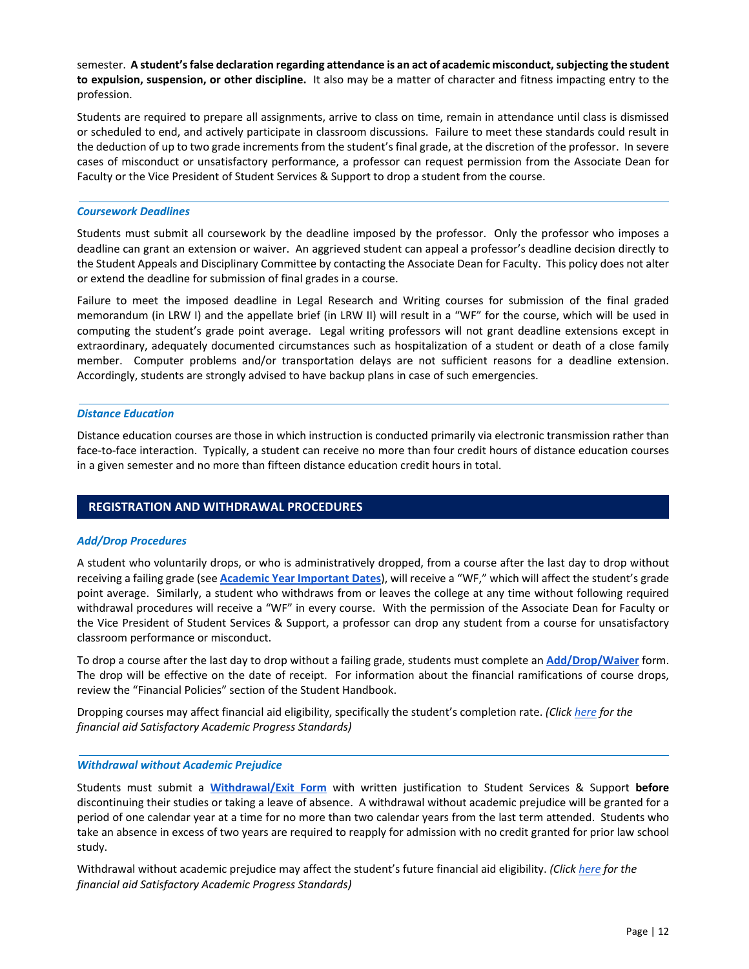<span id="page-13-0"></span>semester. **A student's false declaration regarding attendance is an act of academic misconduct, subjecting the student to expulsion, suspension, or other discipline.** It also may be a matter of character and fitness impacting entry to the profession.

Students are required to prepare all assignments, arrive to class on time, remain in attendance until class is dismissed or scheduled to end, and actively participate in classroom discussions. Failure to meet these standards could result in the deduction of up to two grade increments from the student's final grade, at the discretion of the professor. In severe cases of misconduct or unsatisfactory performance, a professor can request permission from the Associate Dean for Faculty or the Vice President of Student Services & Support to drop a student from the course.

### *Coursework Deadlines*

Students must submit all coursework by the deadline imposed by the professor. Only the professor who imposes a deadline can grant an extension or waiver. An aggrieved student can appeal a professor's deadline decision directly to the Student Appeals and Disciplinary Committee by contacting the Associate Dean for Faculty. This policy does not alter or extend the deadline for submission of final grades in a course.

Failure to meet the imposed deadline in Legal Research and Writing courses for submission of the final graded memorandum (in LRW I) and the appellate brief (in LRW II) will result in a "WF" for the course, which will be used in computing the student's grade point average. Legal writing professors will not grant deadline extensions except in extraordinary, adequately documented circumstances such as hospitalization of a student or death of a close family member. Computer problems and/or transportation delays are not sufficient reasons for a deadline extension. Accordingly, students are strongly advised to have backup plans in case of such emergencies.

#### *Distance Education*

Distance education courses are those in which instruction is conducted primarily via electronic transmission rather than face-to-face interaction. Typically, a student can receive no more than four credit hours of distance education courses in a given semester and no more than fifteen distance education credit hours in total.

# **REGISTRATION AND WITHDRAWAL PROCEDURES**

### *Add/Drop Procedures*

A student who voluntarily drops, or who is administratively dropped, from a course after the last day to drop without receiving a failing grade (see **[Academic Year Important Dates](https://www.stcl.edu/wp-content/uploads/2022/01/2021-2022-Important-Dates-102621-1.pdf)**), will receive a "WF," which will affect the student's grade point average. Similarly, a student who withdraws from or leaves the college at any time without following required withdrawal procedures will receive a "WF" in every course. With the permission of the Associate Dean for Faculty or the Vice President of Student Services & Support, a professor can drop any student from a course for unsatisfactory classroom performance or misconduct.

To drop a course after the last day to drop without a failing grade, students must complete an **[Add/Drop/Waiver](https://etcentral.stcl.edu/#/form/1047)** form. The drop will be effective on the date of receipt. For information about the financial ramifications of course drops, review the "Financial Policies" section of the Student Handbook.

Dropping courses may affect financial aid eligibility, specifically the student's completion rate. *(Clic[k here](https://www.stcl.edu/wp-content/uploads/2018/01/SAP-Policy-Revised-012518.pdf) for the financial aid Satisfactory Academic Progress Standards)*

#### *Withdrawal without Academic Prejudice*

Students must submit a **[Withdrawal/Exit Form](https://etcentral.stcl.edu/#/form/17)** with written justification to Student Services & Support **before** discontinuing their studies or taking a leave of absence. A withdrawal without academic prejudice will be granted for a period of one calendar year at a time for no more than two calendar years from the last term attended. Students who take an absence in excess of two years are required to reapply for admission with no credit granted for prior law school study.

Withdrawal without academic prejudice may affect the student's future financial aid eligibility. *(Clic[k here](https://www.stcl.edu/wp-content/uploads/2018/01/SAP-Policy-Revised-012518.pdf) for the financial aid Satisfactory Academic Progress Standards)*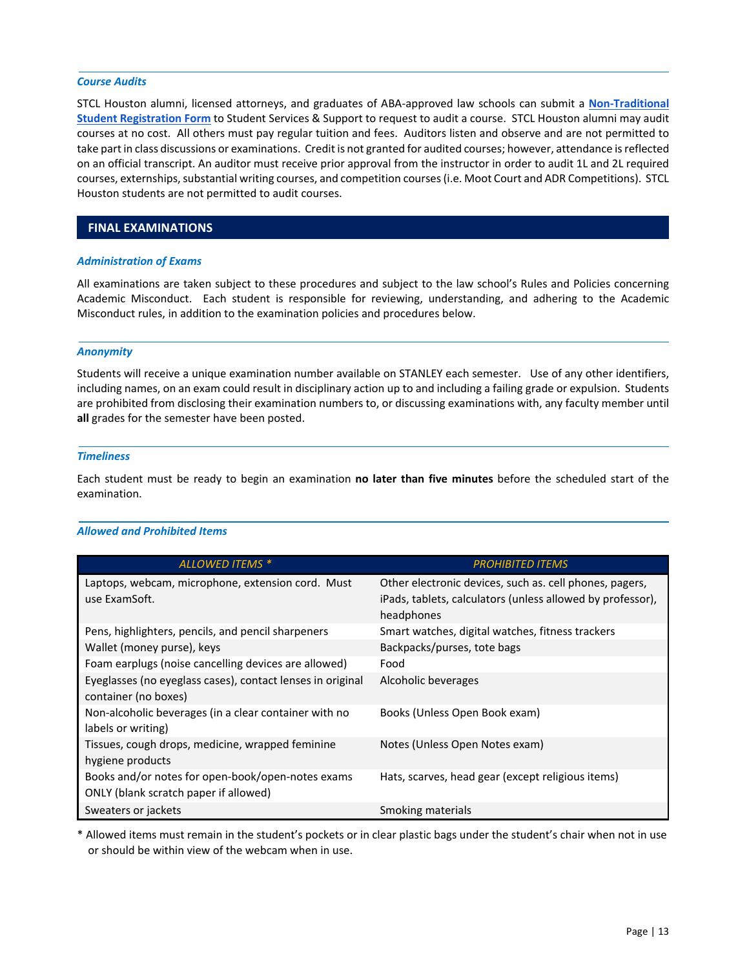#### <span id="page-14-0"></span>*Course Audits*

STCL Houston alumni, licensed attorneys, and graduates of ABA‐approved law schools can submit a **[Non‐Traditional](https://etcentral.stcl.edu/#/form/20)  [Student Registration Form](https://etcentral.stcl.edu/#/form/20)** to Student Services & Support to request to audit a course. STCL Houston alumni may audit courses at no cost. All others must pay regular tuition and fees. Auditors listen and observe and are not permitted to take part in class discussions or examinations. Credit is not granted for audited courses; however, attendance is reflected on an official transcript. An auditor must receive prior approval from the instructor in order to audit 1L and 2L required courses, externships, substantial writing courses, and competition courses (i.e. Moot Court and ADR Competitions). STCL Houston students are not permitted to audit courses.

# **FINAL EXAMINATIONS**

#### *Administration of Exams*

All examinations are taken subject to these procedures and subject to the law school's Rules and Policies concerning Academic Misconduct. Each student is responsible for reviewing, understanding, and adhering to the Academic Misconduct rules, in addition to the examination policies and procedures below.

#### *Anonymity*

Students will receive a unique examination number available on STANLEY each semester. Use of any other identifiers, including names, on an exam could result in disciplinary action up to and including a failing grade or expulsion. Students are prohibited from disclosing their examination numbers to, or discussing examinations with, any faculty member until **all** grades for the semester have been posted.

#### *Timeliness*

Each student must be ready to begin an examination **no later than five minutes** before the scheduled start of the examination.

# *Allowed and Prohibited Items*

| <b>ALLOWED ITEMS *</b>                                                                     | <b>PROHIBITED ITEMS</b>                                                                                                             |
|--------------------------------------------------------------------------------------------|-------------------------------------------------------------------------------------------------------------------------------------|
| Laptops, webcam, microphone, extension cord. Must<br>use ExamSoft.                         | Other electronic devices, such as. cell phones, pagers,<br>iPads, tablets, calculators (unless allowed by professor),<br>headphones |
| Pens, highlighters, pencils, and pencil sharpeners                                         | Smart watches, digital watches, fitness trackers                                                                                    |
| Wallet (money purse), keys                                                                 | Backpacks/purses, tote bags                                                                                                         |
| Foam earplugs (noise cancelling devices are allowed)                                       | Food                                                                                                                                |
| Eyeglasses (no eyeglass cases), contact lenses in original<br>container (no boxes)         | Alcoholic beverages                                                                                                                 |
| Non-alcoholic beverages (in a clear container with no<br>labels or writing)                | Books (Unless Open Book exam)                                                                                                       |
| Tissues, cough drops, medicine, wrapped feminine<br>hygiene products                       | Notes (Unless Open Notes exam)                                                                                                      |
| Books and/or notes for open-book/open-notes exams<br>ONLY (blank scratch paper if allowed) | Hats, scarves, head gear (except religious items)                                                                                   |
| Sweaters or jackets                                                                        | Smoking materials                                                                                                                   |

\* Allowed items must remain in the student's pockets or in clear plastic bags under the student's chair when not in use or should be within view of the webcam when in use.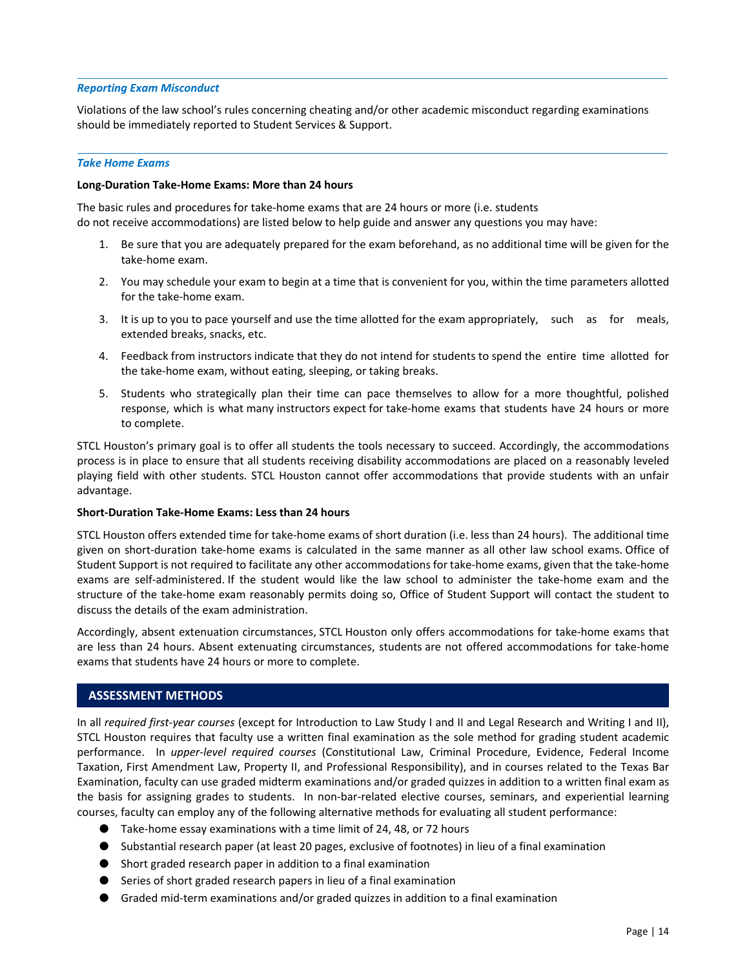### <span id="page-15-0"></span>*Reporting Exam Misconduct*

Violations of the law school's rules concerning cheating and/or other academic misconduct regarding examinations should be immediately reported to Student Services & Support.

#### *Take Home Exams*

### **Long‐Duration Take‐Home Exams: More than 24 hours**

The basic rules and procedures for take‐home exams that are 24 hours or more (i.e. students do not receive accommodations) are listed below to help guide and answer any questions you may have:

- 1. Be sure that you are adequately prepared for the exam beforehand, as no additional time will be given for the take‐home exam.
- 2. You may schedule your exam to begin at a time that is convenient for you, within the time parameters allotted for the take‐home exam.
- 3. It is up to you to pace yourself and use the time allotted for the exam appropriately, such as for meals, extended breaks, snacks, etc.
- 4. Feedback from instructors indicate that they do not intend for students to spend the entire time allotted for the take‐home exam, without eating, sleeping, or taking breaks.
- 5. Students who strategically plan their time can pace themselves to allow for a more thoughtful, polished response, which is what many instructors expect for take‐home exams that students have 24 hours or more to complete.

STCL Houston's primary goal is to offer all students the tools necessary to succeed. Accordingly, the accommodations process is in place to ensure that all students receiving disability accommodations are placed on a reasonably leveled playing field with other students. STCL Houston cannot offer accommodations that provide students with an unfair advantage.

### **Short‐Duration Take‐Home Exams: Less than 24 hours**

STCL Houston offers extended time for take‐home exams of short duration (i.e. less than 24 hours). The additional time given on short-duration take-home exams is calculated in the same manner as all other law school exams. Office of Student Support is not required to facilitate any other accommodations for take‐home exams, given that the take‐home exams are self-administered. If the student would like the law school to administer the take-home exam and the structure of the take‐home exam reasonably permits doing so, Office of Student Support will contact the student to discuss the details of the exam administration.

Accordingly, absent extenuation circumstances, STCL Houston only offers accommodations for take‐home exams that are less than 24 hours. Absent extenuating circumstances, students are not offered accommodations for take-home exams that students have 24 hours or more to complete.

# **ASSESSMENT METHODS**

In all *required first‐year courses* (except for Introduction to Law Study I and II and Legal Research and Writing I and II), STCL Houston requires that faculty use a written final examination as the sole method for grading student academic performance. In *upper‐level required courses* (Constitutional Law, Criminal Procedure, Evidence, Federal Income Taxation, First Amendment Law, Property II, and Professional Responsibility), and in courses related to the Texas Bar Examination, faculty can use graded midterm examinations and/or graded quizzes in addition to a written final exam as the basis for assigning grades to students. In non‐bar‐related elective courses, seminars, and experiential learning courses, faculty can employ any of the following alternative methods for evaluating all student performance:

- Take-home essay examinations with a time limit of 24, 48, or 72 hours
- Substantial research paper (at least 20 pages, exclusive of footnotes) in lieu of a final examination
- Short graded research paper in addition to a final examination
- Series of short graded research papers in lieu of a final examination
- Graded mid-term examinations and/or graded quizzes in addition to a final examination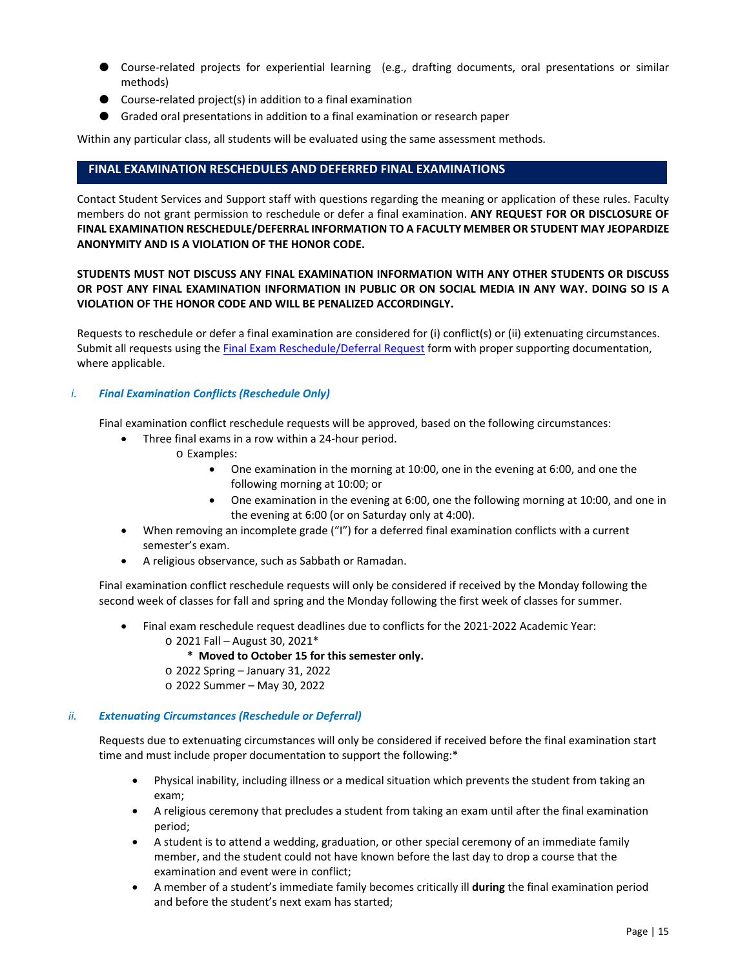- <span id="page-16-0"></span>● Course-related projects for experiential learning (e.g., drafting documents, oral presentations or similar methods)
- Course-related project(s) in addition to a final examination
- Graded oral presentations in addition to a final examination or research paper

Within any particular class, all students will be evaluated using the same assessment methods.

# **FINAL EXAMINATION RESCHEDULES AND DEFERRED FINAL EXAMINATIONS**

Contact Student Services and Support staff with questions regarding the meaning or application of these rules. Faculty members do not grant permission to reschedule or defer a final examination. **ANY REQUEST FOR OR DISCLOSURE OF FINAL EXAMINATION RESCHEDULE/DEFERRAL INFORMATION TO A FACULTY MEMBER OR STUDENT MAY JEOPARDIZE ANONYMITY AND IS A VIOLATION OF THE HONOR CODE.** 

# **STUDENTS MUST NOT DISCUSS ANY FINAL EXAMINATION INFORMATION WITH ANY OTHER STUDENTS OR DISCUSS OR POST ANY FINAL EXAMINATION INFORMATION IN PUBLIC OR ON SOCIAL MEDIA IN ANY WAY. DOING SO IS A VIOLATION OF THE HONOR CODE AND WILL BE PENALIZED ACCORDINGLY.**

Requests to reschedule or defer a final examination are considered for (i) conflict(s) or (ii) extenuating circumstances. Submit all requests using th[e Final Exam Reschedule/Deferral Request f](https://etcentral.stcl.edu/#/form/13)orm with proper supporting documentation, where applicable.

# *i. Final Examination Conflicts (Reschedule Only)*

Final examination conflict reschedule requests will be approved, based on the following circumstances:

- Three final exams in a row within a 24‐hour period.
	- o Examples:
		- One examination in the morning at 10:00, one in the evening at 6:00, and one the following morning at 10:00; or
		- One examination in the evening at 6:00, one the following morning at 10:00, and one in the evening at 6:00 (or on Saturday only at 4:00).
- When removing an incomplete grade ("I") for a deferred final examination conflicts with a current semester's exam.
- A religious observance, such as Sabbath or Ramadan.

Final examination conflict reschedule requests will only be considered if received by the Monday following the second week of classes for fall and spring and the Monday following the first week of classes for summer.

- Final exam reschedule request deadlines due to conflicts for the 2021‐2022 Academic Year: o 2021 Fall – August 30, 2021\*
	- **\* Moved to October 15 for this semester only.**
	- o 2022 Spring January 31, 2022
	- o 2022 Summer May 30, 2022

# *ii. Extenuating Circumstances (Reschedule or Deferral)*

Requests due to extenuating circumstances will only be considered if received before the final examination start time and must include proper documentation to support the following:\*

- Physical inability, including illness or a medical situation which prevents the student from taking an exam;
- A religious ceremony that precludes a student from taking an exam until after the final examination period;
- A student is to attend a wedding, graduation, or other special ceremony of an immediate family member, and the student could not have known before the last day to drop a course that the examination and event were in conflict;
- A member of a student's immediate family becomes critically ill **during** the final examination period and before the student's next exam has started;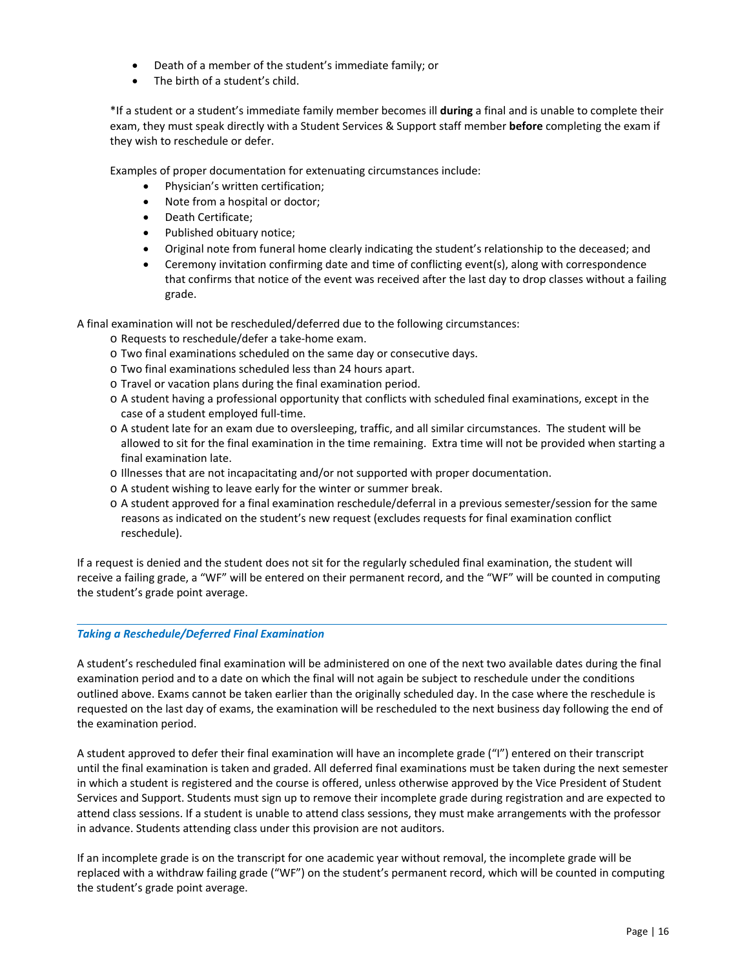- <span id="page-17-0"></span>Death of a member of the student's immediate family; or
- The birth of a student's child.

\*If a student or a student's immediate family member becomes ill **during** a final and is unable to complete their exam, they must speak directly with a Student Services & Support staff member **before** completing the exam if they wish to reschedule or defer.

Examples of proper documentation for extenuating circumstances include:

- Physician's written certification;
- Note from a hospital or doctor;
- Death Certificate;
- Published obituary notice;
- Original note from funeral home clearly indicating the student's relationship to the deceased; and
- Ceremony invitation confirming date and time of conflicting event(s), along with correspondence that confirms that notice of the event was received after the last day to drop classes without a failing grade.

A final examination will not be rescheduled/deferred due to the following circumstances:

- o Requests to reschedule/defer a take‐home exam.
- o Two final examinations scheduled on the same day or consecutive days.
- o Two final examinations scheduled less than 24 hours apart.
- o Travel or vacation plans during the final examination period.
- o A student having a professional opportunity that conflicts with scheduled final examinations, except in the case of a student employed full‐time.
- o A student late for an exam due to oversleeping, traffic, and all similar circumstances. The student will be allowed to sit for the final examination in the time remaining. Extra time will not be provided when starting a final examination late.
- o Illnesses that are not incapacitating and/or not supported with proper documentation.
- o A student wishing to leave early for the winter or summer break.
- o A student approved for a final examination reschedule/deferral in a previous semester/session for the same reasons as indicated on the student's new request (excludes requests for final examination conflict reschedule).

If a request is denied and the student does not sit for the regularly scheduled final examination, the student will receive a failing grade, a "WF" will be entered on their permanent record, and the "WF" will be counted in computing the student's grade point average.

# *Taking a Reschedule/Deferred Final Examination*

A student's rescheduled final examination will be administered on one of the next two available dates during the final examination period and to a date on which the final will not again be subject to reschedule under the conditions outlined above. Exams cannot be taken earlier than the originally scheduled day. In the case where the reschedule is requested on the last day of exams, the examination will be rescheduled to the next business day following the end of the examination period.

A student approved to defer their final examination will have an incomplete grade ("I") entered on their transcript until the final examination is taken and graded. All deferred final examinations must be taken during the next semester in which a student is registered and the course is offered, unless otherwise approved by the Vice President of Student Services and Support. Students must sign up to remove their incomplete grade during registration and are expected to attend class sessions. If a student is unable to attend class sessions, they must make arrangements with the professor in advance. Students attending class under this provision are not auditors.

If an incomplete grade is on the transcript for one academic year without removal, the incomplete grade will be replaced with a withdraw failing grade ("WF") on the student's permanent record, which will be counted in computing the student's grade point average.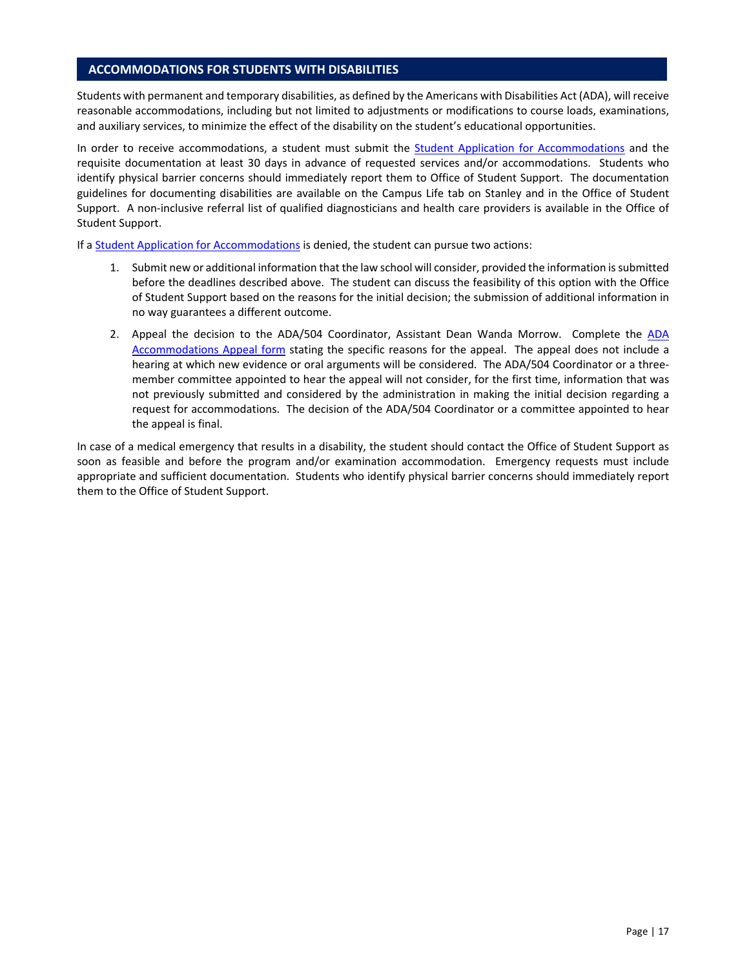### <span id="page-18-0"></span>**ACCOMMODATIONS FOR STUDENTS WITH DISABILITIES**

Students with permanent and temporary disabilities, as defined by the Americans with Disabilities Act (ADA), will receive reasonable accommodations, including but not limited to adjustments or modifications to course loads, examinations, and auxiliary services, to minimize the effect of the disability on the student's educational opportunities.

In order to receive accommodations, a student must submit the Student Application for Accommodations and the requisite documentation at least 30 days in advance of requested services and/or accommodations. Students who identify physical barrier concerns should immediately report them to Office of Student Support. The documentation guidelines for documenting disabilities are available on the Campus Life tab on Stanley and in the Office of Student Support. A non-inclusive referral list of qualified diagnosticians and health care providers is available in the Office of Student Support.

If a **Student Application for Accommodations** is denied, the student can pursue two actions:

- 1. Submit new or additional information that the law school will consider, provided the information is submitted before the deadlines described above. The student can discuss the feasibility of this option with the Office of Student Support based on the reasons for the initial decision; the submission of additional information in no way guarantees a different outcome.
- 2. Appeal the decision to the ADA/504 Coordinator, Assistant Dean Wanda Morrow. Complete the ADA Accommodations Appeal form stating the specific reasons for the appeal. The appeal does not include a hearing at which new evidence or oral arguments will be considered. The ADA/504 Coordinator or a three‐ member committee appointed to hear the appeal will not consider, for the first time, information that was not previously submitted and considered by the administration in making the initial decision regarding a request for accommodations. The decision of the ADA/504 Coordinator or a committee appointed to hear the appeal is final.

In case of a medical emergency that results in a disability, the student should contact the Office of Student Support as soon as feasible and before the program and/or examination accommodation. Emergency requests must include appropriate and sufficient documentation. Students who identify physical barrier concerns should immediately report them to the Office of Student Support.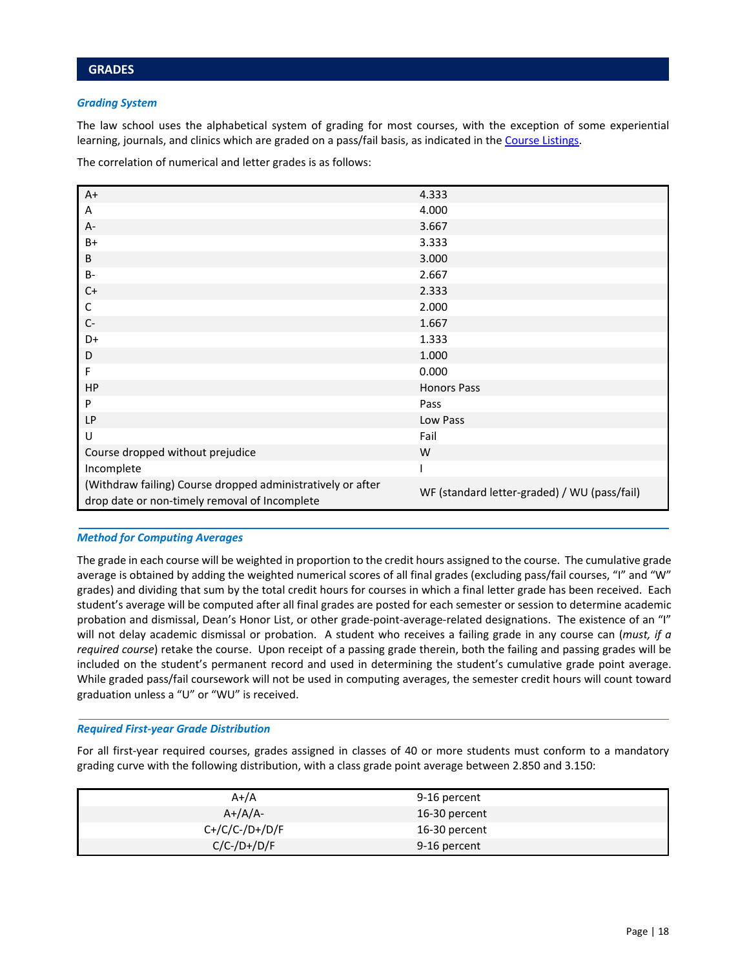### <span id="page-19-0"></span>*Grading System*

The law school uses the alphabetical system of grading for most courses, with the exception of some experiential learning, journals, and clinics which are graded on a pass/fail basis, as indicated in the Course Listings.

The correlation of numerical and letter grades is as follows:

| $A+$                                                        | 4.333                                        |  |
|-------------------------------------------------------------|----------------------------------------------|--|
| Α                                                           | 4.000                                        |  |
| A-                                                          | 3.667                                        |  |
| B+                                                          | 3.333                                        |  |
| B                                                           | 3.000                                        |  |
| <b>B-</b>                                                   | 2.667                                        |  |
| $C+$                                                        | 2.333                                        |  |
| С                                                           | 2.000                                        |  |
| $C-$                                                        | 1.667                                        |  |
| D+                                                          | 1.333                                        |  |
| D                                                           | 1.000                                        |  |
| F                                                           | 0.000                                        |  |
| HP                                                          | <b>Honors Pass</b>                           |  |
| P                                                           | Pass                                         |  |
| LP                                                          | Low Pass                                     |  |
| U                                                           | Fail                                         |  |
| Course dropped without prejudice                            | W                                            |  |
| Incomplete                                                  |                                              |  |
| (Withdraw failing) Course dropped administratively or after |                                              |  |
| drop date or non-timely removal of Incomplete               | WF (standard letter-graded) / WU (pass/fail) |  |

### *Method for Computing Averages*

The grade in each course will be weighted in proportion to the credit hours assigned to the course. The cumulative grade average is obtained by adding the weighted numerical scores of all final grades (excluding pass/fail courses, "I" and "W" grades) and dividing that sum by the total credit hours for courses in which a final letter grade has been received. Each student's average will be computed after all final grades are posted for each semester or session to determine academic probation and dismissal, Dean's Honor List, or other grade‐point‐average‐related designations. The existence of an "I" will not delay academic dismissal or probation. A student who receives a failing grade in any course can (*must, if a required course*) retake the course. Upon receipt of a passing grade therein, both the failing and passing grades will be included on the student's permanent record and used in determining the student's cumulative grade point average. While graded pass/fail coursework will not be used in computing averages, the semester credit hours will count toward graduation unless a "U" or "WU" is received.

### *Required First‐year Grade Distribution*

For all first-year required courses, grades assigned in classes of 40 or more students must conform to a mandatory grading curve with the following distribution, with a class grade point average between 2.850 and 3.150:

| $A+/A$           | 9-16 percent  |  |
|------------------|---------------|--|
| $A+}/A/A-$       | 16-30 percent |  |
| $C+/C/C-/D+/D/F$ | 16-30 percent |  |
| $C/C$ -/D+/D/F   | 9-16 percent  |  |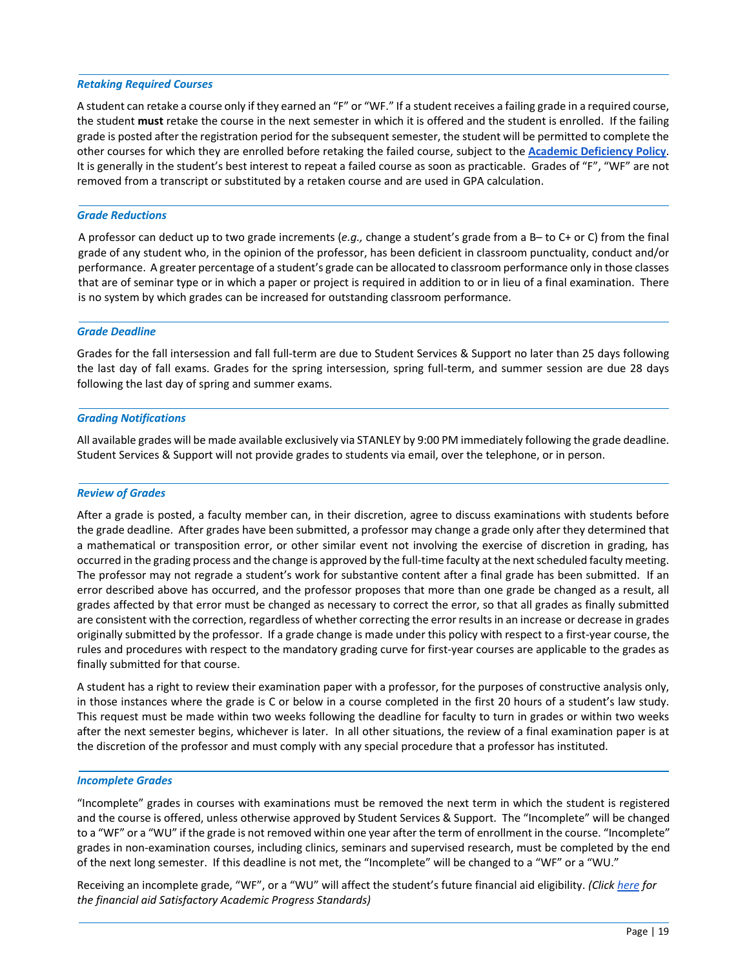### <span id="page-20-0"></span>*Retaking Required Courses*

A student can retake a course only if they earned an "F" or "WF." If a student receives a failing grade in a required course, the student **must** retake the course in the next semester in which it is offered and the student is enrolled. If the failing grade is posted after the registration period for the subsequent semester, the student will be permitted to complete the other courses for which they are enrolled before retaking the failed course, subject to the **[Academic Deficiency Policy](#page-22-0)**. It is generally in the student's best interest to repeat a failed course as soon as practicable. Grades of "F", "WF" are not removed from a transcript or substituted by a retaken course and are used in GPA calculation.

### *Grade Reductions*

A professor can deduct up to two grade increments (*e.g.,* change a student's grade from a B– to C+ or C) from the final grade of any student who, in the opinion of the professor, has been deficient in classroom punctuality, conduct and/or performance. A greater percentage of a student's grade can be allocated to classroom performance only in those classes that are of seminar type or in which a paper or project is required in addition to or in lieu of a final examination. There is no system by which grades can be increased for outstanding classroom performance.

### *Grade Deadline*

Grades for the fall intersession and fall full‐term are due to Student Services & Support no later than 25 days following the last day of fall exams. Grades for the spring intersession, spring full-term, and summer session are due 28 days following the last day of spring and summer exams.

### *Grading Notifications*

All available grades will be made available exclusively via STANLEY by 9:00 PM immediately following the grade deadline. Student Services & Support will not provide grades to students via email, over the telephone, or in person.

# *Review of Grades*

After a grade is posted, a faculty member can, in their discretion, agree to discuss examinations with students before the grade deadline. After grades have been submitted, a professor may change a grade only after they determined that a mathematical or transposition error, or other similar event not involving the exercise of discretion in grading, has occurred in the grading process and the change is approved by the full‐time faculty at the next scheduled faculty meeting. The professor may not regrade a student's work for substantive content after a final grade has been submitted. If an error described above has occurred, and the professor proposes that more than one grade be changed as a result, all grades affected by that error must be changed as necessary to correct the error, so that all grades as finally submitted are consistent with the correction, regardless of whether correcting the error results in an increase or decrease in grades originally submitted by the professor. If a grade change is made under this policy with respect to a first‐year course, the rules and procedures with respect to the mandatory grading curve for first‐year courses are applicable to the grades as finally submitted for that course.

A student has a right to review their examination paper with a professor, for the purposes of constructive analysis only, in those instances where the grade is C or below in a course completed in the first 20 hours of a student's law study. This request must be made within two weeks following the deadline for faculty to turn in grades or within two weeks after the next semester begins, whichever is later. In all other situations, the review of a final examination paper is at the discretion of the professor and must comply with any special procedure that a professor has instituted.

### *Incomplete Grades*

"Incomplete" grades in courses with examinations must be removed the next term in which the student is registered and the course is offered, unless otherwise approved by Student Services & Support. The "Incomplete" will be changed to a "WF" or a "WU" if the grade is not removed within one year after the term of enrollment in the course. "Incomplete" grades in non‐examination courses, including clinics, seminars and supervised research, must be completed by the end of the next long semester. If this deadline is not met, the "Incomplete" will be changed to a "WF" or a "WU."

Receiving an incomplete grade, "WF", or a "WU" will affect the student's future financial aid eligibility. *(Clic[k here](https://www.stcl.edu/wp-content/uploads/2018/01/SAP-Policy-Revised-012518.pdf) for the financial aid Satisfactory Academic Progress Standards)*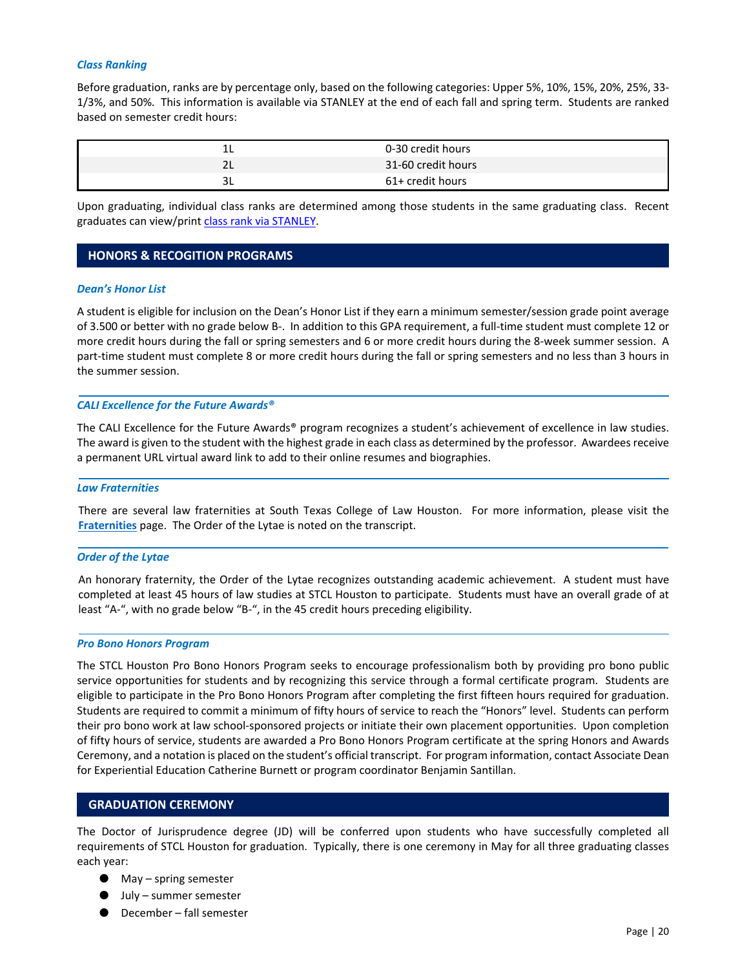#### <span id="page-21-0"></span>*Class Ranking*

Before graduation, ranks are by percentage only, based on the following categories: Upper 5%, 10%, 15%, 20%, 25%, 33‐ 1/3%, and 50%. This information is available via STANLEY at the end of each fall and spring term. Students are ranked based on semester credit hours:

|              | 0-30 credit hours  |  |
|--------------|--------------------|--|
| $\mathbf{u}$ | 31-60 credit hours |  |
|              | 61+ credit hours   |  |

Upon graduating, individual class ranks are determined among those students in the same graduating class. Recent graduates can view/prin[t class rank via STANLEY.](https://banapp01.stcl.edu:8443/BannerExtensibility/customPage/page/SZPBRNKP)

### **HONORS & RECOGITION PROGRAMS**

#### *Dean's Honor List*

A student is eligible for inclusion on the Dean's Honor List if they earn a minimum semester/session grade point average of 3.500 or better with no grade below B‐. In addition to this GPA requirement, a full‐time student must complete 12 or more credit hours during the fall or spring semesters and 6 or more credit hours during the 8-week summer session. A part-time student must complete 8 or more credit hours during the fall or spring semesters and no less than 3 hours in the summer session.

#### *CALI Excellence for the Future Awards®*

The CALI Excellence for the Future Awards<sup>®</sup> program recognizes a student's achievement of excellence in law studies. The award is given to the student with the highest grade in each class as determined by the professor. Awardees receive a permanent URL virtual award link to add to their online resumes and biographies.

#### *Law Fraternities*

There are several law fraternities at South Texas College of Law Houston. For more information, please visit the **[Fraternities](http://www.stcl.edu/student-services/student-organizations/organizations/fraternities/)** page. The Order of the Lytae is noted on the transcript.

#### *Order of the Lytae*

An honorary fraternity, the Order of the Lytae recognizes outstanding academic achievement. A student must have completed at least 45 hours of law studies at STCL Houston to participate. Students must have an overall grade of at least "A‐", with no grade below "B‐", in the 45 credit hours preceding eligibility.

#### *Pro Bono Honors Program*

The STCL Houston Pro Bono Honors Program seeks to encourage professionalism both by providing pro bono public service opportunities for students and by recognizing this service through a formal certificate program. Students are eligible to participate in the Pro Bono Honors Program after completing the first fifteen hours required for graduation. Students are required to commit a minimum of fifty hours of service to reach the "Honors" level. Students can perform their pro bono work at law school‐sponsored projects or initiate their own placement opportunities. Upon completion of fifty hours of service, students are awarded a Pro Bono Honors Program certificate at the spring Honors and Awards Ceremony, and a notation is placed on the student's official transcript. For program information, contact Associate Dean for Experiential Education Catherine Burnett or program coordinator Benjamin Santillan.

# **GRADUATION CEREMONY**

The Doctor of Jurisprudence degree (JD) will be conferred upon students who have successfully completed all requirements of STCL Houston for graduation. Typically, there is one ceremony in May for all three graduating classes each year:

- May spring semester
- July summer semester
- December fall semester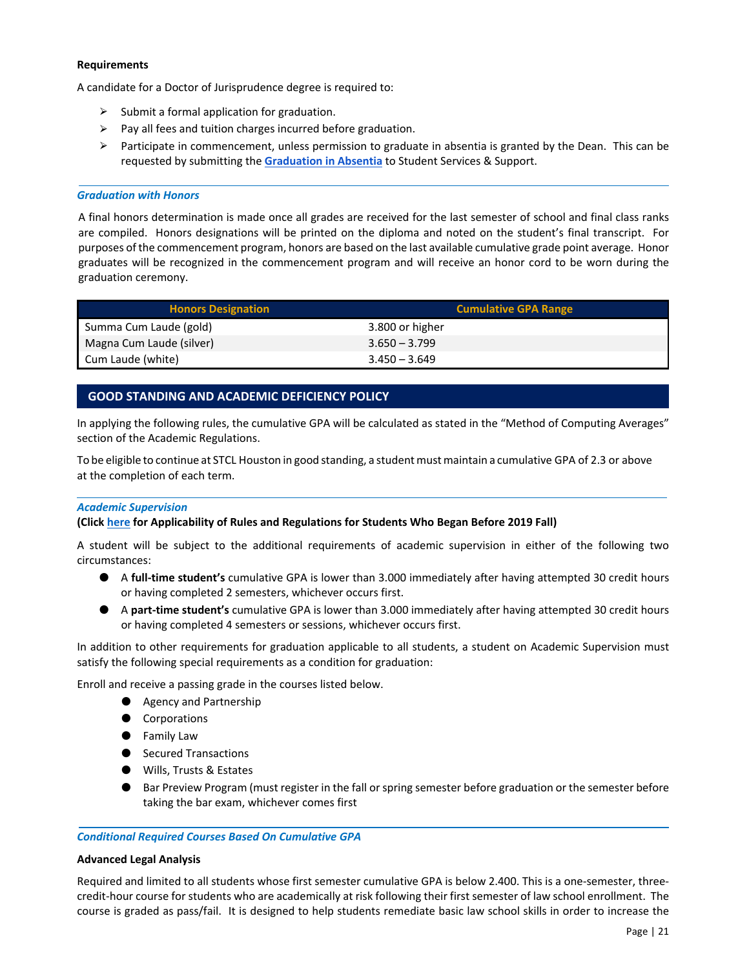### <span id="page-22-0"></span>**Requirements**

A candidate for a Doctor of Jurisprudence degree is required to:

- $\triangleright$  Submit a formal application for graduation.
- $\triangleright$  Pay all fees and tuition charges incurred before graduation.
- $\triangleright$  Participate in commencement, unless permission to graduate in absentia is granted by the Dean. This can be requested by submitting the **[Graduation in Absentia](https://etcentral.stcl.edu/#/form/1033)** to Student Services & Support.

### *Graduation with Honors*

A final honors determination is made once all grades are received for the last semester of school and final class ranks are compiled. Honors designations will be printed on the diploma and noted on the student's final transcript. For purposes of the commencement program, honors are based on the last available cumulative grade point average. Honor graduates will be recognized in the commencement program and will receive an honor cord to be worn during the graduation ceremony.

| <b>Honors Designation</b> | <b>Cumulative GPA Range</b> |
|---------------------------|-----------------------------|
| Summa Cum Laude (gold)    | 3.800 or higher             |
| Magna Cum Laude (silver)  | $3.650 - 3.799$             |
| Cum Laude (white)         | $3.450 - 3.649$             |

# **GOOD STANDING AND ACADEMIC DEFICIENCY POLICY**

In applying the following rules, the cumulative GPA will be calculated as stated in the "Method of Computing Averages" section of the Academic Regulations.

To be eligible to continue at STCL Houston in good standing, a student must maintain a cumulative GPA of 2.3 or above at the completion of each term.

### *Academic Supervision*

### **(Clic[k here](#page-26-0) for Applicability of Rules and Regulations for Students Who Began Before 2019 Fall)**

A student will be subject to the additional requirements of academic supervision in either of the following two circumstances:

- A **full-time student's** cumulative GPA is lower than 3.000 immediately after having attempted 30 credit hours or having completed 2 semesters, whichever occurs first.
- A part-time student's cumulative GPA is lower than 3.000 immediately after having attempted 30 credit hours or having completed 4 semesters or sessions, whichever occurs first.

In addition to other requirements for graduation applicable to all students, a student on Academic Supervision must satisfy the following special requirements as a condition for graduation:

Enroll and receive a passing grade in the courses listed below.

- Agency and Partnership
- Corporations
- Family Law
- Secured Transactions
- Wills, Trusts & Estates
- Bar Preview Program (must register in the fall or spring semester before graduation or the semester before taking the bar exam, whichever comes first

### *Conditional Required Courses Based On Cumulative GPA*

### **Advanced Legal Analysis**

Required and limited to all students whose first semester cumulative GPA is below 2.400. This is a one-semester, threecredit‐hour course for students who are academically at risk following their first semester of law school enrollment. The course is graded as pass/fail. It is designed to help students remediate basic law school skills in order to increase the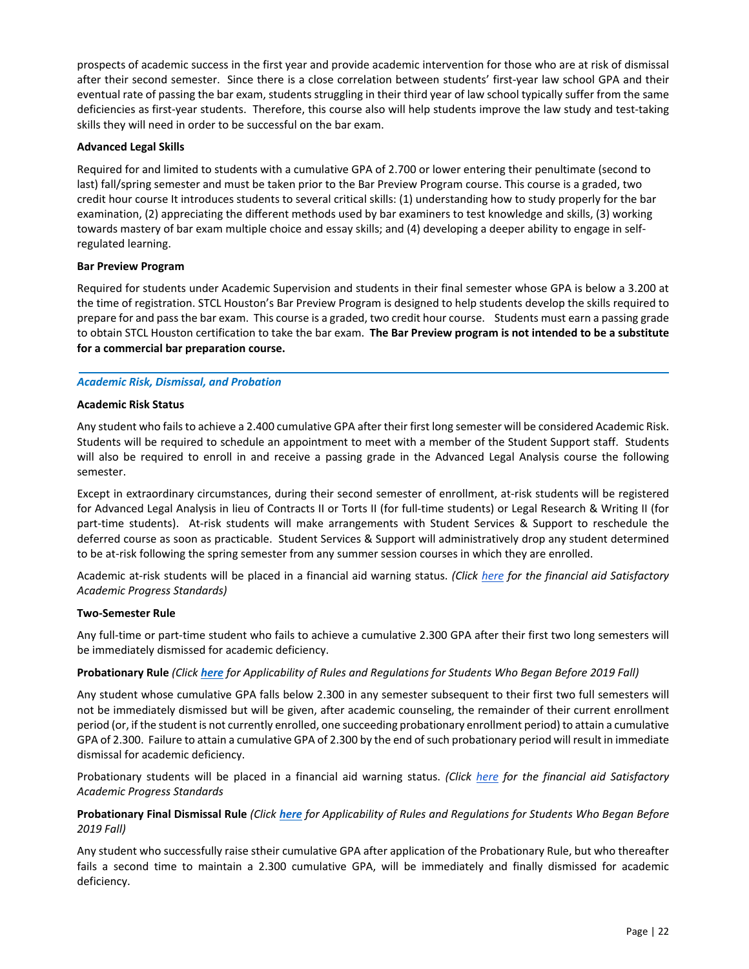<span id="page-23-0"></span>prospects of academic success in the first year and provide academic intervention for those who are at risk of dismissal after their second semester. Since there is a close correlation between students' first‐year law school GPA and their eventual rate of passing the bar exam, students struggling in their third year of law school typically suffer from the same deficiencies as first‐year students. Therefore, this course also will help students improve the law study and test‐taking skills they will need in order to be successful on the bar exam.

### **Advanced Legal Skills**

Required for and limited to students with a cumulative GPA of 2.700 or lower entering their penultimate (second to last) fall/spring semester and must be taken prior to the Bar Preview Program course. This course is a graded, two credit hour course It introduces students to several critical skills: (1) understanding how to study properly for the bar examination, (2) appreciating the different methods used by bar examiners to test knowledge and skills, (3) working towards mastery of bar exam multiple choice and essay skills; and (4) developing a deeper ability to engage in self‐ regulated learning.

### **Bar Preview Program**

Required for students under Academic Supervision and students in their final semester whose GPA is below a 3.200 at the time of registration. STCL Houston's Bar Preview Program is designed to help students develop the skills required to prepare for and pass the bar exam. This course is a graded, two credit hour course. Students must earn a passing grade to obtain STCL Houston certification to take the bar exam. **The Bar Preview program is not intended to be a substitute for a commercial bar preparation course.** 

### *Academic Risk, Dismissal, and Probation*

### **Academic Risk Status**

Any student who fails to achieve a 2.400 cumulative GPA after their first long semester will be considered Academic Risk. Students will be required to schedule an appointment to meet with a member of the Student Support staff. Students will also be required to enroll in and receive a passing grade in the Advanced Legal Analysis course the following semester.

Except in extraordinary circumstances, during their second semester of enrollment, at‐risk students will be registered for Advanced Legal Analysis in lieu of Contracts II or Torts II (for full-time students) or Legal Research & Writing II (for part-time students). At-risk students will make arrangements with Student Services & Support to reschedule the deferred course as soon as practicable. Student Services & Support will administratively drop any student determined to be at-risk following the spring semester from any summer session courses in which they are enrolled.

Academic at‐risk students will be placed in a financial aid warning status. *(Click [here](#page-26-0) for the financial aid Satisfactory Academic Progress Standards)* 

### **Two‐Semester Rule**

Any full‐time or part‐time student who fails to achieve a cumulative 2.300 GPA after their first two long semesters will be immediately dismissed for academic deficiency.

# **Probationary Rule** *(Click [here](#page-26-0) for Applicability of Rules and Regulations for Students Who Began Before 2019 Fall)*

Any student whose cumulative GPA falls below 2.300 in any semester subsequent to their first two full semesters will not be immediately dismissed but will be given, after academic counseling, the remainder of their current enrollment period (or, if the student is not currently enrolled, one succeeding probationary enrollment period) to attain a cumulative GPA of 2.300. Failure to attain a cumulative GPA of 2.300 by the end of such probationary period will result in immediate dismissal for academic deficiency.

Probationary students will be placed in a financial aid warning status. *(Click [here](https://www.stcl.edu/wp-content/uploads/2018/01/SAP-Policy-Revised-012518.pdf) for the financial aid Satisfactory Academic Progress Standards* 

# **Probationary Final Dismissal Rule** *(Click [here](#page-26-0) for Applicability of Rules and Regulations for Students Who Began Before 2019 Fall)*

Any student who successfully raise stheir cumulative GPA after application of the Probationary Rule, but who thereafter fails a second time to maintain a 2.300 cumulative GPA, will be immediately and finally dismissed for academic deficiency.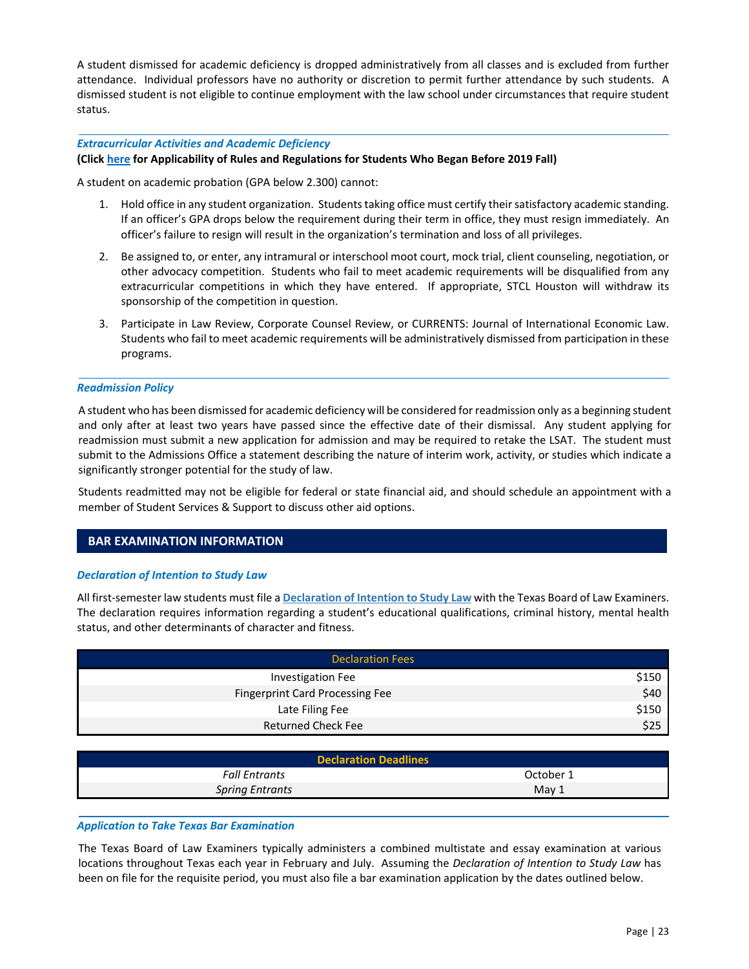<span id="page-24-0"></span>A student dismissed for academic deficiency is dropped administratively from all classes and is excluded from further attendance. Individual professors have no authority or discretion to permit further attendance by such students. A dismissed student is not eligible to continue employment with the law school under circumstances that require student status.

### *Extracurricular Activities and Academic Deficiency*

### **(Clic[k here](#page-26-0) for Applicability of Rules and Regulations for Students Who Began Before 2019 Fall)**

A student on academic probation (GPA below 2.300) cannot:

- 1. Hold office in any student organization. Students taking office must certify their satisfactory academic standing. If an officer's GPA drops below the requirement during their term in office, they must resign immediately. An officer's failure to resign will result in the organization's termination and loss of all privileges.
- 2. Be assigned to, or enter, any intramural or interschool moot court, mock trial, client counseling, negotiation, or other advocacy competition. Students who fail to meet academic requirements will be disqualified from any extracurricular competitions in which they have entered. If appropriate, STCL Houston will withdraw its sponsorship of the competition in question.
- 3. Participate in Law Review, Corporate Counsel Review, or CURRENTS: Journal of International Economic Law. Students who fail to meet academic requirements will be administratively dismissed from participation in these programs.

#### *Readmission Policy*

A student who has been dismissed for academic deficiency will be considered for readmission only as a beginning student and only after at least two years have passed since the effective date of their dismissal. Any student applying for readmission must submit a new application for admission and may be required to retake the LSAT. The student must submit to the Admissions Office a statement describing the nature of interim work, activity, or studies which indicate a significantly stronger potential for the study of law.

Students readmitted may not be eligible for federal or state financial aid, and should schedule an appointment with a member of Student Services & Support to discuss other aid options.

# **BAR EXAMINATION INFORMATION**

### *Declaration of Intention to Study Law*

All first‐semester law students must file a **[Declaration of Intention to Study Law](https://ble.texas.gov/declaration-of-intention-to-study-law)** with the Texas Board of Law Examiners. The declaration requires information regarding a student's educational qualifications, criminal history, mental health status, and other determinants of character and fitness.

| <b>Declaration Fees</b>                |       |  |
|----------------------------------------|-------|--|
| <b>Investigation Fee</b>               | \$150 |  |
| <b>Fingerprint Card Processing Fee</b> | \$40  |  |
| Late Filing Fee                        | \$150 |  |
| <b>Returned Check Fee</b>              | \$25  |  |

| <b>Declaration Deadlines</b> |                  |  |  |
|------------------------------|------------------|--|--|
| <b>Fall Entrants</b>         | October 1        |  |  |
| <b>Spring Entrants</b>       | May <sub>1</sub> |  |  |

#### *Application to Take Texas Bar Examination*

The Texas Board of Law Examiners typically administers a combined multistate and essay examination at various locations throughout Texas each year in February and July. Assuming the *Declaration of Intention to Study Law* has been on file for the requisite period, you must also file a bar examination application by the dates outlined below.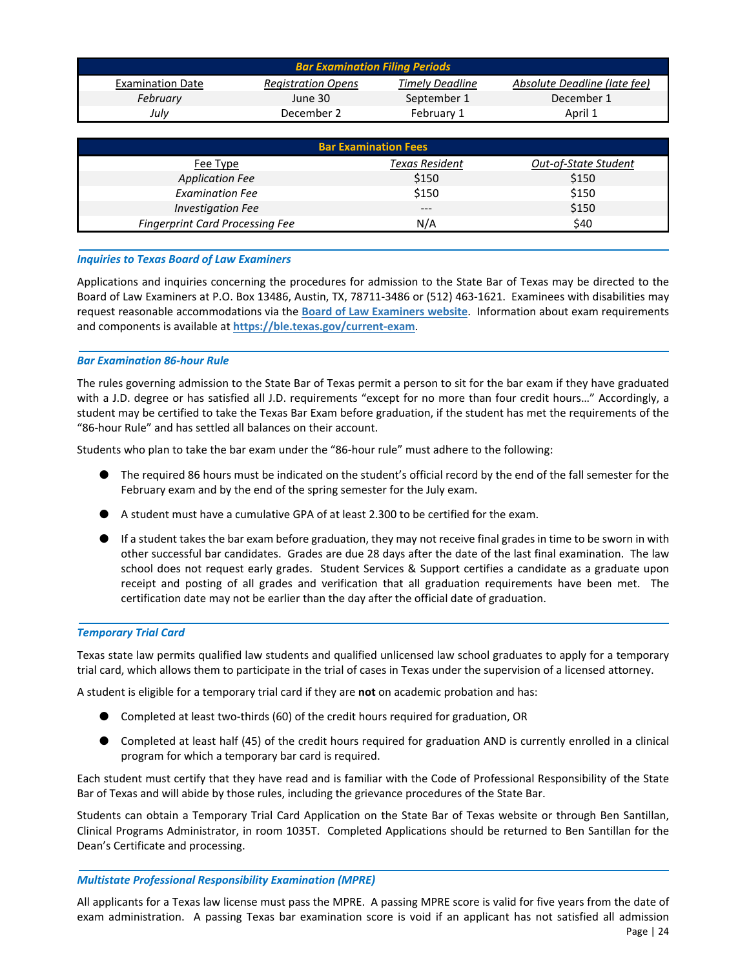<span id="page-25-0"></span>

| Absolute Deadline (late fee)<br><b>Timely Deadline</b><br><b>Registration Opens</b><br><b>Examination Date</b><br>September 1<br>December 1<br>February<br>June 30 |  |  |  |
|--------------------------------------------------------------------------------------------------------------------------------------------------------------------|--|--|--|
|                                                                                                                                                                    |  |  |  |
|                                                                                                                                                                    |  |  |  |
| July<br>December 2<br>April 1<br>February 1                                                                                                                        |  |  |  |
|                                                                                                                                                                    |  |  |  |
| <b>Bar Examination Fees</b>                                                                                                                                        |  |  |  |

| Fee Type                               | Texas Resident | Out-of-State Student |
|----------------------------------------|----------------|----------------------|
| <b>Application Fee</b>                 | \$150          | \$150                |
| <b>Examination Fee</b>                 | \$150          | \$150                |
| <b>Investigation Fee</b>               | $- - -$        | \$150                |
| <b>Fingerprint Card Processing Fee</b> | N/A            | \$40                 |

### *Inquiries to Texas Board of Law Examiners*

Applications and inquiries concerning the procedures for admission to the State Bar of Texas may be directed to the Board of Law Examiners at P.O. Box 13486, Austin, TX, 78711‐3486 or (512) 463‐1621. Examinees with disabilities may request reasonable accommodations via the **[Board of Law Examiners website](https://ble.texas.gov/home)**. Information about exam requirements and components is available at **[https://ble.texas.gov/current‐exam](https://ble.texas.gov/current-exam)**.

### *Bar Examination 86‐hour Rule*

The rules governing admission to the State Bar of Texas permit a person to sit for the bar exam if they have graduated with a J.D. degree or has satisfied all J.D. requirements "except for no more than four credit hours..." Accordingly, a student may be certified to take the Texas Bar Exam before graduation, if the student has met the requirements of the "86‐hour Rule" and has settled all balances on their account.

Students who plan to take the bar exam under the "86‐hour rule" must adhere to the following:

- The required 86 hours must be indicated on the student's official record by the end of the fall semester for the February exam and by the end of the spring semester for the July exam.
- $\blacktriangleright$  A student must have a cumulative GPA of at least 2.300 to be certified for the exam.
- If a student takes the bar exam before graduation, they may not receive final grades in time to be sworn in with other successful bar candidates. Grades are due 28 days after the date of the last final examination. The law school does not request early grades. Student Services & Support certifies a candidate as a graduate upon receipt and posting of all grades and verification that all graduation requirements have been met. The certification date may not be earlier than the day after the official date of graduation.

# *Temporary Trial Card*

Texas state law permits qualified law students and qualified unlicensed law school graduates to apply for a temporary trial card, which allows them to participate in the trial of cases in Texas under the supervision of a licensed attorney.

A student is eligible for a temporary trial card if they are **not** on academic probation and has:

- Completed at least two-thirds (60) of the credit hours required for graduation, OR
- Completed at least half (45) of the credit hours required for graduation AND is currently enrolled in a clinical program for which a temporary bar card is required.

Each student must certify that they have read and is familiar with the Code of Professional Responsibility of the State Bar of Texas and will abide by those rules, including the grievance procedures of the State Bar.

Students can obtain a Temporary Trial Card Application on the State Bar of Texas website or through Ben Santillan, Clinical Programs Administrator, in room 1035T. Completed Applications should be returned to Ben Santillan for the Dean's Certificate and processing.

### *Multistate Professional Responsibility Examination (MPRE)*

All applicants for a Texas law license must pass the MPRE. A passing MPRE score is valid for five years from the date of exam administration. A passing Texas bar examination score is void if an applicant has not satisfied all admission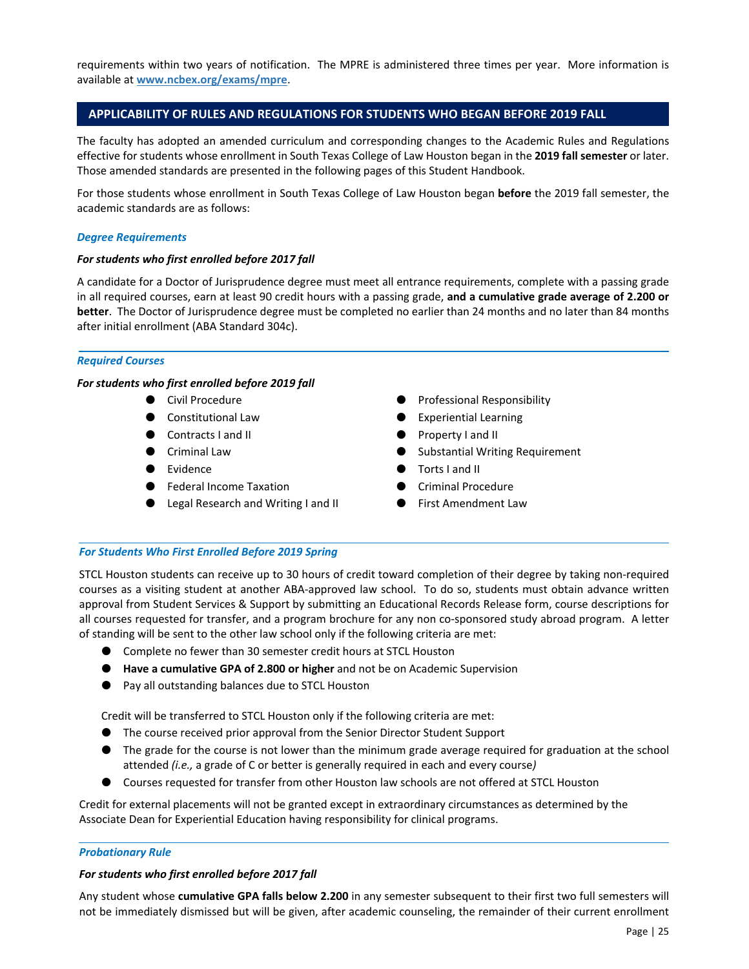<span id="page-26-0"></span>requirements within two years of notification. The MPRE is administered three times per year. More information is available at **<www.ncbex.org/exams/mpre>**.

# **APPLICABILITY OF RULES AND REGULATIONS FOR STUDENTS WHO BEGAN BEFORE 2019 FALL**

The faculty has adopted an amended curriculum and corresponding changes to the Academic Rules and Regulations effective for students whose enrollment in South Texas College of Law Houston began in the **2019 fall semester** or later. Those amended standards are presented in the following pages of this Student Handbook.

For those students whose enrollment in South Texas College of Law Houston began **before** the 2019 fall semester, the academic standards are as follows:

#### *Degree Requirements*

### For students who first enrolled before 2017 fall

A candidate for a Doctor of Jurisprudence degree must meet all entrance requirements, complete with a passing grade in all required courses, earn at least 90 credit hours with a passing grade, **and a cumulative grade average of 2.200 or better**. The Doctor of Jurisprudence degree must be completed no earlier than 24 months and no later than 84 months after initial enrollment (ABA Standard 304c).

#### *Required Courses*

#### *For students who first enrolled before 2019 fall*

- Civil Procedure
- Constitutional Law
- Contracts I and II
- Criminal Law
- Evidence
- Federal Income Taxation
- Legal Research and Writing I and II
- Professional Responsibility
- Experiential Learning
- Property I and II
- Substantial Writing Requirement
- Torts I and II
- Criminal Procedure
- First Amendment Law

#### *For Students Who First Enrolled Before 2019 Spring*

STCL Houston students can receive up to 30 hours of credit toward completion of their degree by taking non‐required courses as a visiting student at another ABA‐approved law school. To do so, students must obtain advance written approval from Student Services & Support by submitting an Educational Records Release form, course descriptions for all courses requested for transfer, and a program brochure for any non co‐sponsored study abroad program. A letter of standing will be sent to the other law school only if the following criteria are met:

- Complete no fewer than 30 semester credit hours at STCL Houston
- **Have a cumulative GPA of 2.800 or higher** and not be on Academic Supervision
- Pay all outstanding balances due to STCL Houston

Credit will be transferred to STCL Houston only if the following criteria are met:

- The course received prior approval from the Senior Director Student Support
- The grade for the course is not lower than the minimum grade average required for graduation at the school attended *(i.e.,* a grade of C or better is generally required in each and every course*)*
- Courses requested for transfer from other Houston law schools are not offered at STCL Houston

Credit for external placements will not be granted except in extraordinary circumstances as determined by the Associate Dean for Experiential Education having responsibility for clinical programs.

#### *Probationary Rule*

### *For students who first enrolled before 2017 fall*

Any student whose **cumulative GPA falls below 2.200** in any semester subsequent to their first two full semesters will not be immediately dismissed but will be given, after academic counseling, the remainder of their current enrollment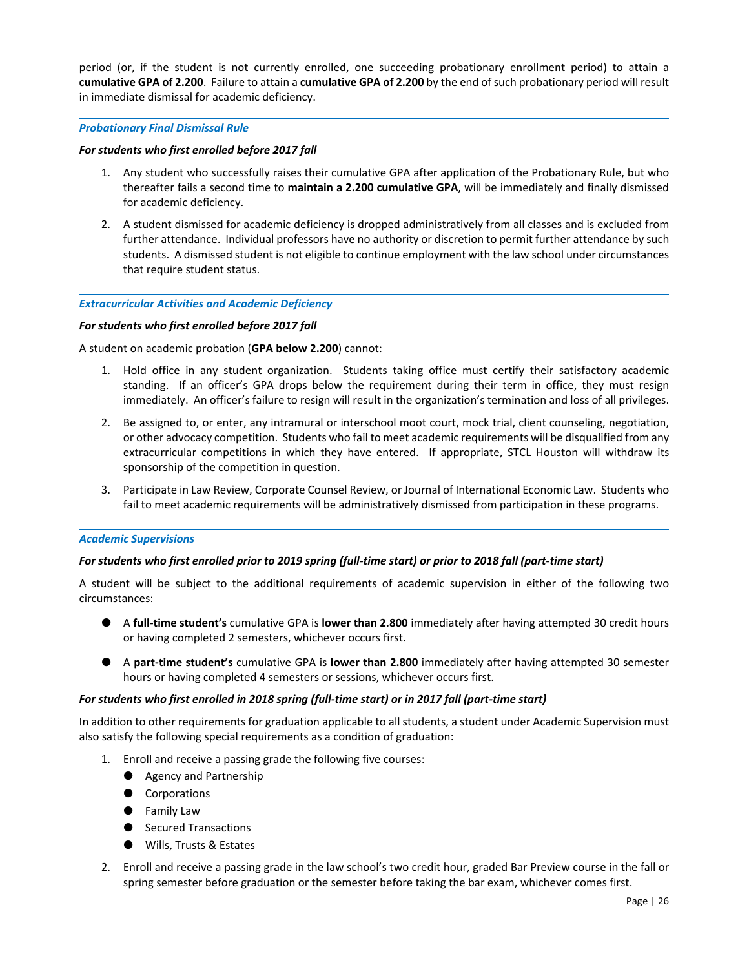<span id="page-27-0"></span>period (or, if the student is not currently enrolled, one succeeding probationary enrollment period) to attain a **cumulative GPA of 2.200**. Failure to attain a **cumulative GPA of 2.200** by the end of such probationary period will result in immediate dismissal for academic deficiency.

#### *Probationary Final Dismissal Rule*

### *For students who first enrolled before 2017 fall*

- 1. Any student who successfully raises their cumulative GPA after application of the Probationary Rule, but who thereafter fails a second time to **maintain a 2.200 cumulative GPA**, will be immediately and finally dismissed for academic deficiency.
- 2. A student dismissed for academic deficiency is dropped administratively from all classes and is excluded from further attendance. Individual professors have no authority or discretion to permit further attendance by such students. A dismissed student is not eligible to continue employment with the law school under circumstances that require student status.

#### *Extracurricular Activities and Academic Deficiency*

#### *For students who first enrolled before 2017 fall*

A student on academic probation (**GPA below 2.200**) cannot:

- 1. Hold office in any student organization. Students taking office must certify their satisfactory academic standing. If an officer's GPA drops below the requirement during their term in office, they must resign immediately. An officer's failure to resign will result in the organization's termination and loss of all privileges.
- 2. Be assigned to, or enter, any intramural or interschool moot court, mock trial, client counseling, negotiation, or other advocacy competition. Students who fail to meet academic requirements will be disqualified from any extracurricular competitions in which they have entered. If appropriate, STCL Houston will withdraw its sponsorship of the competition in question.
- 3. Participate in Law Review, Corporate Counsel Review, or Journal of International Economic Law. Students who fail to meet academic requirements will be administratively dismissed from participation in these programs.

### *Academic Supervisions*

### *For students who first enrolled prior to 2019 spring (full‐time start) or prior to 2018 fall (part‐time start)*

A student will be subject to the additional requirements of academic supervision in either of the following two circumstances:

- A **full‐time student's** cumulative GPA is **lower than 2.800** immediately after having attempted 30 credit hours or having completed 2 semesters, whichever occurs first.
- A **part‐time student's** cumulative GPA is **lower than 2.800** immediately after having attempted 30 semester hours or having completed 4 semesters or sessions, whichever occurs first.

#### *For students who first enrolled in 2018 spring (full‐time start) or in 2017 fall (part‐time start)*

In addition to other requirements for graduation applicable to all students, a student under Academic Supervision must also satisfy the following special requirements as a condition of graduation:

- 1. Enroll and receive a passing grade the following five courses:
	- Agency and Partnership
	- Corporations
	- Family Law
	- Secured Transactions
	- Wills, Trusts & Estates
- 2. Enroll and receive a passing grade in the law school's two credit hour, graded Bar Preview course in the fall or spring semester before graduation or the semester before taking the bar exam, whichever comes first.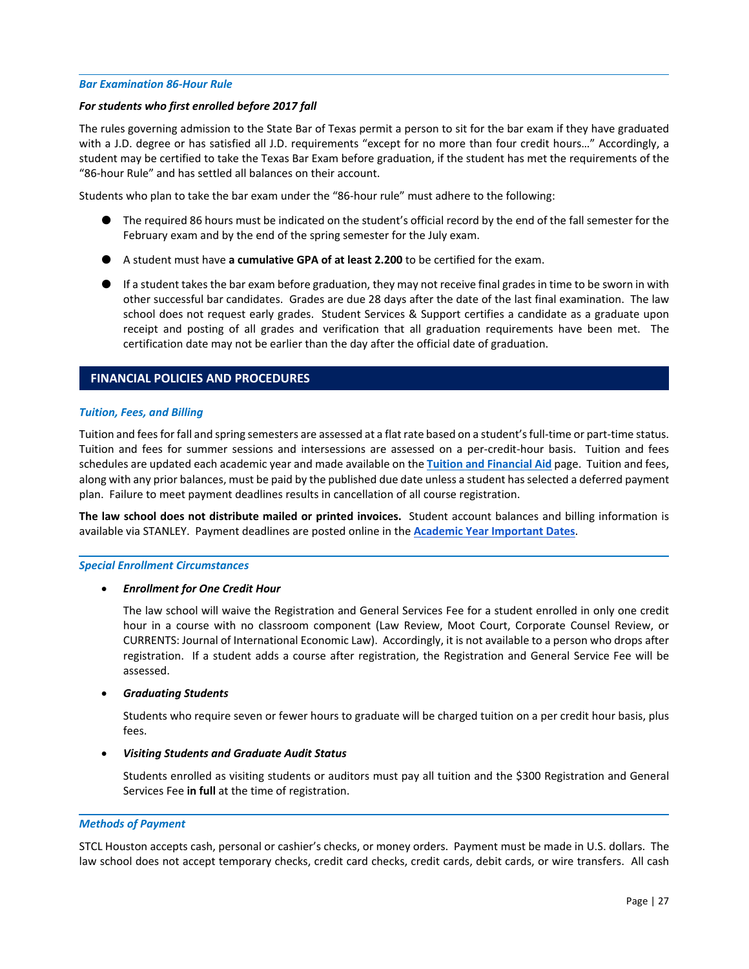#### <span id="page-28-0"></span>*Bar Examination 86‐Hour Rule*

#### *For students who first enrolled before 2017 fall*

The rules governing admission to the State Bar of Texas permit a person to sit for the bar exam if they have graduated with a J.D. degree or has satisfied all J.D. requirements "except for no more than four credit hours…" Accordingly, a student may be certified to take the Texas Bar Exam before graduation, if the student has met the requirements of the "86‐hour Rule" and has settled all balances on their account.

Students who plan to take the bar exam under the "86‐hour rule" must adhere to the following:

- The required 86 hours must be indicated on the student's official record by the end of the fall semester for the February exam and by the end of the spring semester for the July exam.
- A student must have **a cumulative GPA of at least 2.200** to be certified for the exam.
- If a student takes the bar exam before graduation, they may not receive final grades in time to be sworn in with other successful bar candidates. Grades are due 28 days after the date of the last final examination. The law school does not request early grades. Student Services & Support certifies a candidate as a graduate upon receipt and posting of all grades and verification that all graduation requirements have been met. The certification date may not be earlier than the day after the official date of graduation.

# **FINANCIAL POLICIES AND PROCEDURES**

### *Tuition, Fees, and Billing*

Tuition and fees for fall and spring semesters are assessed at a flat rate based on a student's full‐time or part‐time status. Tuition and fees for summer sessions and intersessions are assessed on a per-credit-hour basis. Tuition and fees schedules are updated each academic year and made available on the **[Tuition and Financial Aid](http://www.stcl.edu/admissions-aid/admissions/tuition-financial-aid/)** page. Tuition and fees, along with any prior balances, must be paid by the published due date unless a student has selected a deferred payment plan. Failure to meet payment deadlines results in cancellation of all course registration.

**The law school does not distribute mailed or printed invoices.**  Student account balances and billing information is available via STANLEY. Payment deadlines are posted online in the **[Academic Year Important Dates](https://www.stcl.edu/wp-content/uploads/2022/01/2021-2022-Important-Dates-102621-1.pdf)**.

#### *Special Enrollment Circumstances*

### *Enrollment for One Credit Hour*

The law school will waive the Registration and General Services Fee for a student enrolled in only one credit hour in a course with no classroom component (Law Review, Moot Court, Corporate Counsel Review, or CURRENTS: Journal of International Economic Law). Accordingly, it is not available to a person who drops after registration. If a student adds a course after registration, the Registration and General Service Fee will be assessed.

### *Graduating Students*

Students who require seven or fewer hours to graduate will be charged tuition on a per credit hour basis, plus fees.

### *Visiting Students and Graduate Audit Status*

Students enrolled as visiting students or auditors must pay all tuition and the \$300 Registration and General Services Fee **in full** at the time of registration.

#### *Methods of Payment*

STCL Houston accepts cash, personal or cashier's checks, or money orders. Payment must be made in U.S. dollars. The law school does not accept temporary checks, credit card checks, credit cards, debit cards, or wire transfers. All cash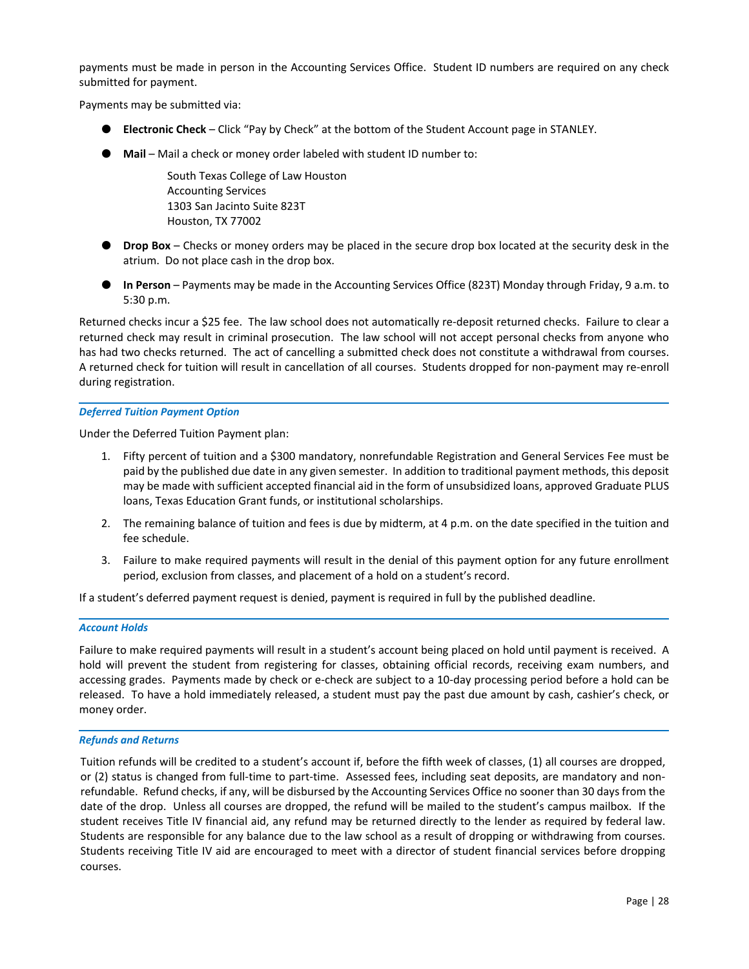<span id="page-29-0"></span>payments must be made in person in the Accounting Services Office. Student ID numbers are required on any check submitted for payment.

Payments may be submitted via:

- **Electronic Check** Click "Pay by Check" at the bottom of the Student Account page in STANLEY.
- Mail Mail a check or money order labeled with student ID number to:

South Texas College of Law Houston Accounting Services 1303 San Jacinto Suite 823T Houston, TX 77002

- **Drop Box** Checks or money orders may be placed in the secure drop box located at the security desk in the atrium. Do not place cash in the drop box.
- **In Person** Payments may be made in the Accounting Services Office (823T) Monday through Friday, 9 a.m. to 5:30 p.m.

Returned checks incur a \$25 fee. The law school does not automatically re‐deposit returned checks. Failure to clear a returned check may result in criminal prosecution. The law school will not accept personal checks from anyone who has had two checks returned. The act of cancelling a submitted check does not constitute a withdrawal from courses. A returned check for tuition will result in cancellation of all courses. Students dropped for non‐payment may re‐enroll during registration.

### *Deferred Tuition Payment Option*

Under the Deferred Tuition Payment plan:

- 1. Fifty percent of tuition and a \$300 mandatory, nonrefundable Registration and General Services Fee must be paid by the published due date in any given semester. In addition to traditional payment methods, this deposit may be made with sufficient accepted financial aid in the form of unsubsidized loans, approved Graduate PLUS loans, Texas Education Grant funds, or institutional scholarships.
- 2. The remaining balance of tuition and fees is due by midterm, at 4 p.m. on the date specified in the tuition and fee schedule.
- 3. Failure to make required payments will result in the denial of this payment option for any future enrollment period, exclusion from classes, and placement of a hold on a student's record.

If a student's deferred payment request is denied, payment is required in full by the published deadline.

#### *Account Holds*

Failure to make required payments will result in a student's account being placed on hold until payment is received. A hold will prevent the student from registering for classes, obtaining official records, receiving exam numbers, and accessing grades. Payments made by check or e‐check are subject to a 10‐day processing period before a hold can be released. To have a hold immediately released, a student must pay the past due amount by cash, cashier's check, or money order.

#### *Refunds and Returns*

Tuition refunds will be credited to a student's account if, before the fifth week of classes, (1) all courses are dropped, or (2) status is changed from full‐time to part‐time. Assessed fees, including seat deposits, are mandatory and non‐ refundable. Refund checks, if any, will be disbursed by the Accounting Services Office no sooner than 30 days from the date of the drop. Unless all courses are dropped, the refund will be mailed to the student's campus mailbox. If the student receives Title IV financial aid, any refund may be returned directly to the lender as required by federal law. Students are responsible for any balance due to the law school as a result of dropping or withdrawing from courses. Students receiving Title IV aid are encouraged to meet with a director of student financial services before dropping courses.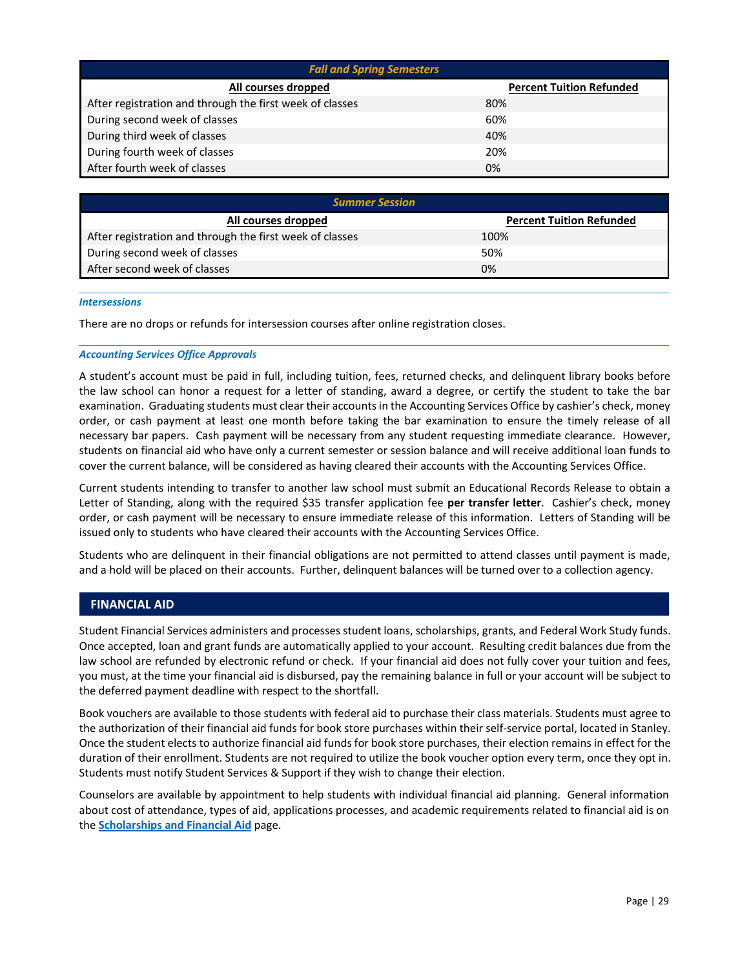<span id="page-30-0"></span>

| <b>Fall and Spring Semesters</b>                         |                                 |  |  |
|----------------------------------------------------------|---------------------------------|--|--|
| All courses dropped                                      | <b>Percent Tuition Refunded</b> |  |  |
| After registration and through the first week of classes | 80%                             |  |  |
| During second week of classes                            | 60%                             |  |  |
| During third week of classes                             | 40%                             |  |  |
| During fourth week of classes                            | 20%                             |  |  |
| After fourth week of classes                             | 0%                              |  |  |

| <b>Summer Session</b>                                    |                                 |  |
|----------------------------------------------------------|---------------------------------|--|
| All courses dropped                                      | <b>Percent Tuition Refunded</b> |  |
| After registration and through the first week of classes | 100%                            |  |
| During second week of classes                            | 50%                             |  |
| After second week of classes                             | 0%                              |  |

#### *Intersessions*

There are no drops or refunds for intersession courses after online registration closes.

#### *Accounting Services Office Approvals*

A student's account must be paid in full, including tuition, fees, returned checks, and delinquent library books before the law school can honor a request for a letter of standing, award a degree, or certify the student to take the bar examination. Graduating students must clear their accounts in the Accounting Services Office by cashier's check, money order, or cash payment at least one month before taking the bar examination to ensure the timely release of all necessary bar papers. Cash payment will be necessary from any student requesting immediate clearance. However, students on financial aid who have only a current semester or session balance and will receive additional loan funds to cover the current balance, will be considered as having cleared their accounts with the Accounting Services Office.

Current students intending to transfer to another law school must submit an Educational Records Release to obtain a Letter of Standing, along with the required \$35 transfer application fee per transfer letter. Cashier's check, money order, or cash payment will be necessary to ensure immediate release of this information. Letters of Standing will be issued only to students who have cleared their accounts with the Accounting Services Office.

Students who are delinquent in their financial obligations are not permitted to attend classes until payment is made, and a hold will be placed on their accounts. Further, delinquent balances will be turned over to a collection agency.

### **FINANCIAL AID**

Student Financial Services administers and processes student loans, scholarships, grants, and Federal Work Study funds. Once accepted, loan and grant funds are automatically applied to your account. Resulting credit balances due from the law school are refunded by electronic refund or check. If your financial aid does not fully cover your tuition and fees, you must, at the time your financial aid is disbursed, pay the remaining balance in full or your account will be subject to the deferred payment deadline with respect to the shortfall.

Book vouchers are available to those students with federal aid to purchase their class materials. Students must agree to the authorization of their financial aid funds for book store purchases within their self‐service portal, located in Stanley. Once the student elects to authorize financial aid funds for book store purchases, their election remains in effect for the duration of their enrollment. Students are not required to utilize the book voucher option every term, once they opt in. Students must notify Student Services & Support if they wish to change their election.

Counselors are available by appointment to help students with individual financial aid planning. General information about cost of attendance, types of aid, applications processes, and academic requirements related to financial aid is on the **[Scholarships and Financial Aid](http://www.stcl.edu/admissions-aid/scholarships-financial-aid/)** page.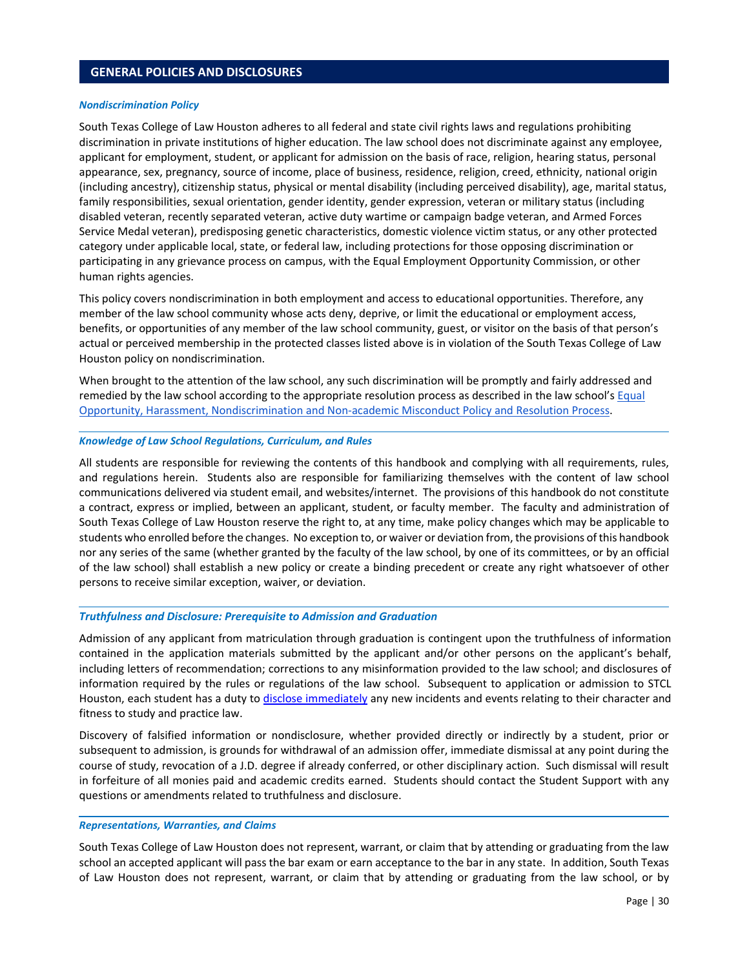### <span id="page-31-0"></span>**GENERAL POLICIES AND DISCLOSURES**

#### *Nondiscrimination Policy*

South Texas College of Law Houston adheres to all federal and state civil rights laws and regulations prohibiting discrimination in private institutions of higher education. The law school does not discriminate against any employee, applicant for employment, student, or applicant for admission on the basis of race, religion, hearing status, personal appearance, sex, pregnancy, source of income, place of business, residence, religion, creed, ethnicity, national origin (including ancestry), citizenship status, physical or mental disability (including perceived disability), age, marital status, family responsibilities, sexual orientation, gender identity, gender expression, veteran or military status (including disabled veteran, recently separated veteran, active duty wartime or campaign badge veteran, and Armed Forces Service Medal veteran), predisposing genetic characteristics, domestic violence victim status, or any other protected category under applicable local, state, or federal law, including protections for those opposing discrimination or participating in any grievance process on campus, with the Equal Employment Opportunity Commission, or other human rights agencies.

This policy covers nondiscrimination in both employment and access to educational opportunities. Therefore, any member of the law school community whose acts deny, deprive, or limit the educational or employment access, benefits, or opportunities of any member of the law school community, guest, or visitor on the basis of that person's actual or perceived membership in the protected classes listed above is in violation of the South Texas College of Law Houston policy on nondiscrimination.

When brought to the attention of the law school, any such discrimination will be promptly and fairly addressed and remedied by the law school according to the appropriate resolution process as described in the law school's Equal [Opportunity, Harassment, Nondiscrimination and Non‐academic Misconduct Policy and Resolution Process.](http://www.stcl.edu/student-services/safety-security/title-ix/) 

#### *Knowledge of Law School Regulations, Curriculum, and Rules*

All students are responsible for reviewing the contents of this handbook and complying with all requirements, rules, and regulations herein. Students also are responsible for familiarizing themselves with the content of law school communications delivered via student email, and websites/internet. The provisions of this handbook do not constitute a contract, express or implied, between an applicant, student, or faculty member. The faculty and administration of South Texas College of Law Houston reserve the right to, at any time, make policy changes which may be applicable to students who enrolled before the changes. No exception to, or waiver or deviation from, the provisions of this handbook nor any series of the same (whether granted by the faculty of the law school, by one of its committees, or by an official of the law school) shall establish a new policy or create a binding precedent or create any right whatsoever of other persons to receive similar exception, waiver, or deviation.

### *Truthfulness and Disclosure: Prerequisite to Admission and Graduation*

Admission of any applicant from matriculation through graduation is contingent upon the truthfulness of information contained in the application materials submitted by the applicant and/or other persons on the applicant's behalf, including letters of recommendation; corrections to any misinformation provided to the law school; and disclosures of information required by the rules or regulations of the law school. Subsequent to application or admission to STCL Houston, each student has a duty t[o disclose immediately a](https://cm.maxient.com/reportingform.php?STCLHouston&layout_id=5)ny new incidents and events relating to their character and fitness to study and practice law.

Discovery of falsified information or nondisclosure, whether provided directly or indirectly by a student, prior or subsequent to admission, is grounds for withdrawal of an admission offer, immediate dismissal at any point during the course of study, revocation of a J.D. degree if already conferred, or other disciplinary action. Such dismissal will result in forfeiture of all monies paid and academic credits earned. Students should contact the Student Support with any questions or amendments related to truthfulness and disclosure.

#### *Representations, Warranties, and Claims*

South Texas College of Law Houston does not represent, warrant, or claim that by attending or graduating from the law school an accepted applicant will pass the bar exam or earn acceptance to the bar in any state. In addition, South Texas of Law Houston does not represent, warrant, or claim that by attending or graduating from the law school, or by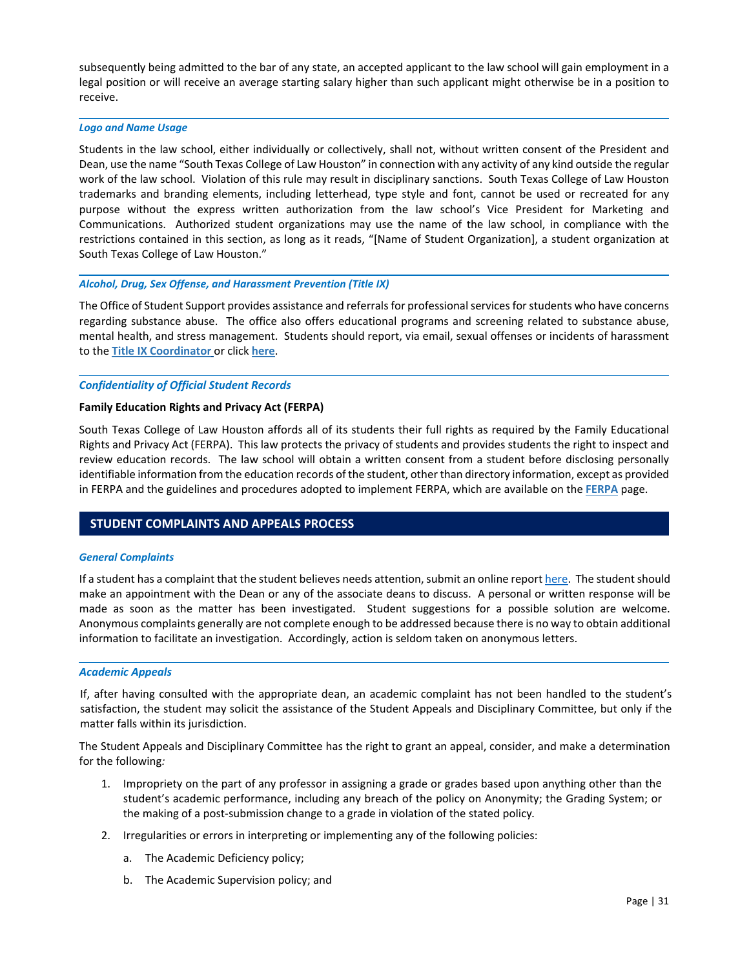<span id="page-32-0"></span>subsequently being admitted to the bar of any state, an accepted applicant to the law school will gain employment in a legal position or will receive an average starting salary higher than such applicant might otherwise be in a position to receive.

#### *Logo and Name Usage*

Students in the law school, either individually or collectively, shall not, without written consent of the President and Dean, use the name "South Texas College of Law Houston" in connection with any activity of any kind outside the regular work of the law school. Violation of this rule may result in disciplinary sanctions. South Texas College of Law Houston trademarks and branding elements, including letterhead, type style and font, cannot be used or recreated for any purpose without the express written authorization from the law school's Vice President for Marketing and Communications. Authorized student organizations may use the name of the law school, in compliance with the restrictions contained in this section, as long as it reads, "[Name of Student Organization], a student organization at South Texas College of Law Houston."

### Alcohol, Drug, Sex Offense, and Harassment Prevention (Title IX)

The Office of Student Support provides assistance and referrals for professional services for students who have concerns regarding substance abuse. The office also offers educational programs and screening related to substance abuse, mental health, and stress management. Students should report, via email, sexual offenses or incidents of harassment to the **[Title IX Coordinator](mailto:TitleIXCoordinator@stcl.edu)** or click **[here](https://cm.maxient.com/reportingform.php?STCLHouston&layout_id=40)**.

#### *Confidentiality of Official Student Records*

#### **Family Education Rights and Privacy Act (FERPA)**

South Texas College of Law Houston affords all of its students their full rights as required by the Family Educational Rights and Privacy Act (FERPA). This law protects the privacy of students and provides students the right to inspect and review education records. The law school will obtain a written consent from a student before disclosing personally identifiable information from the education records of the student, other than directory information, except as provided in FERPA and the guidelines and procedures adopted to implement FERPA, which are available on the **[FERPA](https://www.stcl.edu/student-services/registrar-2/ferpa/)** page.

### **STUDENT COMPLAINTS AND APPEALS PROCESS**

#### *General Complaints*

If a student has a complaint that the student believes needs attention, submit an online report here. The student should make an appointment with the Dean or any of the associate deans to discuss. A personal or written response will be made as soon as the matter has been investigated. Student suggestions for a possible solution are welcome. Anonymous complaints generally are not complete enough to be addressed because there is no way to obtain additional information to facilitate an investigation. Accordingly, action is seldom taken on anonymous letters.

#### *Academic Appeals*

If, after having consulted with the appropriate dean, an academic complaint has not been handled to the student's satisfaction, the student may solicit the assistance of the Student Appeals and Disciplinary Committee, but only if the matter falls within its jurisdiction.

The Student Appeals and Disciplinary Committee has the right to grant an appeal, consider, and make a determination for the following*:*

- 1. Impropriety on the part of any professor in assigning a grade or grades based upon anything other than the student's academic performance, including any breach of the policy on Anonymity; the Grading System; or the making of a post‐submission change to a grade in violation of the stated policy*.*
- 2. Irregularities or errors in interpreting or implementing any of the following policies:
	- a. The Academic Deficiency policy;
	- b. The Academic Supervision policy; and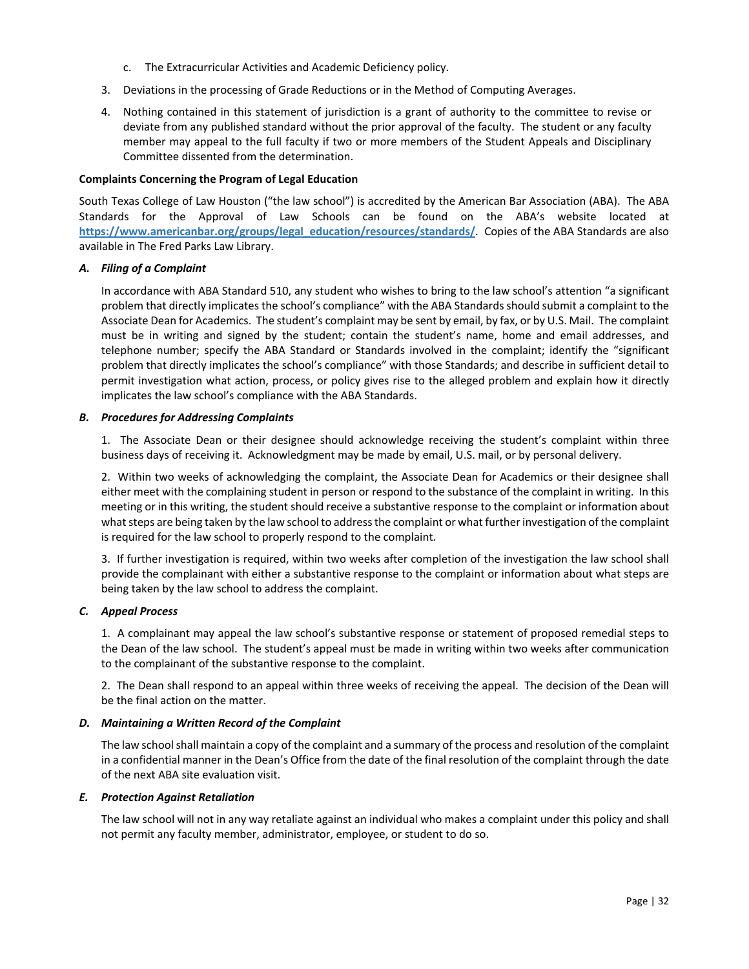- c. The Extracurricular Activities and Academic Deficiency policy.
- <span id="page-33-0"></span>3. Deviations in the processing of Grade Reductions or in the Method of Computing Averages.
- 4. Nothing contained in this statement of jurisdiction is a grant of authority to the committee to revise or deviate from any published standard without the prior approval of the faculty. The student or any faculty member may appeal to the full faculty if two or more members of the Student Appeals and Disciplinary Committee dissented from the determination.

### **Complaints Concerning the Program of Legal Education**

South Texas College of Law Houston ("the law school") is accredited by the American Bar Association (ABA). The ABA Standards for the Approval of Law Schools can be found on the ABA's website located at **[https://www.americanbar.org/groups/legal\\_education/resources/standards/](https://www.americanbar.org/groups/legal_education/resources/standards/)**. Copies of the ABA Standards are also available in The Fred Parks Law Library.

### *A. Filing of a Complaint*

In accordance with ABA Standard 510, any student who wishes to bring to the law school's attention "a significant problem that directly implicates the school's compliance" with the ABA Standards should submit a complaint to the Associate Dean for Academics. The student's complaint may be sent by email, by fax, or by U.S. Mail. The complaint must be in writing and signed by the student; contain the student's name, home and email addresses, and telephone number; specify the ABA Standard or Standards involved in the complaint; identify the "significant problem that directly implicates the school's compliance" with those Standards; and describe in sufficient detail to permit investigation what action, process, or policy gives rise to the alleged problem and explain how it directly implicates the law school's compliance with the ABA Standards.

### *B. Procedures for Addressing Complaints*

1. The Associate Dean or their designee should acknowledge receiving the student's complaint within three business days of receiving it. Acknowledgment may be made by email, U.S. mail, or by personal delivery.

2. Within two weeks of acknowledging the complaint, the Associate Dean for Academics or their designee shall either meet with the complaining student in person or respond to the substance of the complaint in writing. In this meeting or in this writing, the student should receive a substantive response to the complaint or information about what steps are being taken by the law school to address the complaint or what further investigation of the complaint is required for the law school to properly respond to the complaint.

3. If further investigation is required, within two weeks after completion of the investigation the law school shall provide the complainant with either a substantive response to the complaint or information about what steps are being taken by the law school to address the complaint.

# *C. Appeal Process*

1. A complainant may appeal the law school's substantive response or statement of proposed remedial steps to the Dean of the law school. The student's appeal must be made in writing within two weeks after communication to the complainant of the substantive response to the complaint.

2. The Dean shall respond to an appeal within three weeks of receiving the appeal. The decision of the Dean will be the final action on the matter.

### *D. Maintaining a Written Record of the Complaint*

The law school shall maintain a copy of the complaint and a summary of the process and resolution of the complaint in a confidential manner in the Dean's Office from the date of the final resolution of the complaint through the date of the next ABA site evaluation visit.

### *E. Protection Against Retaliation*

The law school will not in any way retaliate against an individual who makes a complaint under this policy and shall not permit any faculty member, administrator, employee, or student to do so.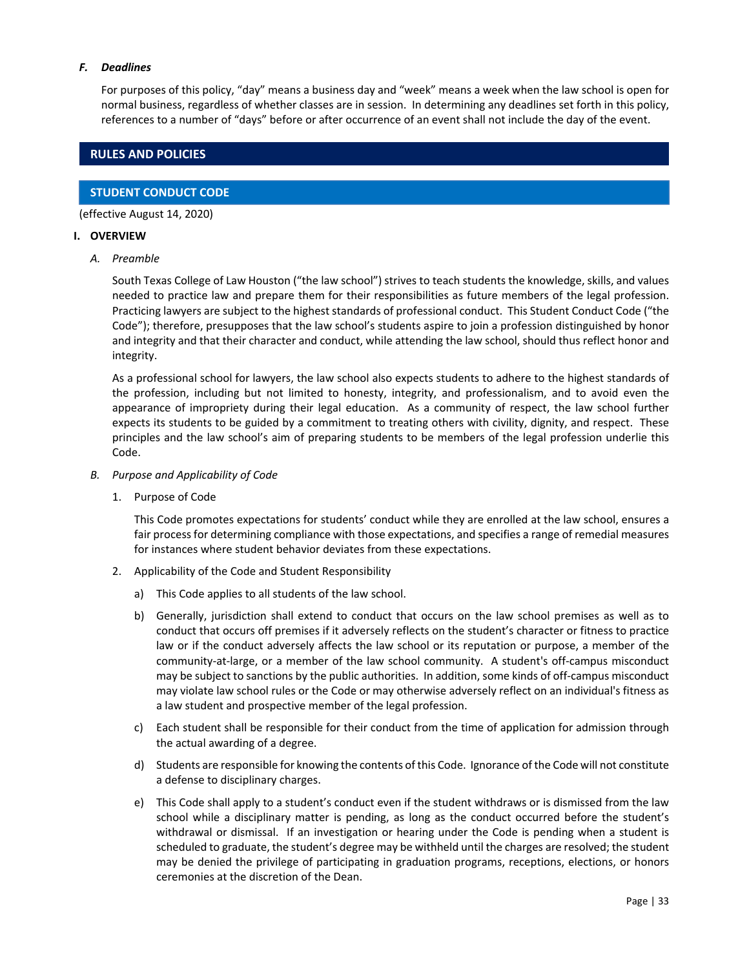### <span id="page-34-0"></span>*F. Deadlines*

For purposes of this policy, "day" means a business day and "week" means a week when the law school is open for normal business, regardless of whether classes are in session. In determining any deadlines set forth in this policy, references to a number of "days" before or after occurrence of an event shall not include the day of the event.

# **RULES AND POLICIES**

# **STUDENT CONDUCT CODE**

(effective August 14, 2020)

### **I. OVERVIEW**

*A. Preamble*

South Texas College of Law Houston ("the law school") strives to teach students the knowledge, skills, and values needed to practice law and prepare them for their responsibilities as future members of the legal profession. Practicing lawyers are subject to the highest standards of professional conduct. This Student Conduct Code ("the Code"); therefore, presupposes that the law school's students aspire to join a profession distinguished by honor and integrity and that their character and conduct, while attending the law school, should thus reflect honor and integrity.

As a professional school for lawyers, the law school also expects students to adhere to the highest standards of the profession, including but not limited to honesty, integrity, and professionalism, and to avoid even the appearance of impropriety during their legal education. As a community of respect, the law school further expects its students to be guided by a commitment to treating others with civility, dignity, and respect. These principles and the law school's aim of preparing students to be members of the legal profession underlie this Code.

- *B. Purpose and Applicability of Code*
	- 1. Purpose of Code

This Code promotes expectations for students' conduct while they are enrolled at the law school, ensures a fair process for determining compliance with those expectations, and specifies a range of remedial measures for instances where student behavior deviates from these expectations.

- 2. Applicability of the Code and Student Responsibility
	- a) This Code applies to all students of the law school.
	- b) Generally, jurisdiction shall extend to conduct that occurs on the law school premises as well as to conduct that occurs off premises if it adversely reflects on the student's character or fitness to practice law or if the conduct adversely affects the law school or its reputation or purpose, a member of the community‐at‐large, or a member of the law school community. A student's off‐campus misconduct may be subject to sanctions by the public authorities. In addition, some kinds of off‐campus misconduct may violate law school rules or the Code or may otherwise adversely reflect on an individual's fitness as a law student and prospective member of the legal profession.
	- c) Each student shall be responsible for their conduct from the time of application for admission through the actual awarding of a degree.
	- d) Students are responsible for knowing the contents of this Code. Ignorance of the Code will not constitute a defense to disciplinary charges.
	- e) This Code shall apply to a student's conduct even if the student withdraws or is dismissed from the law school while a disciplinary matter is pending, as long as the conduct occurred before the student's withdrawal or dismissal. If an investigation or hearing under the Code is pending when a student is scheduled to graduate, the student's degree may be withheld until the charges are resolved; the student may be denied the privilege of participating in graduation programs, receptions, elections, or honors ceremonies at the discretion of the Dean.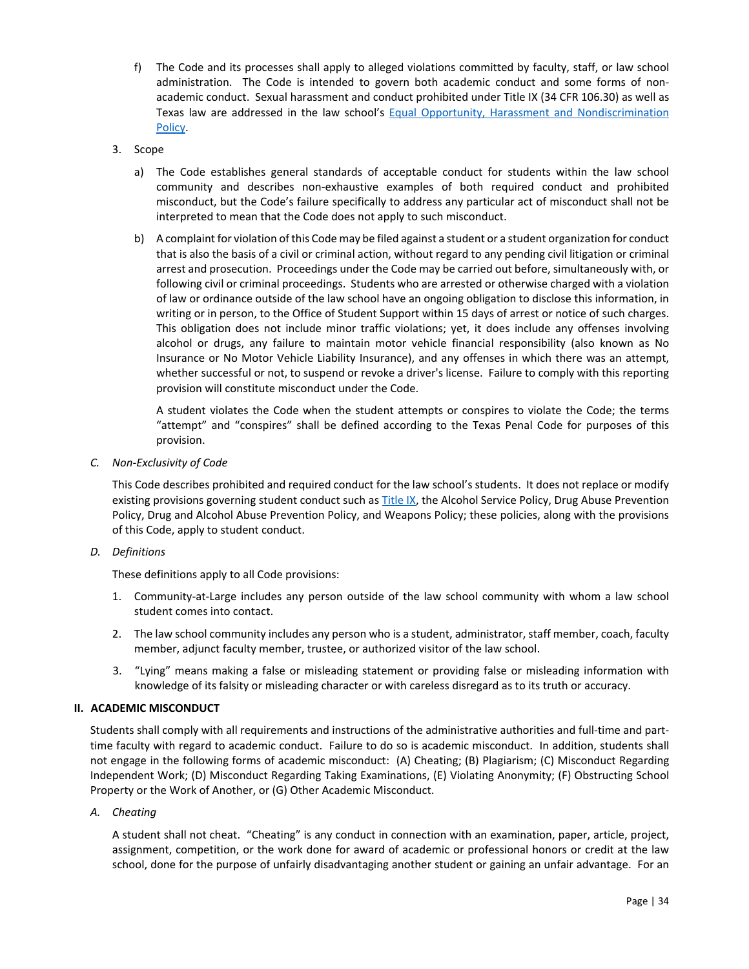- f) The Code and its processes shall apply to alleged violations committed by faculty, staff, or law school administration. The Code is intended to govern both academic conduct and some forms of nonacademic conduct. Sexual harassment and conduct prohibited under Title IX (34 CFR 106.30) as well as Texas law are addressed in the law school's Equal Opportunity, Harassment and Nondiscrimination [Policy.](http://www.stcl.edu/stanley/pdf/Title-IX-Policy.pdf)
- 3. Scope
	- a) The Code establishes general standards of acceptable conduct for students within the law school community and describes non‐exhaustive examples of both required conduct and prohibited misconduct, but the Code's failure specifically to address any particular act of misconduct shall not be interpreted to mean that the Code does not apply to such misconduct.
	- b) A complaint for violation of this Code may be filed against a student or a student organization for conduct that is also the basis of a civil or criminal action, without regard to any pending civil litigation or criminal arrest and prosecution. Proceedings under the Code may be carried out before, simultaneously with, or following civil or criminal proceedings. Students who are arrested or otherwise charged with a violation of law or ordinance outside of the law school have an ongoing obligation to disclose this information, in writing or in person, to the Office of Student Support within 15 days of arrest or notice of such charges. This obligation does not include minor traffic violations; yet, it does include any offenses involving alcohol or drugs, any failure to maintain motor vehicle financial responsibility (also known as No Insurance or No Motor Vehicle Liability Insurance), and any offenses in which there was an attempt, whether successful or not, to suspend or revoke a driver's license. Failure to comply with this reporting provision will constitute misconduct under the Code.

A student violates the Code when the student attempts or conspires to violate the Code; the terms "attempt" and "conspires" shall be defined according to the Texas Penal Code for purposes of this provision.

*C. Non‐Exclusivity of Code*

This Code describes prohibited and required conduct for the law school's students. It does not replace or modify existing provisions governing student conduct such a[s Title IX, t](http://www.stcl.edu/stanley/pdf/Title-IX-Policy.pdf)he Alcohol Service Policy, Drug Abuse Prevention Policy, Drug and Alcohol Abuse Prevention Policy, and Weapons Policy; these policies, along with the provisions of this Code, apply to student conduct.

*D. Definitions*

These definitions apply to all Code provisions:

- 1. Community‐at‐Large includes any person outside of the law school community with whom a law school student comes into contact.
- 2. The law school community includes any person who is a student, administrator, staff member, coach, faculty member, adjunct faculty member, trustee, or authorized visitor of the law school.
- 3. "Lying" means making a false or misleading statement or providing false or misleading information with knowledge of its falsity or misleading character or with careless disregard as to its truth or accuracy.

### **II. ACADEMIC MISCONDUCT**

Students shall comply with all requirements and instructions of the administrative authorities and full‐time and part‐ time faculty with regard to academic conduct. Failure to do so is academic misconduct. In addition, students shall not engage in the following forms of academic misconduct: (A) Cheating; (B) Plagiarism; (C) Misconduct Regarding Independent Work; (D) Misconduct Regarding Taking Examinations, (E) Violating Anonymity; (F) Obstructing School Property or the Work of Another, or (G) Other Academic Misconduct.

*A. Cheating*

A student shall not cheat. "Cheating" is any conduct in connection with an examination, paper, article, project, assignment, competition, or the work done for award of academic or professional honors or credit at the law school, done for the purpose of unfairly disadvantaging another student or gaining an unfair advantage. For an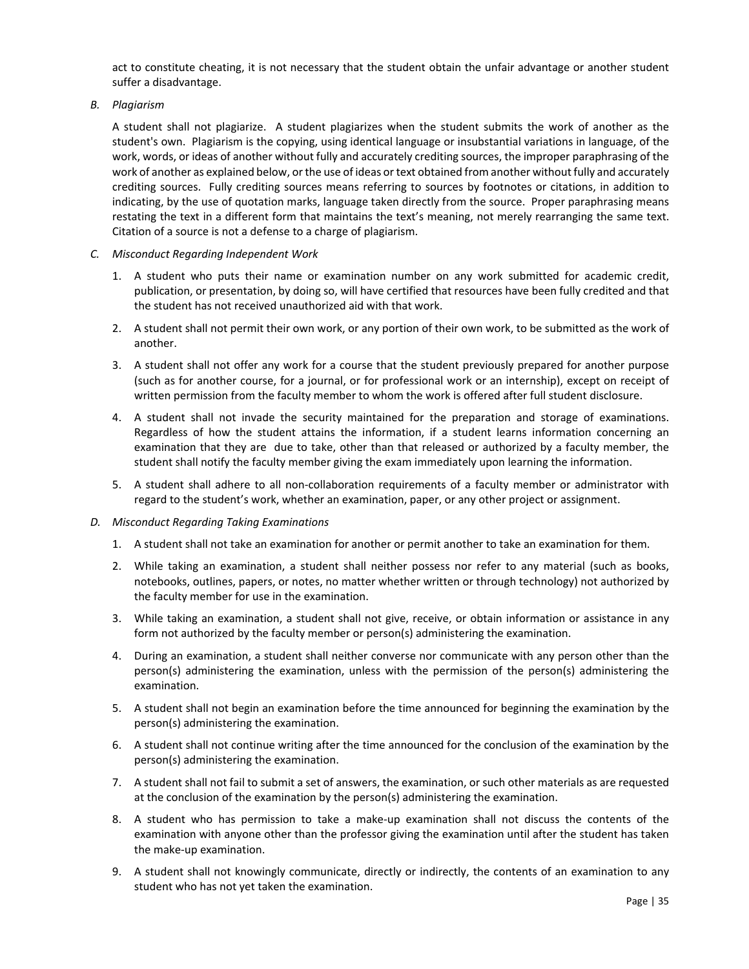<span id="page-36-0"></span>act to constitute cheating, it is not necessary that the student obtain the unfair advantage or another student suffer a disadvantage.

*B. Plagiarism* 

A student shall not plagiarize. A student plagiarizes when the student submits the work of another as the student's own. Plagiarism is the copying, using identical language or insubstantial variations in language, of the work, words, or ideas of another without fully and accurately crediting sources, the improper paraphrasing of the work of another as explained below, or the use of ideas or text obtained from another without fully and accurately crediting sources. Fully crediting sources means referring to sources by footnotes or citations, in addition to indicating, by the use of quotation marks, language taken directly from the source. Proper paraphrasing means restating the text in a different form that maintains the text's meaning, not merely rearranging the same text. Citation of a source is not a defense to a charge of plagiarism.

- *C. Misconduct Regarding Independent Work*
	- 1. A student who puts their name or examination number on any work submitted for academic credit, publication, or presentation, by doing so, will have certified that resources have been fully credited and that the student has not received unauthorized aid with that work.
	- 2. A student shall not permit their own work, or any portion of their own work, to be submitted as the work of another.
	- 3. A student shall not offer any work for a course that the student previously prepared for another purpose (such as for another course, for a journal, or for professional work or an internship), except on receipt of written permission from the faculty member to whom the work is offered after full student disclosure.
	- 4. A student shall not invade the security maintained for the preparation and storage of examinations. Regardless of how the student attains the information, if a student learns information concerning an examination that they are due to take, other than that released or authorized by a faculty member, the student shall notify the faculty member giving the exam immediately upon learning the information.
	- 5. A student shall adhere to all non-collaboration requirements of a faculty member or administrator with regard to the student's work, whether an examination, paper, or any other project or assignment.
- *D. Misconduct Regarding Taking Examinations*
	- 1. A student shall not take an examination for another or permit another to take an examination for them.
	- 2. While taking an examination, a student shall neither possess nor refer to any material (such as books, notebooks, outlines, papers, or notes, no matter whether written or through technology) not authorized by the faculty member for use in the examination.
	- 3. While taking an examination, a student shall not give, receive, or obtain information or assistance in any form not authorized by the faculty member or person(s) administering the examination.
	- 4. During an examination, a student shall neither converse nor communicate with any person other than the person(s) administering the examination, unless with the permission of the person(s) administering the examination.
	- 5. A student shall not begin an examination before the time announced for beginning the examination by the person(s) administering the examination.
	- 6. A student shall not continue writing after the time announced for the conclusion of the examination by the person(s) administering the examination.
	- 7. A student shall not fail to submit a set of answers, the examination, or such other materials as are requested at the conclusion of the examination by the person(s) administering the examination.
	- 8. A student who has permission to take a make-up examination shall not discuss the contents of the examination with anyone other than the professor giving the examination until after the student has taken the make‐up examination.
	- 9. A student shall not knowingly communicate, directly or indirectly, the contents of an examination to any student who has not yet taken the examination.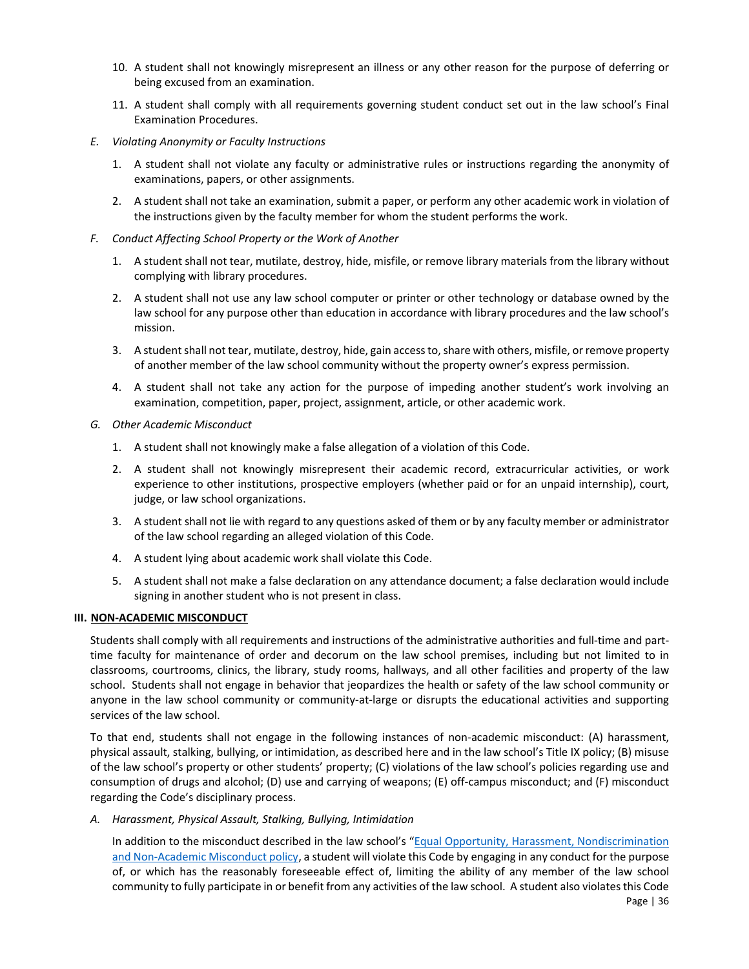- <span id="page-37-0"></span>10. A student shall not knowingly misrepresent an illness or any other reason for the purpose of deferring or being excused from an examination.
- 11. A student shall comply with all requirements governing student conduct set out in the law school's Final Examination Procedures.
- *E. Violating Anonymity or Faculty Instructions*
	- 1. A student shall not violate any faculty or administrative rules or instructions regarding the anonymity of examinations, papers, or other assignments.
	- 2. A student shall not take an examination, submit a paper, or perform any other academic work in violation of the instructions given by the faculty member for whom the student performs the work.
- *F. Conduct Affecting School Property or the Work of Another*
	- 1. A student shall not tear, mutilate, destroy, hide, misfile, or remove library materials from the library without complying with library procedures.
	- 2. A student shall not use any law school computer or printer or other technology or database owned by the law school for any purpose other than education in accordance with library procedures and the law school's mission.
	- 3. A student shall not tear, mutilate, destroy, hide, gain access to, share with others, misfile, or remove property of another member of the law school community without the property owner's express permission.
	- 4. A student shall not take any action for the purpose of impeding another student's work involving an examination, competition, paper, project, assignment, article, or other academic work.
- *G. Other Academic Misconduct*
	- 1. A student shall not knowingly make a false allegation of a violation of this Code.
	- 2. A student shall not knowingly misrepresent their academic record, extracurricular activities, or work experience to other institutions, prospective employers (whether paid or for an unpaid internship), court, judge, or law school organizations.
	- 3. A student shall not lie with regard to any questions asked of them or by any faculty member or administrator of the law school regarding an alleged violation of this Code.
	- 4. A student lying about academic work shall violate this Code.
	- 5. A student shall not make a false declaration on any attendance document; a false declaration would include signing in another student who is not present in class.

# **III.** NON-ACADEMIC MISCONDUCT

Students shall comply with all requirements and instructions of the administrative authorities and full-time and parttime faculty for maintenance of order and decorum on the law school premises, including but not limited to in classrooms, courtrooms, clinics, the library, study rooms, hallways, and all other facilities and property of the law school. Students shall not engage in behavior that jeopardizes the health or safety of the law school community or anyone in the law school community or community-at-large or disrupts the educational activities and supporting services of the law school.

To that end, students shall not engage in the following instances of non-academic misconduct: (A) harassment, physical assault, stalking, bullying, or intimidation, as described here and in the law school's Title IX policy; (B) misuse of the law school's property or other students' property; (C) violations of the law school's policies regarding use and consumption of drugs and alcohol; (D) use and carrying of weapons; (E) off‐campus misconduct; and (F) misconduct regarding the Code's disciplinary process.

*A. Harassment, Physical Assault, Stalking, Bullying, Intimidation* 

In addition to the misconduct described in the law school's ["Equal Opportunity, Harassment, Nondiscrimination](http://www.stcl.edu/stanley/pdf/Title-IX-Policy.pdf)  and Non-Academic Misconduct policy, a student will violate this Code by engaging in any conduct for the purpose of, or which has the reasonably foreseeable effect of, limiting the ability of any member of the law school community to fully participate in or benefit from any activities of the law school. A student also violates this Code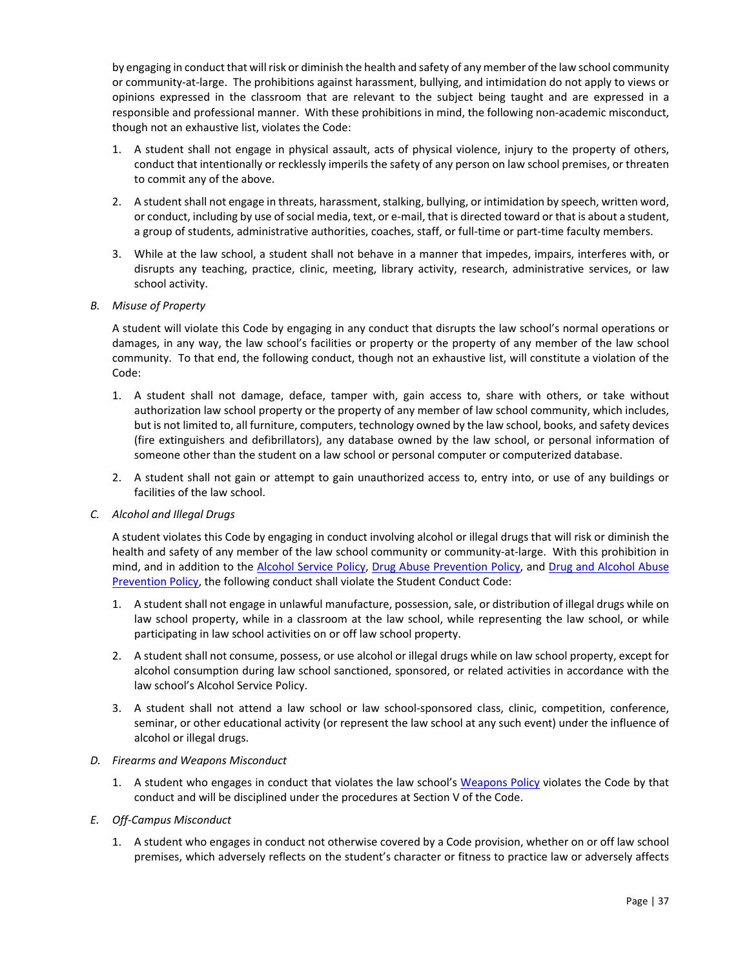by engaging in conduct that will risk or diminish the health and safety of any member of the law school community or community‐at‐large. The prohibitions against harassment, bullying, and intimidation do not apply to views or opinions expressed in the classroom that are relevant to the subject being taught and are expressed in a responsible and professional manner. With these prohibitions in mind, the following non‐academic misconduct, though not an exhaustive list, violates the Code:

- 1. A student shall not engage in physical assault, acts of physical violence, injury to the property of others, conduct that intentionally or recklessly imperils the safety of any person on law school premises, or threaten to commit any of the above.
- 2. A student shall not engage in threats, harassment, stalking, bullying, or intimidation by speech, written word, or conduct, including by use of social media, text, or e‐mail, that is directed toward or that is about a student, a group of students, administrative authorities, coaches, staff, or full-time or part-time faculty members.
- 3. While at the law school, a student shall not behave in a manner that impedes, impairs, interferes with, or disrupts any teaching, practice, clinic, meeting, library activity, research, administrative services, or law school activity.

### *B. Misuse of Property*

A student will violate this Code by engaging in any conduct that disrupts the law school's normal operations or damages, in any way, the law school's facilities or property or the property of any member of the law school community. To that end, the following conduct, though not an exhaustive list, will constitute a violation of the Code:

- 1. A student shall not damage, deface, tamper with, gain access to, share with others, or take without authorization law school property or the property of any member of law school community, which includes, but is not limited to, all furniture, computers, technology owned by the law school, books, and safety devices (fire extinguishers and defibrillators), any database owned by the law school, or personal information of someone other than the student on a law school or personal computer or computerized database.
- 2. A student shall not gain or attempt to gain unauthorized access to, entry into, or use of any buildings or facilities of the law school.
- *C. Alcohol and Illegal Drugs*

A student violates this Code by engaging in conduct involving alcohol or illegal drugs that will risk or diminish the health and safety of any member of the law school community or community-at-large. With this prohibition in mind, and in addition to th[e Alcohol Service Policy,](#page-42-0) [Drug Abuse Prevention Policy,](#page-46-0) and [Drug and Alcohol Abuse](#page-48-0)  [Prevention Policy,](#page-48-0) the following conduct shall violate the Student Conduct Code:

- 1. A student shall not engage in unlawful manufacture, possession, sale, or distribution of illegal drugs while on law school property, while in a classroom at the law school, while representing the law school, or while participating in law school activities on or off law school property.
- 2. A student shall not consume, possess, or use alcohol or illegal drugs while on law school property, except for alcohol consumption during law school sanctioned, sponsored, or related activities in accordance with the law school's Alcohol Service Policy.
- 3. A student shall not attend a law school or law school-sponsored class, clinic, competition, conference, seminar, or other educational activity (or represent the law school at any such event) under the influence of alcohol or illegal drugs.

### *D. Firearms and Weapons Misconduct*

- 1. A student who engages in conduct that violates the law school's [Weapons Policy](#page-54-0) violates the Code by that conduct and will be disciplined under the procedures at Section V of the Code.
- *E. Off‐Campus Misconduct* 
	- 1. A student who engages in conduct not otherwise covered by a Code provision, whether on or off law school premises, which adversely reflects on the student's character or fitness to practice law or adversely affects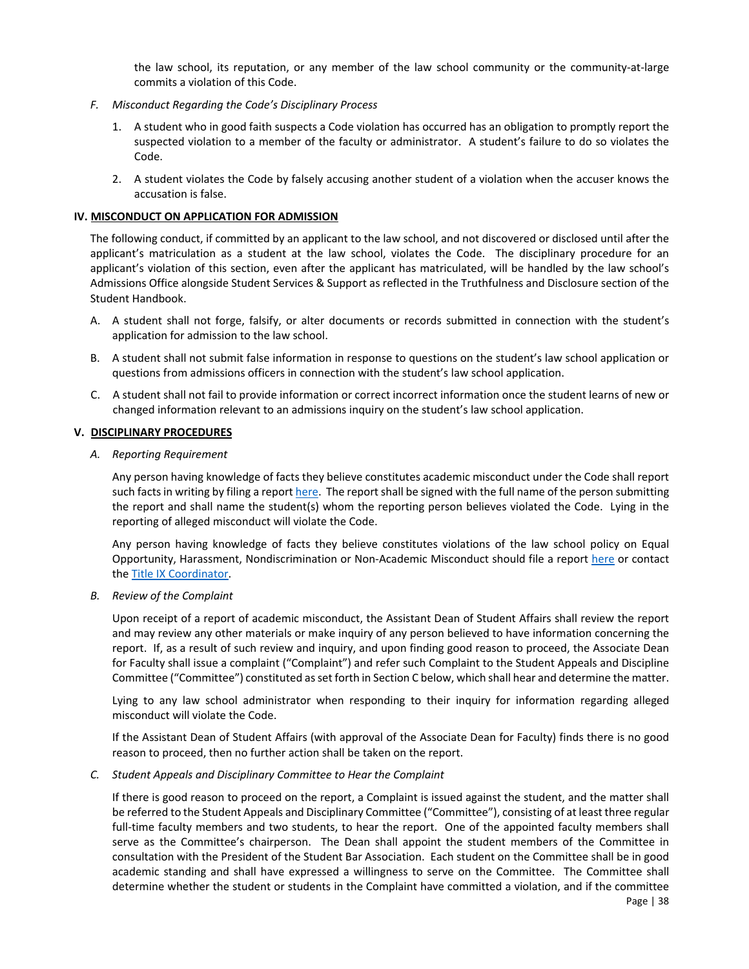the law school, its reputation, or any member of the law school community or the community-at-large commits a violation of this Code.

- <span id="page-39-0"></span>*F. Misconduct Regarding the Code's Disciplinary Process*
	- 1. A student who in good faith suspects a Code violation has occurred has an obligation to promptly report the suspected violation to a member of the faculty or administrator. A student's failure to do so violates the Code.
	- 2. A student violates the Code by falsely accusing another student of a violation when the accuser knows the accusation is false.

### **IV. MISCONDUCT ON APPLICATION FOR ADMISSION**

The following conduct, if committed by an applicant to the law school, and not discovered or disclosed until after the applicant's matriculation as a student at the law school, violates the Code. The disciplinary procedure for an applicant's violation of this section, even after the applicant has matriculated, will be handled by the law school's Admissions Office alongside Student Services & Support as reflected in the Truthfulness and Disclosure section of the Student Handbook.

- A. A student shall not forge, falsify, or alter documents or records submitted in connection with the student's application for admission to the law school.
- B. A student shall not submit false information in response to questions on the student's law school application or questions from admissions officers in connection with the student's law school application.
- C. A student shall not fail to provide information or correct incorrect information once the student learns of new or changed information relevant to an admissions inquiry on the student's law school application.

### **V. DISCIPLINARY PROCEDURES**

*A. Reporting Requirement*

Any person having knowledge of facts they believe constitutes academic misconduct under the Code shall report such facts in writing by filing a repor[t here.](https://cm.maxient.com/reportingform.php?STCLHouston&layout_id=1) The report shall be signed with the full name of the person submitting the report and shall name the student(s) whom the reporting person believes violated the Code. Lying in the reporting of alleged misconduct will violate the Code.

Any person having knowledge of facts they believe constitutes violations of the law school policy on Equal Opportunity, Harassment, Nondiscrimination or Non‐Academic Misconduct should file a repor[t here o](https://cm.maxient.com/reportingform.php?STCLHouston&layout_id=1)r contact th[e Title IX Coordinator.](mailto:wmorrow@stcl.edu)

*B. Review of the Complaint*

Upon receipt of a report of academic misconduct, the Assistant Dean of Student Affairs shall review the report and may review any other materials or make inquiry of any person believed to have information concerning the report. If, as a result of such review and inquiry, and upon finding good reason to proceed, the Associate Dean for Faculty shall issue a complaint ("Complaint") and refer such Complaint to the Student Appeals and Discipline Committee ("Committee") constituted as set forth in Section C below, which shall hear and determine the matter.

Lying to any law school administrator when responding to their inquiry for information regarding alleged misconduct will violate the Code.

If the Assistant Dean of Student Affairs (with approval of the Associate Dean for Faculty) finds there is no good reason to proceed, then no further action shall be taken on the report.

*C. Student Appeals and Disciplinary Committee to Hear the Complaint*

If there is good reason to proceed on the report, a Complaint is issued against the student, and the matter shall be referred to the Student Appeals and Disciplinary Committee ("Committee"), consisting of at least three regular full-time faculty members and two students, to hear the report. One of the appointed faculty members shall serve as the Committee's chairperson. The Dean shall appoint the student members of the Committee in consultation with the President of the Student Bar Association. Each student on the Committee shall be in good academic standing and shall have expressed a willingness to serve on the Committee. The Committee shall determine whether the student or students in the Complaint have committed a violation, and if the committee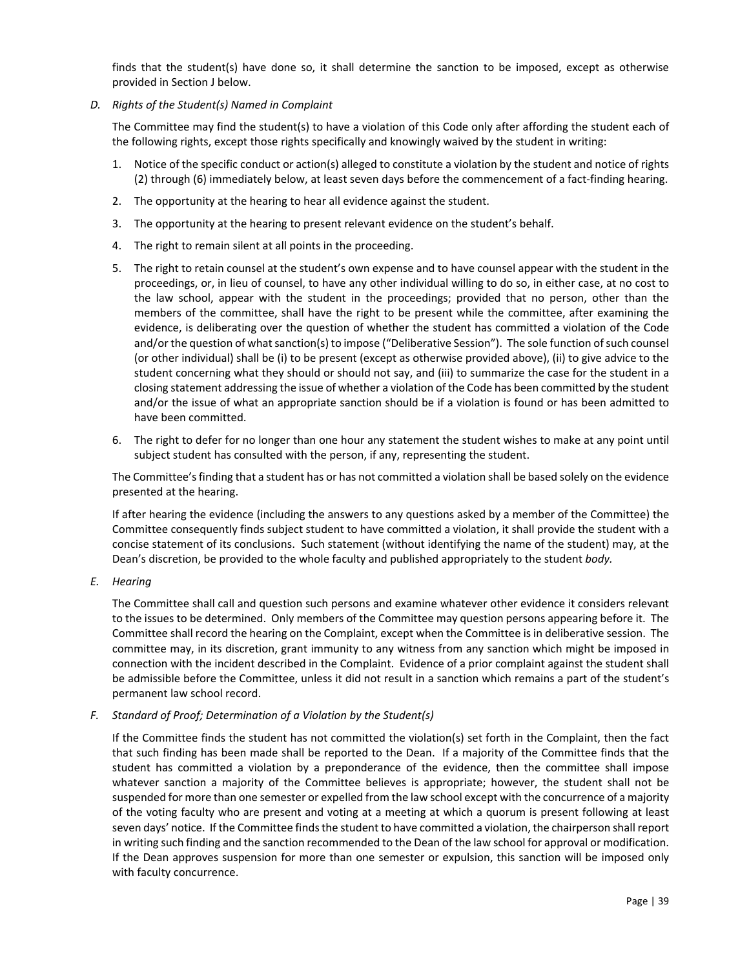finds that the student(s) have done so, it shall determine the sanction to be imposed, except as otherwise provided in Section J below.

*D. Rights of the Student(s) Named in Complaint* 

The Committee may find the student(s) to have a violation of this Code only after affording the student each of the following rights, except those rights specifically and knowingly waived by the student in writing:

- 1. Notice of the specific conduct or action(s) alleged to constitute a violation by the student and notice of rights (2) through (6) immediately below, at least seven days before the commencement of a fact‐finding hearing.
- 2. The opportunity at the hearing to hear all evidence against the student.
- 3. The opportunity at the hearing to present relevant evidence on the student's behalf.
- 4. The right to remain silent at all points in the proceeding.
- 5. The right to retain counsel at the student's own expense and to have counsel appear with the student in the proceedings, or, in lieu of counsel, to have any other individual willing to do so, in either case, at no cost to the law school, appear with the student in the proceedings; provided that no person, other than the members of the committee, shall have the right to be present while the committee, after examining the evidence, is deliberating over the question of whether the student has committed a violation of the Code and/or the question of what sanction(s) to impose ("Deliberative Session"). The sole function of such counsel (or other individual) shall be (i) to be present (except as otherwise provided above), (ii) to give advice to the student concerning what they should or should not say, and (iii) to summarize the case for the student in a closing statement addressing the issue of whether a violation of the Code has been committed by the student and/or the issue of what an appropriate sanction should be if a violation is found or has been admitted to have been committed.
- 6. The right to defer for no longer than one hour any statement the student wishes to make at any point until subject student has consulted with the person, if any, representing the student.

The Committee's finding that a student has or has not committed a violation shall be based solely on the evidence presented at the hearing.

If after hearing the evidence (including the answers to any questions asked by a member of the Committee) the Committee consequently finds subject student to have committed a violation, it shall provide the student with a concise statement of its conclusions. Such statement (without identifying the name of the student) may, at the Dean's discretion, be provided to the whole faculty and published appropriately to the student *body.* 

*E. Hearing* 

The Committee shall call and question such persons and examine whatever other evidence it considers relevant to the issues to be determined. Only members of the Committee may question persons appearing before it. The Committee shall record the hearing on the Complaint, except when the Committee is in deliberative session. The committee may, in its discretion, grant immunity to any witness from any sanction which might be imposed in connection with the incident described in the Complaint. Evidence of a prior complaint against the student shall be admissible before the Committee, unless it did not result in a sanction which remains a part of the student's permanent law school record.

*F. Standard of Proof; Determination of a Violation by the Student(s)* 

If the Committee finds the student has not committed the violation(s) set forth in the Complaint, then the fact that such finding has been made shall be reported to the Dean. If a majority of the Committee finds that the student has committed a violation by a preponderance of the evidence, then the committee shall impose whatever sanction a majority of the Committee believes is appropriate; however, the student shall not be suspended for more than one semester or expelled from the law school except with the concurrence of a majority of the voting faculty who are present and voting at a meeting at which a quorum is present following at least seven days' notice. If the Committee finds the student to have committed a violation, the chairperson shall report in writing such finding and the sanction recommended to the Dean of the law school for approval or modification. If the Dean approves suspension for more than one semester or expulsion, this sanction will be imposed only with faculty concurrence.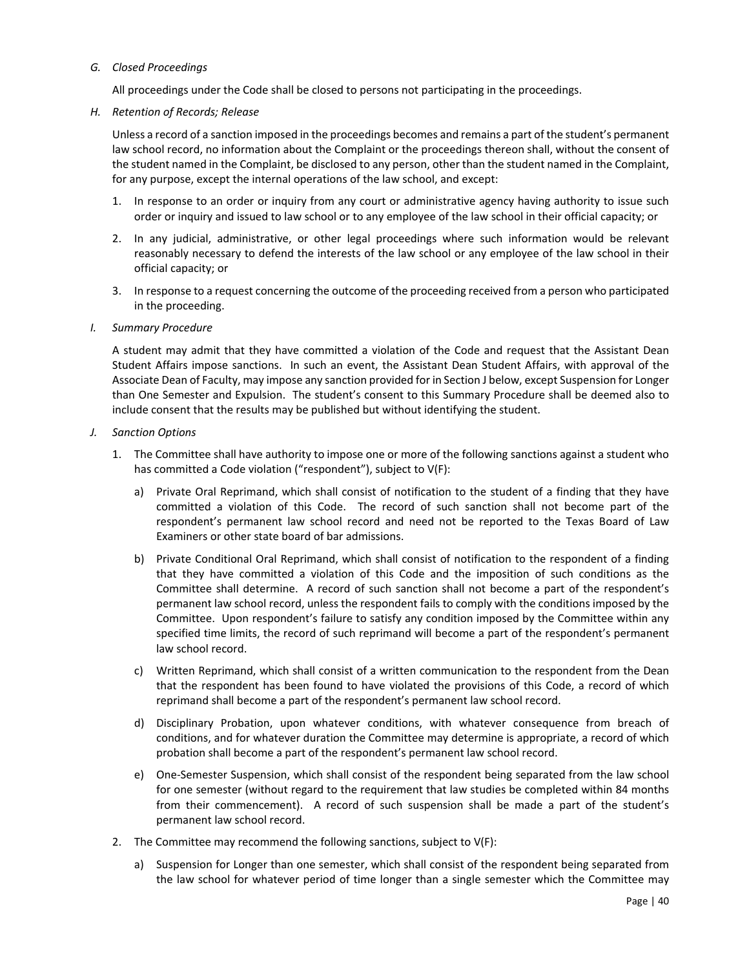### *G. Closed Proceedings*

All proceedings under the Code shall be closed to persons not participating in the proceedings.

### *H. Retention of Records; Release*

Unless a record of a sanction imposed in the proceedings becomes and remains a part of the student's permanent law school record, no information about the Complaint or the proceedings thereon shall, without the consent of the student named in the Complaint, be disclosed to any person, other than the student named in the Complaint, for any purpose, except the internal operations of the law school, and except:

- 1. In response to an order or inquiry from any court or administrative agency having authority to issue such order or inquiry and issued to law school or to any employee of the law school in their official capacity; or
- 2. In any judicial, administrative, or other legal proceedings where such information would be relevant reasonably necessary to defend the interests of the law school or any employee of the law school in their official capacity; or
- 3. In response to a request concerning the outcome of the proceeding received from a person who participated in the proceeding.

### *I. Summary Procedure*

A student may admit that they have committed a violation of the Code and request that the Assistant Dean Student Affairs impose sanctions. In such an event, the Assistant Dean Student Affairs, with approval of the Associate Dean of Faculty, may impose any sanction provided for in Section J below, except Suspension for Longer than One Semester and Expulsion. The student's consent to this Summary Procedure shall be deemed also to include consent that the results may be published but without identifying the student.

### *J. Sanction Options*

- 1. The Committee shall have authority to impose one or more of the following sanctions against a student who has committed a Code violation ("respondent"), subject to V(F):
	- a) Private Oral Reprimand, which shall consist of notification to the student of a finding that they have committed a violation of this Code. The record of such sanction shall not become part of the respondent's permanent law school record and need not be reported to the Texas Board of Law Examiners or other state board of bar admissions.
	- b) Private Conditional Oral Reprimand, which shall consist of notification to the respondent of a finding that they have committed a violation of this Code and the imposition of such conditions as the Committee shall determine. A record of such sanction shall not become a part of the respondent's permanent law school record, unless the respondent fails to comply with the conditions imposed by the Committee. Upon respondent's failure to satisfy any condition imposed by the Committee within any specified time limits, the record of such reprimand will become a part of the respondent's permanent law school record.
	- c) Written Reprimand, which shall consist of a written communication to the respondent from the Dean that the respondent has been found to have violated the provisions of this Code, a record of which reprimand shall become a part of the respondent's permanent law school record.
	- d) Disciplinary Probation, upon whatever conditions, with whatever consequence from breach of conditions, and for whatever duration the Committee may determine is appropriate, a record of which probation shall become a part of the respondent's permanent law school record.
	- e) One‐Semester Suspension, which shall consist of the respondent being separated from the law school for one semester (without regard to the requirement that law studies be completed within 84 months from their commencement). A record of such suspension shall be made a part of the student's permanent law school record.
- 2. The Committee may recommend the following sanctions, subject to V(F):
	- a) Suspension for Longer than one semester, which shall consist of the respondent being separated from the law school for whatever period of time longer than a single semester which the Committee may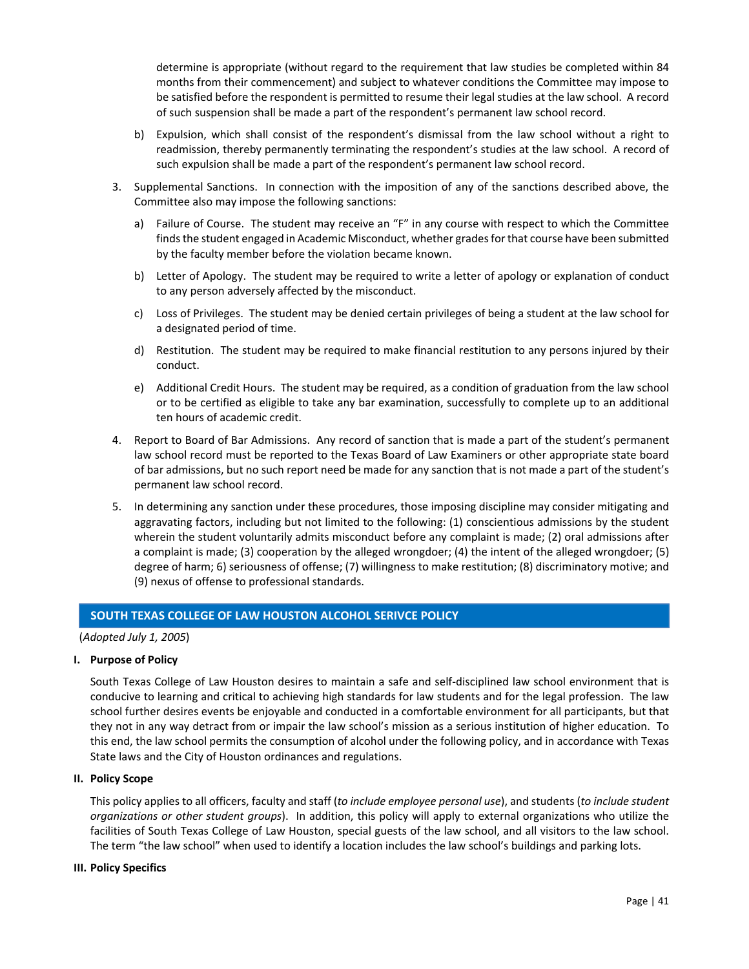<span id="page-42-0"></span>determine is appropriate (without regard to the requirement that law studies be completed within 84 months from their commencement) and subject to whatever conditions the Committee may impose to be satisfied before the respondent is permitted to resume their legal studies at the law school. A record of such suspension shall be made a part of the respondent's permanent law school record.

- b) Expulsion, which shall consist of the respondent's dismissal from the law school without a right to readmission, thereby permanently terminating the respondent's studies at the law school. A record of such expulsion shall be made a part of the respondent's permanent law school record.
- 3. Supplemental Sanctions. In connection with the imposition of any of the sanctions described above, the Committee also may impose the following sanctions:
	- a) Failure of Course. The student may receive an "F" in any course with respect to which the Committee finds the student engaged in Academic Misconduct, whether grades for that course have been submitted by the faculty member before the violation became known.
	- b) Letter of Apology. The student may be required to write a letter of apology or explanation of conduct to any person adversely affected by the misconduct.
	- c) Loss of Privileges. The student may be denied certain privileges of being a student at the law school for a designated period of time.
	- d) Restitution. The student may be required to make financial restitution to any persons injured by their conduct.
	- e) Additional Credit Hours. The student may be required, as a condition of graduation from the law school or to be certified as eligible to take any bar examination, successfully to complete up to an additional ten hours of academic credit.
- 4. Report to Board of Bar Admissions. Any record of sanction that is made a part of the student's permanent law school record must be reported to the Texas Board of Law Examiners or other appropriate state board of bar admissions, but no such report need be made for any sanction that is not made a part of the student's permanent law school record.
- 5. In determining any sanction under these procedures, those imposing discipline may consider mitigating and aggravating factors, including but not limited to the following: (1) conscientious admissions by the student wherein the student voluntarily admits misconduct before any complaint is made; (2) oral admissions after a complaint is made; (3) cooperation by the alleged wrongdoer; (4) the intent of the alleged wrongdoer; (5) degree of harm; 6) seriousness of offense; (7) willingness to make restitution; (8) discriminatory motive; and (9) nexus of offense to professional standards.

# **SOUTH TEXAS COLLEGE OF LAW HOUSTON ALCOHOL SERIVCE POLICY**

### (*Adopted July 1, 2005*)

### **I. Purpose of Policy**

South Texas College of Law Houston desires to maintain a safe and self‐disciplined law school environment that is conducive to learning and critical to achieving high standards for law students and for the legal profession. The law school further desires events be enjoyable and conducted in a comfortable environment for all participants, but that they not in any way detract from or impair the law school's mission as a serious institution of higher education. To this end, the law school permits the consumption of alcohol under the following policy, and in accordance with Texas State laws and the City of Houston ordinances and regulations.

### **II. Policy Scope**

This policy applies to all officers, faculty and staff (*to include employee personal use*), and students (*to include student organizations or other student groups*). In addition, this policy will apply to external organizations who utilize the facilities of South Texas College of Law Houston, special guests of the law school, and all visitors to the law school. The term "the law school" when used to identify a location includes the law school's buildings and parking lots.

#### **III. Policy Specifics**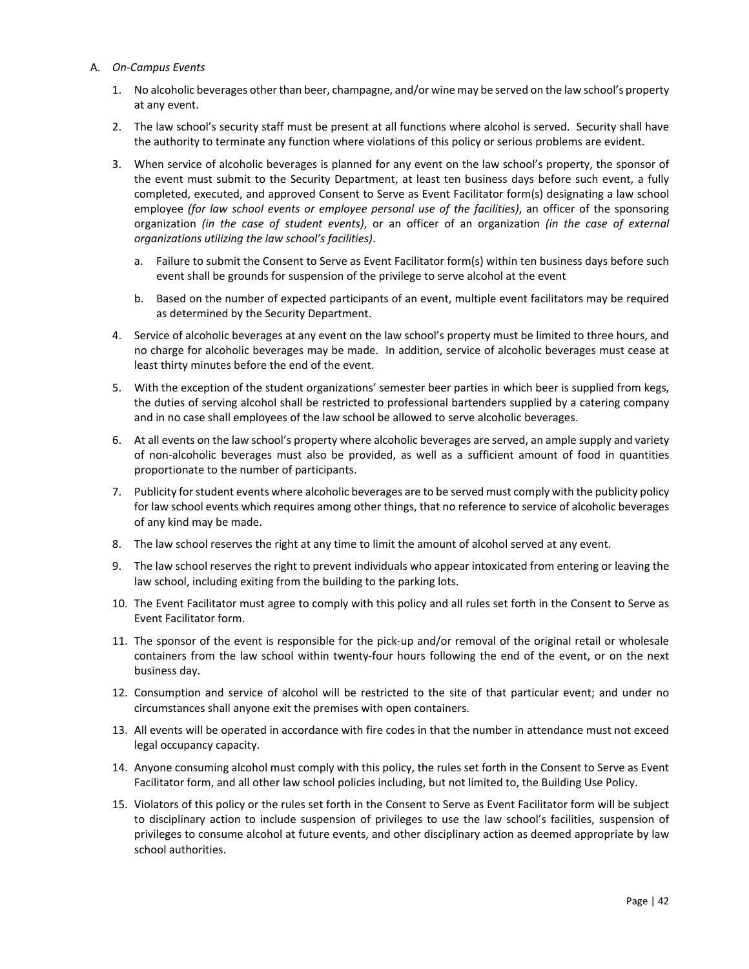### A. *On‐Campus Events*

- 1. No alcoholic beverages other than beer, champagne, and/or wine may be served on the law school's property at any event.
- 2. The law school's security staff must be present at all functions where alcohol is served. Security shall have the authority to terminate any function where violations of this policy or serious problems are evident.
- 3. When service of alcoholic beverages is planned for any event on the law school's property, the sponsor of the event must submit to the Security Department, at least ten business days before such event, a fully completed, executed, and approved Consent to Serve as Event Facilitator form(s) designating a law school employee *(for law school events or employee personal use of the facilities)*, an officer of the sponsoring organization *(in the case of student events)*, or an officer of an organization *(in the case of external organizations utilizing the law school's facilities)*.
	- a. Failure to submit the Consent to Serve as Event Facilitator form(s) within ten business days before such event shall be grounds for suspension of the privilege to serve alcohol at the event
	- b. Based on the number of expected participants of an event, multiple event facilitators may be required as determined by the Security Department.
- 4. Service of alcoholic beverages at any event on the law school's property must be limited to three hours, and no charge for alcoholic beverages may be made. In addition, service of alcoholic beverages must cease at least thirty minutes before the end of the event.
- 5. With the exception of the student organizations' semester beer parties in which beer is supplied from kegs, the duties of serving alcohol shall be restricted to professional bartenders supplied by a catering company and in no case shall employees of the law school be allowed to serve alcoholic beverages.
- 6. At all events on the law school's property where alcoholic beverages are served, an ample supply and variety of non‐alcoholic beverages must also be provided, as well as a sufficient amount of food in quantities proportionate to the number of participants.
- 7. Publicity for student events where alcoholic beverages are to be served must comply with the publicity policy for law school events which requires among other things, that no reference to service of alcoholic beverages of any kind may be made.
- 8. The law school reserves the right at any time to limit the amount of alcohol served at any event.
- 9. The law school reserves the right to prevent individuals who appear intoxicated from entering or leaving the law school, including exiting from the building to the parking lots.
- 10. The Event Facilitator must agree to comply with this policy and all rules set forth in the Consent to Serve as Event Facilitator form.
- 11. The sponsor of the event is responsible for the pick‐up and/or removal of the original retail or wholesale containers from the law school within twenty-four hours following the end of the event, or on the next business day.
- 12. Consumption and service of alcohol will be restricted to the site of that particular event; and under no circumstances shall anyone exit the premises with open containers.
- 13. All events will be operated in accordance with fire codes in that the number in attendance must not exceed legal occupancy capacity.
- 14. Anyone consuming alcohol must comply with this policy, the rules set forth in the Consent to Serve as Event Facilitator form, and all other law school policies including, but not limited to, the Building Use Policy.
- 15. Violators of this policy or the rules set forth in the Consent to Serve as Event Facilitator form will be subject to disciplinary action to include suspension of privileges to use the law school's facilities, suspension of privileges to consume alcohol at future events, and other disciplinary action as deemed appropriate by law school authorities.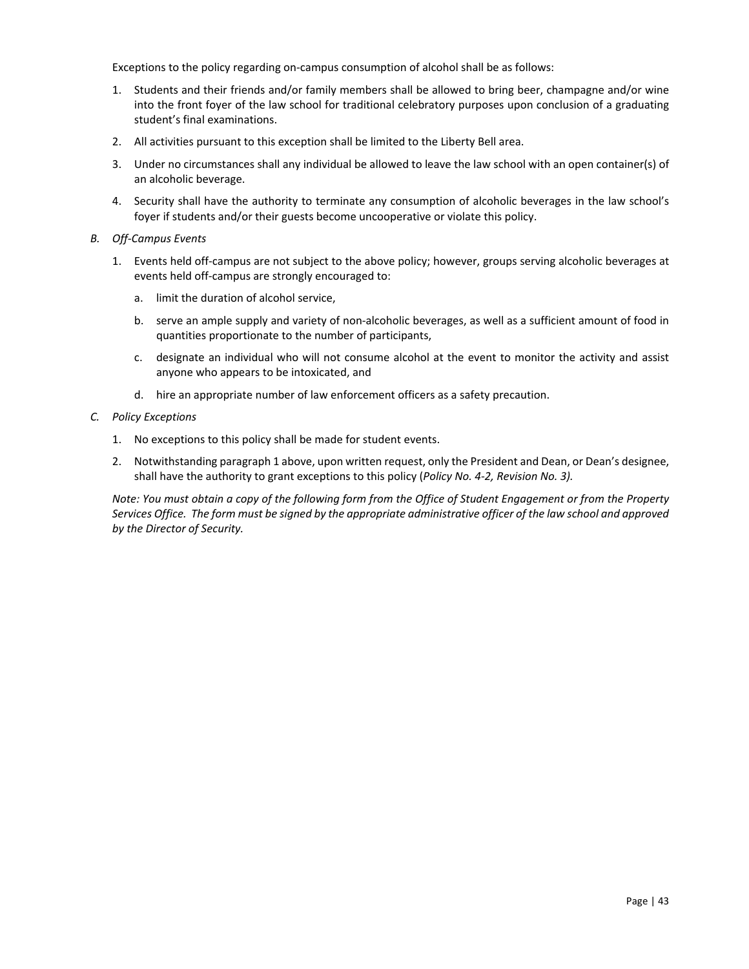Exceptions to the policy regarding on‐campus consumption of alcohol shall be as follows:

- 1. Students and their friends and/or family members shall be allowed to bring beer, champagne and/or wine into the front foyer of the law school for traditional celebratory purposes upon conclusion of a graduating student's final examinations.
- 2. All activities pursuant to this exception shall be limited to the Liberty Bell area.
- 3. Under no circumstances shall any individual be allowed to leave the law school with an open container(s) of an alcoholic beverage.
- 4. Security shall have the authority to terminate any consumption of alcoholic beverages in the law school's foyer if students and/or their guests become uncooperative or violate this policy.
- *B. Off‐Campus Events* 
	- 1. Events held off‐campus are not subject to the above policy; however, groups serving alcoholic beverages at events held off-campus are strongly encouraged to:
		- a. limit the duration of alcohol service,
		- b. serve an ample supply and variety of non‐alcoholic beverages, as well as a sufficient amount of food in quantities proportionate to the number of participants,
		- c. designate an individual who will not consume alcohol at the event to monitor the activity and assist anyone who appears to be intoxicated, and
		- d. hire an appropriate number of law enforcement officers as a safety precaution.
- *C. Policy Exceptions* 
	- 1. No exceptions to this policy shall be made for student events.
	- 2. Notwithstanding paragraph 1 above, upon written request, only the President and Dean, or Dean's designee, shall have the authority to grant exceptions to this policy (*Policy No. 4‐2, Revision No. 3).*

*Note: You must obtain a copy of the following form from the Office of Student Engagement or from the Property Services Office. The form must be signed by the appropriate administrative officer of the law school and approved by the Director of Security.*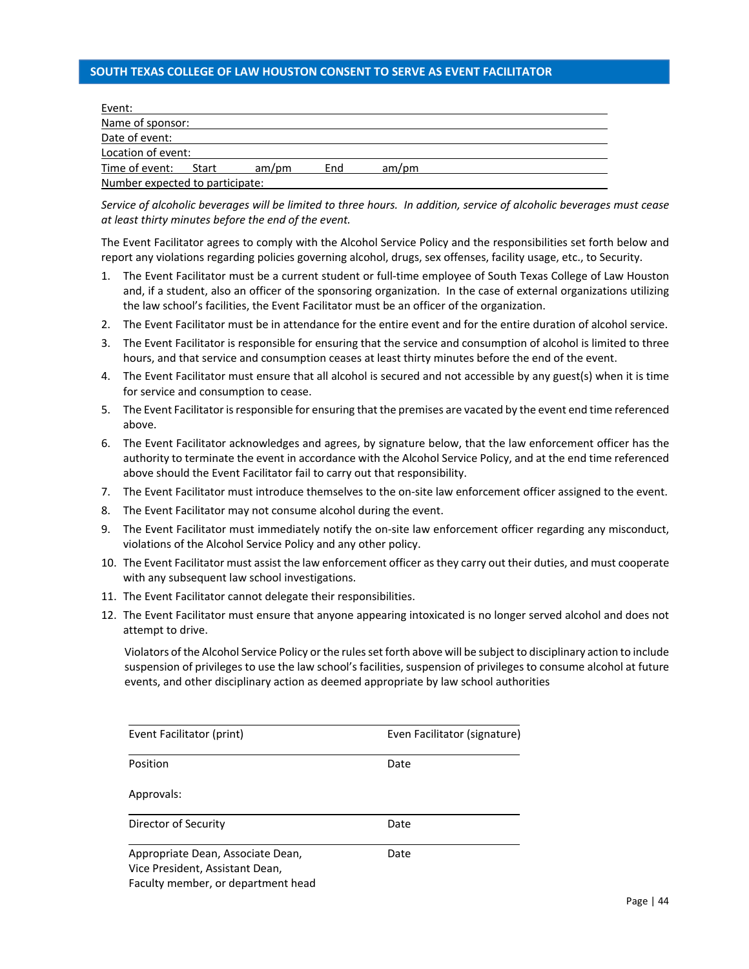# <span id="page-45-0"></span>**SOUTH TEXAS COLLEGE OF LAW HOUSTON CONSENT TO SERVE AS EVENT FACILITATOR**

| Event:                          |       |       |     |       |  |
|---------------------------------|-------|-------|-----|-------|--|
| Name of sponsor:                |       |       |     |       |  |
| Date of event:                  |       |       |     |       |  |
| Location of event:              |       |       |     |       |  |
| Time of event:                  | Start | am/pm | End | am/pm |  |
| Number expected to participate: |       |       |     |       |  |

*Service of alcoholic beverages will be limited to three hours. In addition, service of alcoholic beverages must cease at least thirty minutes before the end of the event.*

The Event Facilitator agrees to comply with the Alcohol Service Policy and the responsibilities set forth below and report any violations regarding policies governing alcohol, drugs, sex offenses, facility usage, etc., to Security.

- 1. The Event Facilitator must be a current student or full-time employee of South Texas College of Law Houston and, if a student, also an officer of the sponsoring organization. In the case of external organizations utilizing the law school's facilities, the Event Facilitator must be an officer of the organization.
- 2. The Event Facilitator must be in attendance for the entire event and for the entire duration of alcohol service.
- 3. The Event Facilitator is responsible for ensuring that the service and consumption of alcohol is limited to three hours, and that service and consumption ceases at least thirty minutes before the end of the event.
- 4. The Event Facilitator must ensure that all alcohol is secured and not accessible by any guest(s) when it is time for service and consumption to cease.
- 5. The Event Facilitator is responsible for ensuring that the premises are vacated by the event end time referenced above.
- 6. The Event Facilitator acknowledges and agrees, by signature below, that the law enforcement officer has the authority to terminate the event in accordance with the Alcohol Service Policy, and at the end time referenced above should the Event Facilitator fail to carry out that responsibility.
- 7. The Event Facilitator must introduce themselves to the on‐site law enforcement officer assigned to the event.
- 8. The Event Facilitator may not consume alcohol during the event.
- 9. The Event Facilitator must immediately notify the on-site law enforcement officer regarding any misconduct, violations of the Alcohol Service Policy and any other policy.
- 10. The Event Facilitator must assist the law enforcement officer as they carry out their duties, and must cooperate with any subsequent law school investigations.
- 11. The Event Facilitator cannot delegate their responsibilities.
- 12. The Event Facilitator must ensure that anyone appearing intoxicated is no longer served alcohol and does not attempt to drive.

Violators of the Alcohol Service Policy or the rules set forth above will be subject to disciplinary action to include suspension of privileges to use the law school's facilities, suspension of privileges to consume alcohol at future events, and other disciplinary action as deemed appropriate by law school authorities

| Event Facilitator (print)                                                                                  | Even Facilitator (signature) |  |  |
|------------------------------------------------------------------------------------------------------------|------------------------------|--|--|
| Position                                                                                                   | Date                         |  |  |
| Approvals:                                                                                                 |                              |  |  |
| Director of Security                                                                                       | Date                         |  |  |
| Appropriate Dean, Associate Dean,<br>Vice President, Assistant Dean,<br>Faculty member, or department head | Date                         |  |  |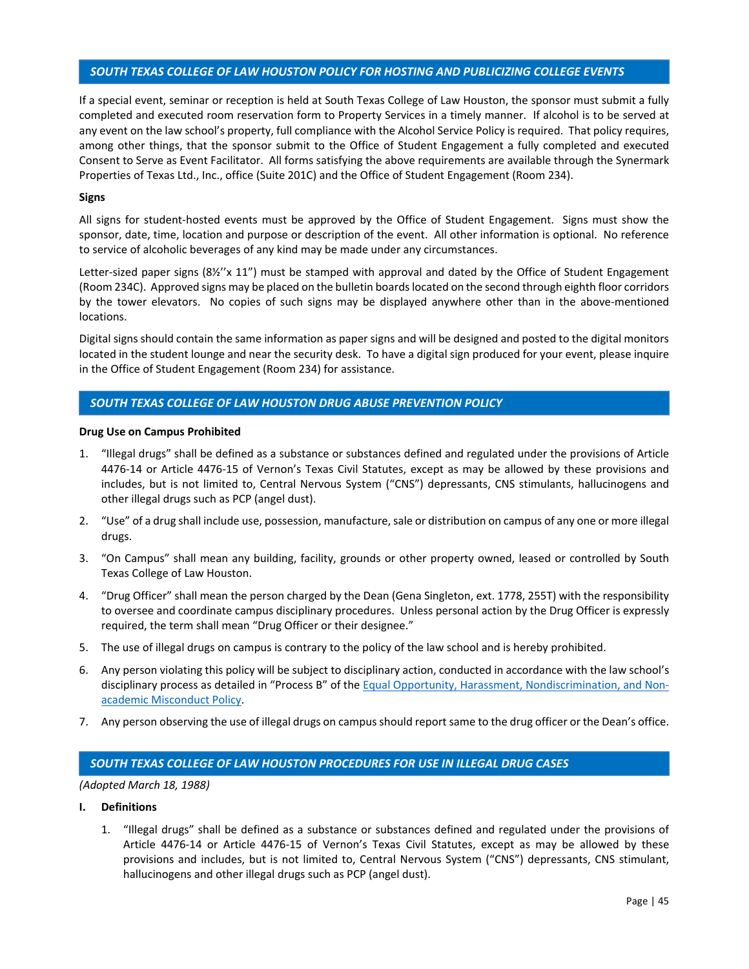# <span id="page-46-0"></span>*SOUTH TEXAS COLLEGE OF LAW HOUSTON POLICY FOR HOSTING AND PUBLICIZING COLLEGE EVENTS*

If a special event, seminar or reception is held at South Texas College of Law Houston, the sponsor must submit a fully completed and executed room reservation form to Property Services in a timely manner. If alcohol is to be served at any event on the law school's property, full compliance with the Alcohol Service Policy is required. That policy requires, among other things, that the sponsor submit to the Office of Student Engagement a fully completed and executed Consent to Serve as Event Facilitator. All forms satisfying the above requirements are available through the Synermark Properties of Texas Ltd., Inc., office (Suite 201C) and the Office of Student Engagement (Room 234).

### **Signs**

All signs for student-hosted events must be approved by the Office of Student Engagement. Signs must show the sponsor, date, time, location and purpose or description of the event. All other information is optional. No reference to service of alcoholic beverages of any kind may be made under any circumstances.

Letter-sized paper signs (8½"x 11") must be stamped with approval and dated by the Office of Student Engagement (Room 234C). Approved signs may be placed on the bulletin boards located on the second through eighth floor corridors by the tower elevators. No copies of such signs may be displayed anywhere other than in the above-mentioned locations.

Digital signs should contain the same information as paper signs and will be designed and posted to the digital monitors located in the student lounge and near the security desk. To have a digital sign produced for your event, please inquire in the Office of Student Engagement (Room 234) for assistance.

# *SOUTH TEXAS COLLEGE OF LAW HOUSTON DRUG ABUSE PREVENTION POLICY*

### **Drug Use on Campus Prohibited**

- 1. "Illegal drugs" shall be defined as a substance or substances defined and regulated under the provisions of Article 4476‐14 or Article 4476‐15 of Vernon's Texas Civil Statutes, except as may be allowed by these provisions and includes, but is not limited to, Central Nervous System ("CNS") depressants, CNS stimulants, hallucinogens and other illegal drugs such as PCP (angel dust).
- 2. "Use" of a drug shall include use, possession, manufacture, sale or distribution on campus of any one or more illegal drugs.
- 3. "On Campus" shall mean any building, facility, grounds or other property owned, leased or controlled by South Texas College of Law Houston.
- 4. "Drug Officer" shall mean the person charged by the Dean (Gena Singleton, ext. 1778, 255T) with the responsibility to oversee and coordinate campus disciplinary procedures. Unless personal action by the Drug Officer is expressly required, the term shall mean "Drug Officer or their designee."
- 5. The use of illegal drugs on campus is contrary to the policy of the law school and is hereby prohibited.
- 6. Any person violating this policy will be subject to disciplinary action, conducted in accordance with the law school's disciplinary process as detailed in "Process B" of the Equal Opportunity, Harassment, Nondiscrimination, and Non[academic Misconduct Policy.](#page-52-0)
- 7. Any person observing the use of illegal drugs on campus should report same to the drug officer or the Dean's office.

# *SOUTH TEXAS COLLEGE OF LAW HOUSTON PROCEDURES FOR USE IN ILLEGAL DRUG CASES*

*(Adopted March 18, 1988)* 

- **I. Definitions** 
	- 1. "Illegal drugs" shall be defined as a substance or substances defined and regulated under the provisions of Article 4476‐14 or Article 4476‐15 of Vernon's Texas Civil Statutes, except as may be allowed by these provisions and includes, but is not limited to, Central Nervous System ("CNS") depressants, CNS stimulant, hallucinogens and other illegal drugs such as PCP (angel dust).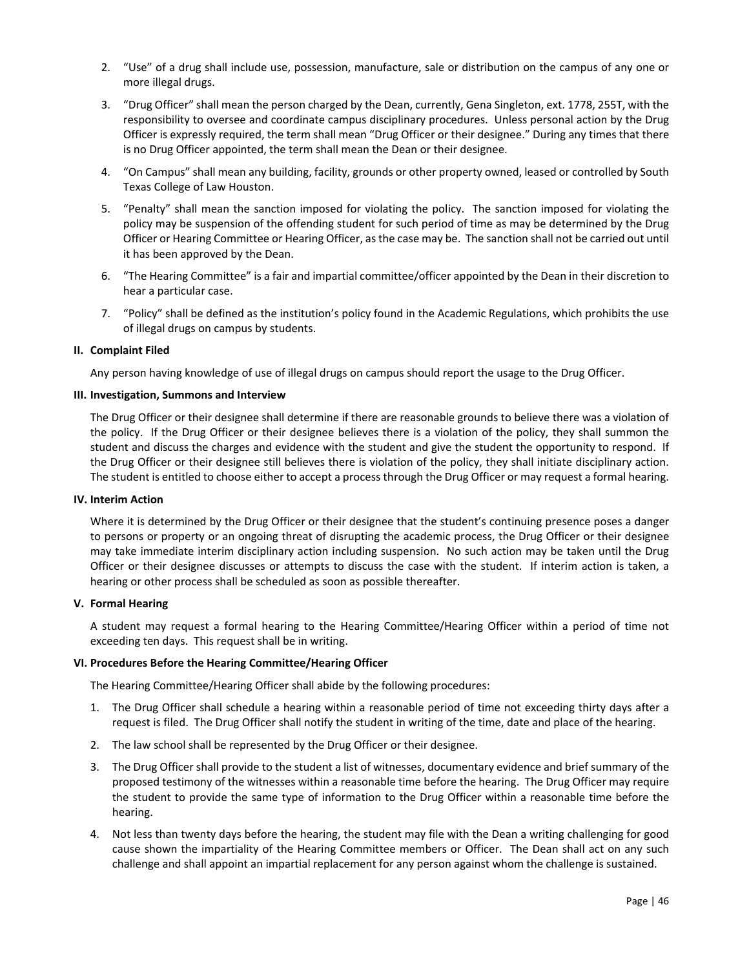- <span id="page-47-0"></span>2. "Use" of a drug shall include use, possession, manufacture, sale or distribution on the campus of any one or more illegal drugs.
- 3. "Drug Officer" shall mean the person charged by the Dean, currently, Gena Singleton, ext. 1778, 255T, with the responsibility to oversee and coordinate campus disciplinary procedures. Unless personal action by the Drug Officer is expressly required, the term shall mean "Drug Officer or their designee." During any times that there is no Drug Officer appointed, the term shall mean the Dean or their designee.
- 4. "On Campus" shall mean any building, facility, grounds or other property owned, leased or controlled by South Texas College of Law Houston.
- 5. "Penalty" shall mean the sanction imposed for violating the policy. The sanction imposed for violating the policy may be suspension of the offending student for such period of time as may be determined by the Drug Officer or Hearing Committee or Hearing Officer, as the case may be. The sanction shall not be carried out until it has been approved by the Dean.
- 6. "The Hearing Committee" is a fair and impartial committee/officer appointed by the Dean in their discretion to hear a particular case.
- 7. "Policy" shall be defined as the institution's policy found in the Academic Regulations, which prohibits the use of illegal drugs on campus by students.

### **II. Complaint Filed**

Any person having knowledge of use of illegal drugs on campus should report the usage to the Drug Officer.

### **III. Investigation, Summons and Interview**

The Drug Officer or their designee shall determine if there are reasonable grounds to believe there was a violation of the policy. If the Drug Officer or their designee believes there is a violation of the policy, they shall summon the student and discuss the charges and evidence with the student and give the student the opportunity to respond. If the Drug Officer or their designee still believes there is violation of the policy, they shall initiate disciplinary action. The student is entitled to choose either to accept a process through the Drug Officer or may request a formal hearing.

### **IV. Interim Action**

Where it is determined by the Drug Officer or their designee that the student's continuing presence poses a danger to persons or property or an ongoing threat of disrupting the academic process, the Drug Officer or their designee may take immediate interim disciplinary action including suspension. No such action may be taken until the Drug Officer or their designee discusses or attempts to discuss the case with the student. If interim action is taken, a hearing or other process shall be scheduled as soon as possible thereafter.

### **V. Formal Hearing**

A student may request a formal hearing to the Hearing Committee/Hearing Officer within a period of time not exceeding ten days. This request shall be in writing.

### **VI. Procedures Before the Hearing Committee/Hearing Officer**

The Hearing Committee/Hearing Officer shall abide by the following procedures:

- 1. The Drug Officer shall schedule a hearing within a reasonable period of time not exceeding thirty days after a request is filed. The Drug Officer shall notify the student in writing of the time, date and place of the hearing.
- 2. The law school shall be represented by the Drug Officer or their designee.
- 3. The Drug Officer shall provide to the student a list of witnesses, documentary evidence and brief summary of the proposed testimony of the witnesses within a reasonable time before the hearing. The Drug Officer may require the student to provide the same type of information to the Drug Officer within a reasonable time before the hearing.
- 4. Not less than twenty days before the hearing, the student may file with the Dean a writing challenging for good cause shown the impartiality of the Hearing Committee members or Officer. The Dean shall act on any such challenge and shall appoint an impartial replacement for any person against whom the challenge is sustained.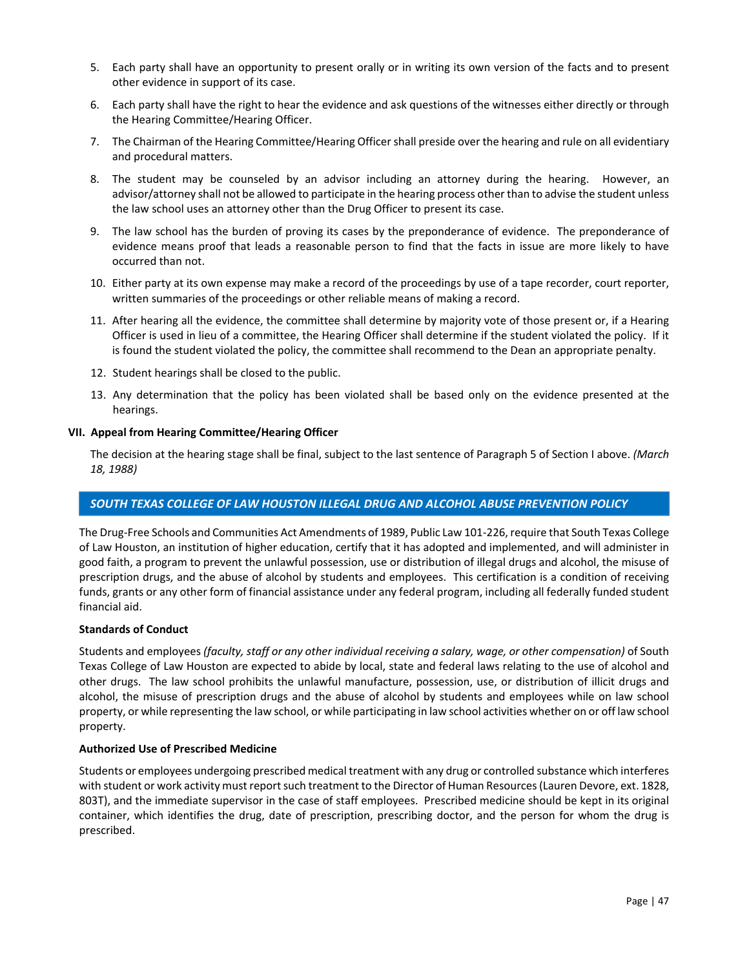- <span id="page-48-0"></span>5. Each party shall have an opportunity to present orally or in writing its own version of the facts and to present other evidence in support of its case.
- 6. Each party shall have the right to hear the evidence and ask questions of the witnesses either directly or through the Hearing Committee/Hearing Officer.
- 7. The Chairman of the Hearing Committee/Hearing Officer shall preside over the hearing and rule on all evidentiary and procedural matters.
- 8. The student may be counseled by an advisor including an attorney during the hearing. However, an advisor/attorney shall not be allowed to participate in the hearing process other than to advise the student unless the law school uses an attorney other than the Drug Officer to present its case.
- 9. The law school has the burden of proving its cases by the preponderance of evidence. The preponderance of evidence means proof that leads a reasonable person to find that the facts in issue are more likely to have occurred than not.
- 10. Either party at its own expense may make a record of the proceedings by use of a tape recorder, court reporter, written summaries of the proceedings or other reliable means of making a record.
- 11. After hearing all the evidence, the committee shall determine by majority vote of those present or, if a Hearing Officer is used in lieu of a committee, the Hearing Officer shall determine if the student violated the policy. If it is found the student violated the policy, the committee shall recommend to the Dean an appropriate penalty.
- 12. Student hearings shall be closed to the public.
- 13. Any determination that the policy has been violated shall be based only on the evidence presented at the hearings.

### **VII. Appeal from Hearing Committee/Hearing Officer**

The decision at the hearing stage shall be final, subject to the last sentence of Paragraph 5 of Section I above. *(March 18, 1988)* 

### *SOUTH TEXAS COLLEGE OF LAW HOUSTON ILLEGAL DRUG AND ALCOHOL ABUSE PREVENTION POLICY*

The Drug‐Free Schools and Communities Act Amendments of 1989, Public Law 101‐226, require that South Texas College of Law Houston, an institution of higher education, certify that it has adopted and implemented, and will administer in good faith, a program to prevent the unlawful possession, use or distribution of illegal drugs and alcohol, the misuse of prescription drugs, and the abuse of alcohol by students and employees. This certification is a condition of receiving funds, grants or any other form of financial assistance under any federal program, including all federally funded student financial aid.

### **Standards of Conduct**

Students and employees *(faculty, staff or any other individual receiving a salary, wage, or other compensation)* of South Texas College of Law Houston are expected to abide by local, state and federal laws relating to the use of alcohol and other drugs. The law school prohibits the unlawful manufacture, possession, use, or distribution of illicit drugs and alcohol, the misuse of prescription drugs and the abuse of alcohol by students and employees while on law school property, or while representing the law school, or while participating in law school activities whether on or off law school property.

### **Authorized Use of Prescribed Medicine**

Students or employees undergoing prescribed medical treatment with any drug or controlled substance which interferes with student or work activity must report such treatment to the Director of Human Resources (Lauren Devore, ext. 1828, 803T), and the immediate supervisor in the case of staff employees. Prescribed medicine should be kept in its original container, which identifies the drug, date of prescription, prescribing doctor, and the person for whom the drug is prescribed.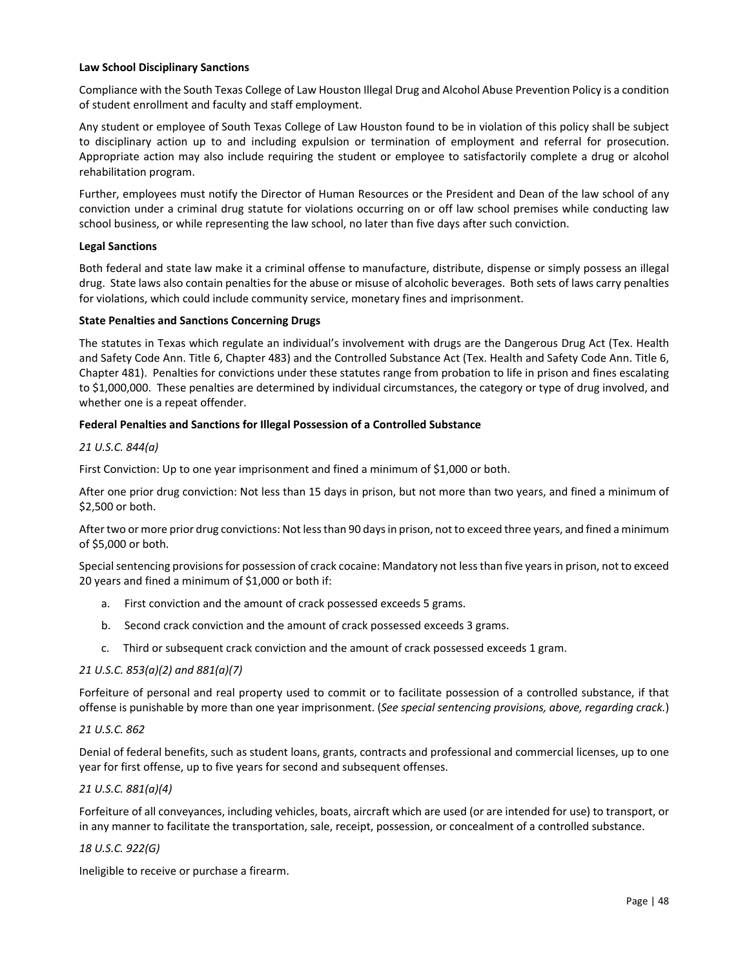### **Law School Disciplinary Sanctions**

Compliance with the South Texas College of Law Houston Illegal Drug and Alcohol Abuse Prevention Policy is a condition of student enrollment and faculty and staff employment.

Any student or employee of South Texas College of Law Houston found to be in violation of this policy shall be subject to disciplinary action up to and including expulsion or termination of employment and referral for prosecution. Appropriate action may also include requiring the student or employee to satisfactorily complete a drug or alcohol rehabilitation program.

Further, employees must notify the Director of Human Resources or the President and Dean of the law school of any conviction under a criminal drug statute for violations occurring on or off law school premises while conducting law school business, or while representing the law school, no later than five days after such conviction.

# **Legal Sanctions**

Both federal and state law make it a criminal offense to manufacture, distribute, dispense or simply possess an illegal drug. State laws also contain penalties for the abuse or misuse of alcoholic beverages. Both sets of laws carry penalties for violations, which could include community service, monetary fines and imprisonment.

### **State Penalties and Sanctions Concerning Drugs**

The statutes in Texas which regulate an individual's involvement with drugs are the Dangerous Drug Act (Tex. Health and Safety Code Ann. Title 6, Chapter 483) and the Controlled Substance Act (Tex. Health and Safety Code Ann. Title 6, Chapter 481). Penalties for convictions under these statutes range from probation to life in prison and fines escalating to \$1,000,000. These penalties are determined by individual circumstances, the category or type of drug involved, and whether one is a repeat offender.

### **Federal Penalties and Sanctions for Illegal Possession of a Controlled Substance**

### *21 U.S.C. 844(a)*

First Conviction: Up to one year imprisonment and fined a minimum of \$1,000 or both.

After one prior drug conviction: Not less than 15 days in prison, but not more than two years, and fined a minimum of \$2,500 or both.

After two or more prior drug convictions: Not less than 90 days in prison, not to exceed three years, and fined a minimum of \$5,000 or both.

Special sentencing provisions for possession of crack cocaine: Mandatory not less than five years in prison, not to exceed 20 years and fined a minimum of \$1,000 or both if:

- a. First conviction and the amount of crack possessed exceeds 5 grams.
- b. Second crack conviction and the amount of crack possessed exceeds 3 grams.
- c. Third or subsequent crack conviction and the amount of crack possessed exceeds 1 gram.

# *21 U.S.C. 853(a)(2) and 881(a)(7)*

Forfeiture of personal and real property used to commit or to facilitate possession of a controlled substance, if that offense is punishable by more than one year imprisonment. (*See special sentencing provisions, above, regarding crack.*)

### *21 U.S.C. 862*

Denial of federal benefits, such as student loans, grants, contracts and professional and commercial licenses, up to one year for first offense, up to five years for second and subsequent offenses.

### *21 U.S.C. 881(a)(4)*

Forfeiture of all conveyances, including vehicles, boats, aircraft which are used (or are intended for use) to transport, or in any manner to facilitate the transportation, sale, receipt, possession, or concealment of a controlled substance.

### *18 U.S.C. 922(G)*

Ineligible to receive or purchase a firearm.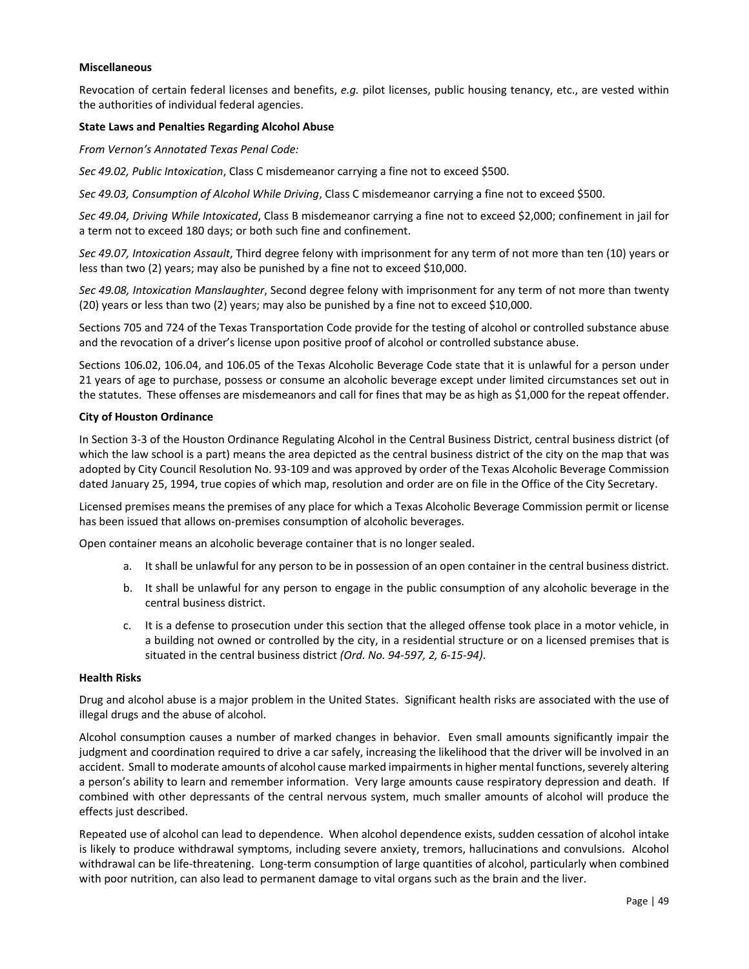### **Miscellaneous**

Revocation of certain federal licenses and benefits, *e.g.* pilot licenses, public housing tenancy, etc., are vested within the authorities of individual federal agencies.

### **State Laws and Penalties Regarding Alcohol Abuse**

*From Vernon's Annotated Texas Penal Code:*

*Sec 49.02, Public Intoxication*, Class C misdemeanor carrying a fine not to exceed \$500.

*Sec 49.03, Consumption of Alcohol While Driving*, Class C misdemeanor carrying a fine not to exceed \$500.

*Sec 49.04, Driving While Intoxicated*, Class B misdemeanor carrying a fine not to exceed \$2,000; confinement in jail for a term not to exceed 180 days; or both such fine and confinement.

*Sec 49.07, Intoxication Assault*, Third degree felony with imprisonment for any term of not more than ten (10) years or less than two (2) years; may also be punished by a fine not to exceed \$10,000.

*Sec 49.08, Intoxication Manslaughter*, Second degree felony with imprisonment for any term of not more than twenty (20) years or less than two (2) years; may also be punished by a fine not to exceed \$10,000.

Sections 705 and 724 of the Texas Transportation Code provide for the testing of alcohol or controlled substance abuse and the revocation of a driver's license upon positive proof of alcohol or controlled substance abuse.

Sections 106.02, 106.04, and 106.05 of the Texas Alcoholic Beverage Code state that it is unlawful for a person under 21 years of age to purchase, possess or consume an alcoholic beverage except under limited circumstances set out in the statutes. These offenses are misdemeanors and call for fines that may be as high as \$1,000 for the repeat offender.

### **City of Houston Ordinance**

In Section 3‐3 of the Houston Ordinance Regulating Alcohol in the Central Business District, central business district (of which the law school is a part) means the area depicted as the central business district of the city on the map that was adopted by City Council Resolution No. 93‐109 and was approved by order of the Texas Alcoholic Beverage Commission dated January 25, 1994, true copies of which map, resolution and order are on file in the Office of the City Secretary.

Licensed premises means the premises of any place for which a Texas Alcoholic Beverage Commission permit or license has been issued that allows on-premises consumption of alcoholic beverages.

Open container means an alcoholic beverage container that is no longer sealed.

- a. It shall be unlawful for any person to be in possession of an open container in the central business district.
- b. It shall be unlawful for any person to engage in the public consumption of any alcoholic beverage in the central business district.
- c. It is a defense to prosecution under this section that the alleged offense took place in a motor vehicle, in a building not owned or controlled by the city, in a residential structure or on a licensed premises that is situated in the central business district *(Ord. No. 94‐597, 2, 6‐15‐94)*.

### **Health Risks**

Drug and alcohol abuse is a major problem in the United States. Significant health risks are associated with the use of illegal drugs and the abuse of alcohol.

Alcohol consumption causes a number of marked changes in behavior. Even small amounts significantly impair the judgment and coordination required to drive a car safely, increasing the likelihood that the driver will be involved in an accident. Small to moderate amounts of alcohol cause marked impairments in higher mental functions, severely altering a person's ability to learn and remember information. Very large amounts cause respiratory depression and death. If combined with other depressants of the central nervous system, much smaller amounts of alcohol will produce the effects just described.

Repeated use of alcohol can lead to dependence. When alcohol dependence exists, sudden cessation of alcohol intake is likely to produce withdrawal symptoms, including severe anxiety, tremors, hallucinations and convulsions. Alcohol withdrawal can be life‐threatening. Long‐term consumption of large quantities of alcohol, particularly when combined with poor nutrition, can also lead to permanent damage to vital organs such as the brain and the liver.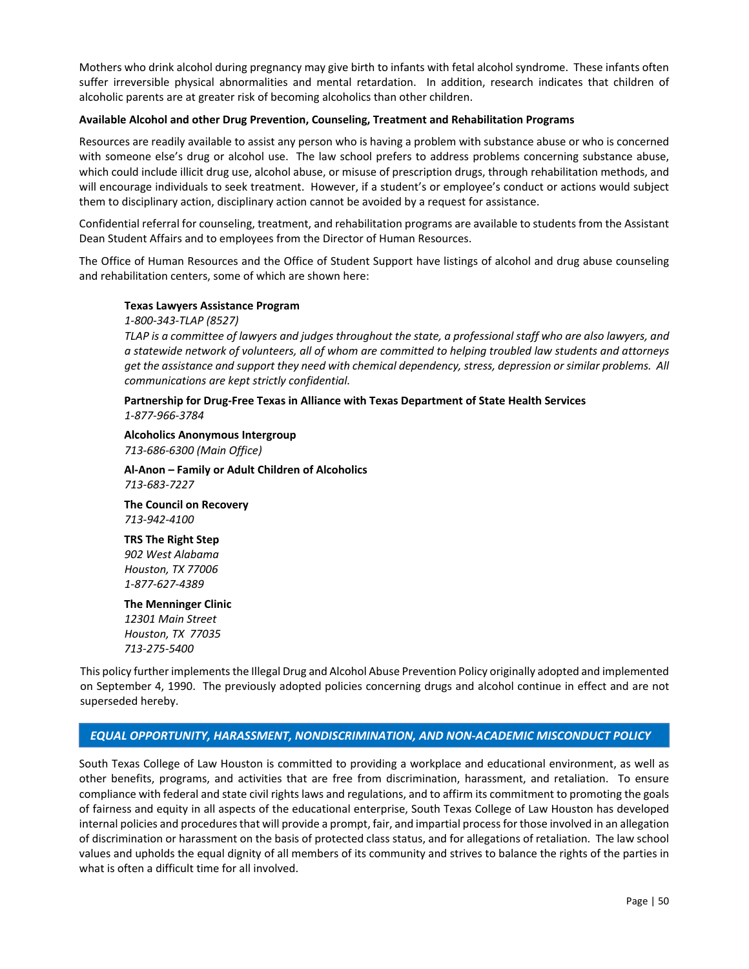Mothers who drink alcohol during pregnancy may give birth to infants with fetal alcohol syndrome. These infants often suffer irreversible physical abnormalities and mental retardation. In addition, research indicates that children of alcoholic parents are at greater risk of becoming alcoholics than other children.

#### **Available Alcohol and other Drug Prevention, Counseling, Treatment and Rehabilitation Programs**

Resources are readily available to assist any person who is having a problem with substance abuse or who is concerned with someone else's drug or alcohol use. The law school prefers to address problems concerning substance abuse, which could include illicit drug use, alcohol abuse, or misuse of prescription drugs, through rehabilitation methods, and will encourage individuals to seek treatment. However, if a student's or employee's conduct or actions would subject them to disciplinary action, disciplinary action cannot be avoided by a request for assistance.

Confidential referral for counseling, treatment, and rehabilitation programs are available to students from the Assistant Dean Student Affairs and to employees from the Director of Human Resources.

The Office of Human Resources and the Office of Student Support have listings of alcohol and drug abuse counseling and rehabilitation centers, some of which are shown here:

### **Texas Lawyers Assistance Program**

*1‐800‐343‐TLAP (8527)*

*TLAP is a committee of lawyers and judges throughout the state, a professional staff who are also lawyers, and a statewide network of volunteers, all of whom are committed to helping troubled law students and attorneys get the assistance and support they need with chemical dependency, stress, depression or similar problems. All communications are kept strictly confidential.*

### **Partnership for Drug‐Free Texas in Alliance with Texas Department of State Health Services** *1‐877‐966‐3784*

**Alcoholics Anonymous Intergroup** 

*713‐686‐6300 (Main Office)*

### **Al‐Anon – Family or Adult Children of Alcoholics**  *713‐683‐7227*

**The Council on Recovery**  *713‐942‐4100*

**TRS The Right Step**  *902 West Alabama Houston, TX 77006 1‐877‐627‐4389*

# **The Menninger Clinic**

*12301 Main Street Houston, TX 77035 713‐275‐5400*

This policy further implements the Illegal Drug and Alcohol Abuse Prevention Policy originally adopted and implemented on September 4, 1990. The previously adopted policies concerning drugs and alcohol continue in effect and are not superseded hereby.

### *EQUAL OPPORTUNITY, HARASSMENT, NONDISCRIMINATION, AND NON‐ACADEMIC MISCONDUCT POLICY*

South Texas College of Law Houston is committed to providing a workplace and educational environment, as well as other benefits, programs, and activities that are free from discrimination, harassment, and retaliation. To ensure compliance with federal and state civil rights laws and regulations, and to affirm its commitment to promoting the goals of fairness and equity in all aspects of the educational enterprise, South Texas College of Law Houston has developed internal policies and procedures that will provide a prompt, fair, and impartial process for those involved in an allegation of discrimination or harassment on the basis of protected class status, and for allegations of retaliation. The law school values and upholds the equal dignity of all members of its community and strives to balance the rights of the parties in what is often a difficult time for all involved.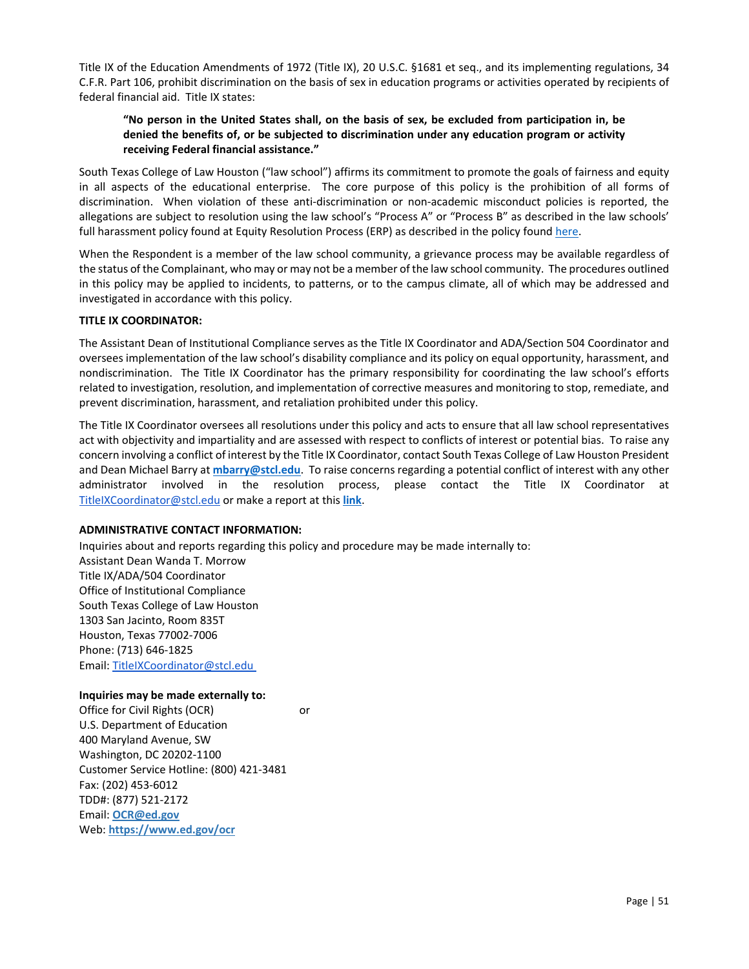<span id="page-52-0"></span>Title IX of the Education Amendments of 1972 (Title IX), 20 U.S.C. §1681 et seq., and its implementing regulations, 34 C.F.R. Part 106, prohibit discrimination on the basis of sex in education programs or activities operated by recipients of federal financial aid. Title IX states:

# **"No person in the United States shall, on the basis of sex, be excluded from participation in, be denied the benefits of, or be subjected to discrimination under any education program or activity receiving Federal financial assistance."**

South Texas College of Law Houston ("law school") affirms its commitment to promote the goals of fairness and equity in all aspects of the educational enterprise. The core purpose of this policy is the prohibition of all forms of discrimination. When violation of these anti-discrimination or non-academic misconduct policies is reported, the allegations are subject to resolution using the law school's "Process A" or "Process B" as described in the law schools' full harassment policy found at Equity Resolution Process (ERP) as described in the policy found here.

When the Respondent is a member of the law school community, a grievance process may be available regardless of the status of the Complainant, who may or may not be a member of the law school community. The procedures outlined in this policy may be applied to incidents, to patterns, or to the campus climate, all of which may be addressed and investigated in accordance with this policy.

### **TITLE IX COORDINATOR:**

The Assistant Dean of Institutional Compliance serves as the Title IX Coordinator and ADA/Section 504 Coordinator and oversees implementation of the law school's disability compliance and its policy on equal opportunity, harassment, and nondiscrimination. The Title IX Coordinator has the primary responsibility for coordinating the law school's efforts related to investigation, resolution, and implementation of corrective measures and monitoring to stop, remediate, and prevent discrimination, harassment, and retaliation prohibited under this policy.

The Title IX Coordinator oversees all resolutions under this policy and acts to ensure that all law school representatives act with objectivity and impartiality and are assessed with respect to conflicts of interest or potential bias. To raise any concern involving a conflict of interest by the Title IX Coordinator, contact South Texas College of Law Houston President and Dean Michael Barry at **[mbarry@stcl.edu](mailto:mbarry@stcl.edu)**. To raise concerns regarding a potential conflict of interest with any other administrator involved in the resolution process, please contact the Title IX Coordinator at [TitleIXCoordinator@stcl.edu](mailto:TitleIXCoordinator@stcl.edu) or make a report at this **[link](https://cm.maxient.com/reportingform.php?STCLHouston&layout_id=40)**.

### **ADMINISTRATIVE CONTACT INFORMATION:**

Inquiries about and reports regarding this policy and procedure may be made internally to: Assistant Dean Wanda T. Morrow Title IX/ADA/504 Coordinator Office of Institutional Compliance South Texas College of Law Houston 1303 San Jacinto, Room 835T Houston, Texas 77002‐7006 Phone: (713) 646‐1825 Email[: TitleIXCoordinator@stcl.edu](mailto:TitleIXCoordinator@stcl.edu) 

### **Inquiries may be made externally to:**

Office for Civil Rights (OCR) or U.S. Department of Education 400 Maryland Avenue, SW Washington, DC 20202‐1100 Customer Service Hotline: (800) 421‐3481 Fax: (202) 453‐6012  TDD#: (877) 521‐2172 Email: **[OCR@ed.gov](mailto:OCR@ed.gov)** Web: **<https://www.ed.gov/ocr>**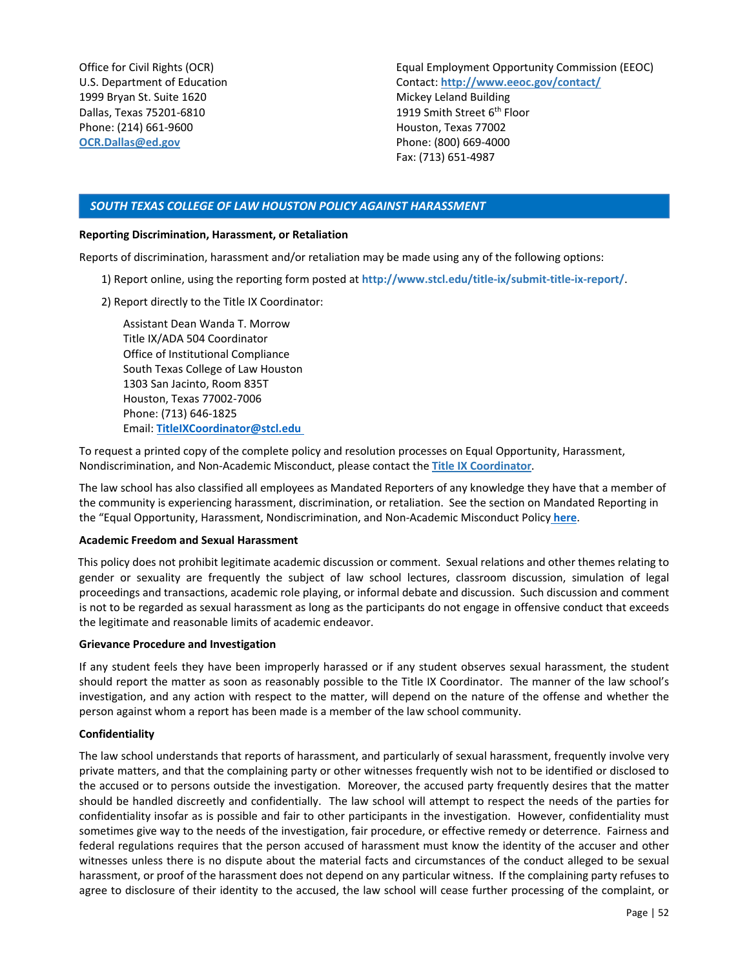<span id="page-53-0"></span>Office for Civil Rights (OCR) U.S. Department of Education 1999 Bryan St. Suite 1620 Dallas, Texas 75201‐6810 Phone: (214) 661‐9600 **[OCR.Dallas@ed.gov](mailto:OCR.Dallas@ed.gov)** 

Equal Employment Opportunity Commission (EEOC) Contact: **<http://www.eeoc.gov/contact/>** Mickey Leland Building 1919 Smith Street 6<sup>th</sup> Floor Houston, Texas 77002 Phone: (800) 669‐4000 Fax: (713) 651‐4987

# *SOUTH TEXAS COLLEGE OF LAW HOUSTON POLICY AGAINST HARASSMENT*

#### **Reporting Discrimination, Harassment, or Retaliation**

Reports of discrimination, harassment and/or retaliation may be made using any of the following options:

- 1) Report online, using the reporting form posted at **[http://www.stcl.edu/title‐ix/submit‐title‐ix‐report/](https://cm.maxient.com/reportingform.php?STCLHouston&layout_id=40)**.
- 2) Report directly to the Title IX Coordinator:

Assistant Dean Wanda T. Morrow Title IX/ADA 504 Coordinator Office of Institutional Compliance South Texas College of Law Houston 1303 San Jacinto, Room 835T Houston, Texas 77002‐7006 Phone: (713) 646‐1825 Email: **[TitleIXCoordinator@stcl.edu](mailto:TitleIXCoordinator@stcl.edu)** 

 To request a printed copy of the complete policy and resolution processes on Equal Opportunity, Harassment, Nondiscrimination, and Non‐Academic Misconduct, please contact the **[Title IX Coordinator](mailto:TitleIXCoordinator@stcl.edu)**.

 The law school has also classified all employees as Mandated Reporters of any knowledge they have that a member of the community is experiencing harassment, discrimination, or retaliation. See the section on Mandated Reporting in the "Equal Opportunity, Harassment, Nondiscrimination, and Non‐Academic Misconduct Policy **[here](http://www.stcl.edu/stanley/pdf/Title-IX-Policy.pdf)**.

#### **Academic Freedom and Sexual Harassment**

This policy does not prohibit legitimate academic discussion or comment. Sexual relations and other themes relating to gender or sexuality are frequently the subject of law school lectures, classroom discussion, simulation of legal proceedings and transactions, academic role playing, or informal debate and discussion. Such discussion and comment is not to be regarded as sexual harassment as long as the participants do not engage in offensive conduct that exceeds the legitimate and reasonable limits of academic endeavor.

#### **Grievance Procedure and Investigation**

If any student feels they have been improperly harassed or if any student observes sexual harassment, the student should report the matter as soon as reasonably possible to the Title IX Coordinator. The manner of the law school's investigation, and any action with respect to the matter, will depend on the nature of the offense and whether the person against whom a report has been made is a member of the law school community.

### **Confidentiality**

The law school understands that reports of harassment, and particularly of sexual harassment, frequently involve very private matters, and that the complaining party or other witnesses frequently wish not to be identified or disclosed to the accused or to persons outside the investigation. Moreover, the accused party frequently desires that the matter should be handled discreetly and confidentially. The law school will attempt to respect the needs of the parties for confidentiality insofar as is possible and fair to other participants in the investigation. However, confidentiality must sometimes give way to the needs of the investigation, fair procedure, or effective remedy or deterrence. Fairness and federal regulations requires that the person accused of harassment must know the identity of the accuser and other witnesses unless there is no dispute about the material facts and circumstances of the conduct alleged to be sexual harassment, or proof of the harassment does not depend on any particular witness. If the complaining party refuses to agree to disclosure of their identity to the accused, the law school will cease further processing of the complaint, or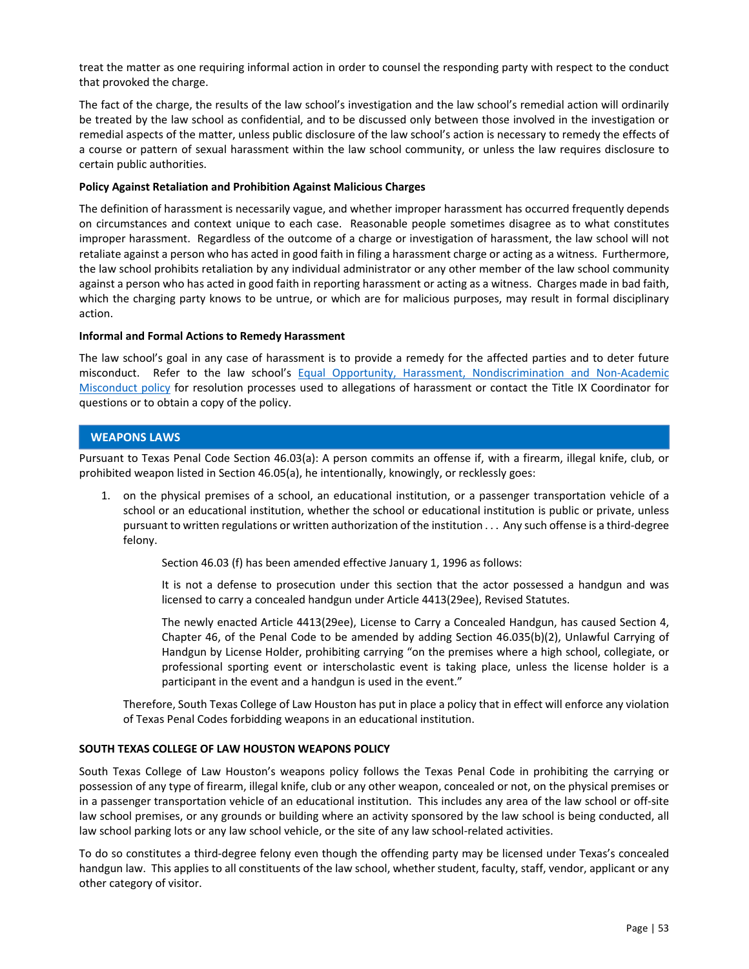<span id="page-54-0"></span>treat the matter as one requiring informal action in order to counsel the responding party with respect to the conduct that provoked the charge.

The fact of the charge, the results of the law school's investigation and the law school's remedial action will ordinarily be treated by the law school as confidential, and to be discussed only between those involved in the investigation or remedial aspects of the matter, unless public disclosure of the law school's action is necessary to remedy the effects of a course or pattern of sexual harassment within the law school community, or unless the law requires disclosure to certain public authorities.

### **Policy Against Retaliation and Prohibition Against Malicious Charges**

The definition of harassment is necessarily vague, and whether improper harassment has occurred frequently depends on circumstances and context unique to each case. Reasonable people sometimes disagree as to what constitutes improper harassment. Regardless of the outcome of a charge or investigation of harassment, the law school will not retaliate against a person who has acted in good faith in filing a harassment charge or acting as a witness. Furthermore, the law school prohibits retaliation by any individual administrator or any other member of the law school community against a person who has acted in good faith in reporting harassment or acting as a witness. Charges made in bad faith, which the charging party knows to be untrue, or which are for malicious purposes, may result in formal disciplinary action.

### **Informal and Formal Actions to Remedy Harassment**

The law school's goal in any case of harassment is to provide a remedy for the affected parties and to deter future misconduct. Refer to the law school's Equal Opportunity, Harassment, Nondiscrimination and Non-Academic [Misconduct policy](http://www.stcl.edu/stanley/pdf/Title-IX-Policy.pdf) for resolution processes used to allegations of harassment or contact the Title IX Coordinator for questions or to obtain a copy of the policy.

# **WEAPONS LAWS**

Pursuant to Texas Penal Code Section 46.03(a): A person commits an offense if, with a firearm, illegal knife, club, or prohibited weapon listed in Section 46.05(a), he intentionally, knowingly, or recklessly goes:

1. on the physical premises of a school, an educational institution, or a passenger transportation vehicle of a school or an educational institution, whether the school or educational institution is public or private, unless pursuant to written regulations or written authorization of the institution . . . Any such offense is a third‐degree felony.

Section 46.03 (f) has been amended effective January 1, 1996 as follows:

It is not a defense to prosecution under this section that the actor possessed a handgun and was licensed to carry a concealed handgun under Article 4413(29ee), Revised Statutes.

The newly enacted Article 4413(29ee), License to Carry a Concealed Handgun, has caused Section 4, Chapter 46, of the Penal Code to be amended by adding Section 46.035(b)(2), Unlawful Carrying of Handgun by License Holder, prohibiting carrying "on the premises where a high school, collegiate, or professional sporting event or interscholastic event is taking place, unless the license holder is a participant in the event and a handgun is used in the event."

Therefore, South Texas College of Law Houston has put in place a policy that in effect will enforce any violation of Texas Penal Codes forbidding weapons in an educational institution.

# **SOUTH TEXAS COLLEGE OF LAW HOUSTON WEAPONS POLICY**

South Texas College of Law Houston's weapons policy follows the Texas Penal Code in prohibiting the carrying or possession of any type of firearm, illegal knife, club or any other weapon, concealed or not, on the physical premises or in a passenger transportation vehicle of an educational institution. This includes any area of the law school or off‐site law school premises, or any grounds or building where an activity sponsored by the law school is being conducted, all law school parking lots or any law school vehicle, or the site of any law school‐related activities.

To do so constitutes a third-degree felony even though the offending party may be licensed under Texas's concealed handgun law. This applies to all constituents of the law school, whether student, faculty, staff, vendor, applicant or any other category of visitor.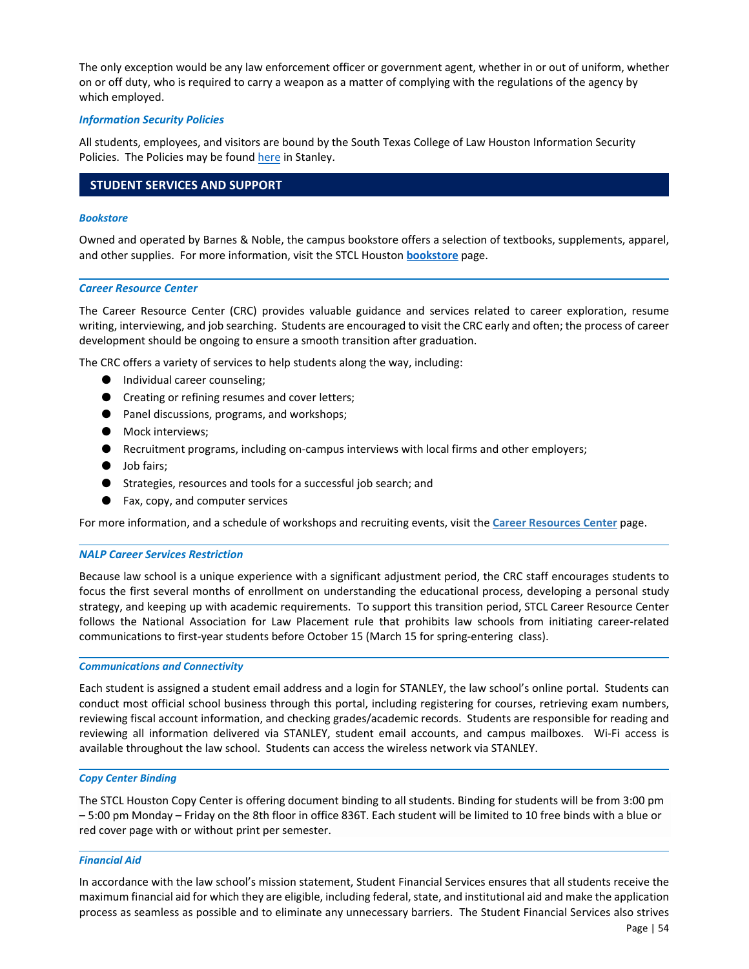<span id="page-55-0"></span>The only exception would be any law enforcement officer or government agent, whether in or out of uniform, whether on or off duty, who is required to carry a weapon as a matter of complying with the regulations of the agency by which employed.

### *Information Security Policies*

All students, employees, and visitors are bound by the South Texas College of Law Houston Information Security Policies. The Policies may be found [here i](http://www.stcl.edu/stanley/technology/pdf/Information_Security_Policies.pdf)n Stanley.

# **STUDENT SERVICES AND SUPPORT**

#### *Bookstore*

Owned and operated by Barnes & Noble, the campus bookstore offers a selection of textbooks, supplements, apparel, and other supplies. For more information, visit the STCL Houston **[bookstore](https://stcl.bncollege.com/)** page.

#### *Career Resource Center*

The Career Resource Center (CRC) provides valuable guidance and services related to career exploration, resume writing, interviewing, and job searching. Students are encouraged to visit the CRC early and often; the process of career development should be ongoing to ensure a smooth transition after graduation.

The CRC offers a variety of services to help students along the way, including:

- Individual career counseling;
- Creating or refining resumes and cover letters;
- Panel discussions, programs, and workshops;
- Mock interviews;
- Recruitment programs, including on-campus interviews with local firms and other employers;
- Job fairs;
- Strategies, resources and tools for a successful job search; and
- Fax, copy, and computer services

For more information, and a schedule of workshops and recruiting events, visit the **[Career Resources Center](https://www.stcl.edu/student-services/career-resources/career-resources-2/)** page.

#### *NALP Career Services Restriction*

Because law school is a unique experience with a significant adjustment period, the CRC staff encourages students to focus the first several months of enrollment on understanding the educational process, developing a personal study strategy, and keeping up with academic requirements. To support this transition period, STCL Career Resource Center follows the National Association for Law Placement rule that prohibits law schools from initiating career-related communications to first-year students before October 15 (March 15 for spring-entering class).

#### *Communications and Connectivity*

Each student is assigned a student email address and a login for STANLEY, the law school's online portal. Students can conduct most official school business through this portal, including registering for courses, retrieving exam numbers, reviewing fiscal account information, and checking grades/academic records. Students are responsible for reading and reviewing all information delivered via STANLEY, student email accounts, and campus mailboxes. Wi-Fi access is available throughout the law school. Students can access the wireless network via STANLEY.

#### *Copy Center Binding*

The STCL Houston Copy Center is offering document binding to all students. Binding for students will be from 3:00 pm – 5:00 pm Monday – Friday on the 8th floor in office 836T. Each student will be limited to 10 free binds with a blue or red cover page with or without print per semester.

### *Financial Aid*

In accordance with the law school's mission statement, Student Financial Services ensures that all students receive the maximum financial aid for which they are eligible, including federal, state, and institutional aid and make the application process as seamless as possible and to eliminate any unnecessary barriers. The Student Financial Services also strives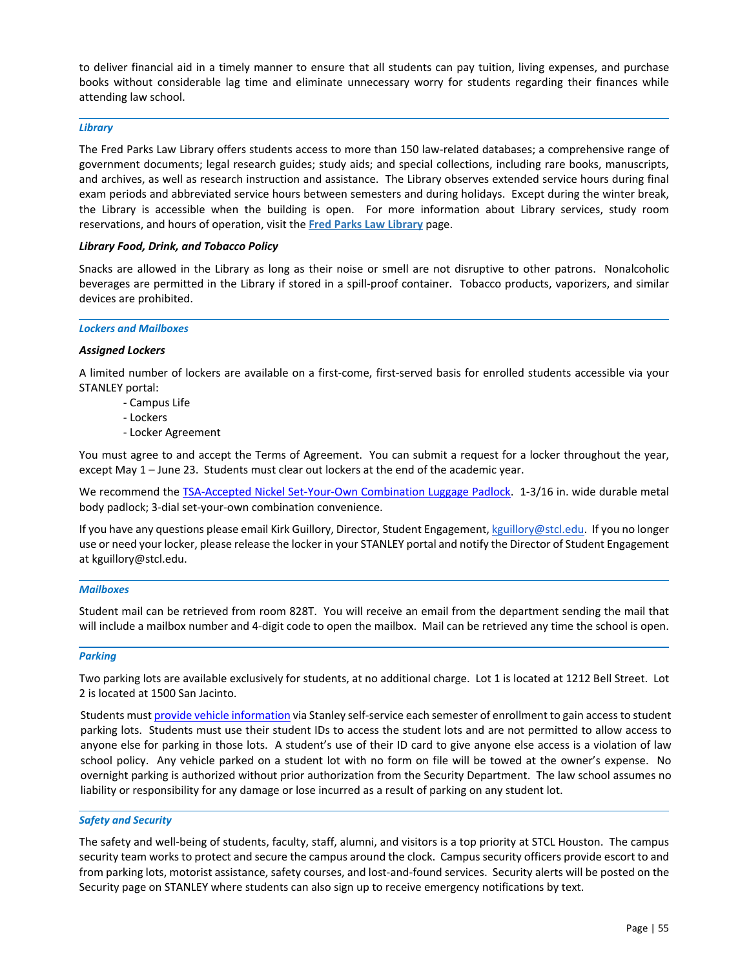<span id="page-56-0"></span>to deliver financial aid in a timely manner to ensure that all students can pay tuition, living expenses, and purchase books without considerable lag time and eliminate unnecessary worry for students regarding their finances while attending law school.

### *Library*

The Fred Parks Law Library offers students access to more than 150 law‐related databases; a comprehensive range of government documents; legal research guides; study aids; and special collections, including rare books, manuscripts, and archives, as well as research instruction and assistance. The Library observes extended service hours during final exam periods and abbreviated service hours between semesters and during holidays. Except during the winter break, the Library is accessible when the building is open. For more information about Library services, study room reservations, and hours of operation, visit the **[Fred Parks Law Library](https://www.stcl.edu/library/)** page.

### *Library Food, Drink, and Tobacco Policy*

Snacks are allowed in the Library as long as their noise or smell are not disruptive to other patrons. Nonalcoholic beverages are permitted in the Library if stored in a spill-proof container. Tobacco products, vaporizers, and similar devices are prohibited.

#### *Lockers and Mailboxes*

### *Assigned Lockers*

A limited number of lockers are available on a first‐come, first‐served basis for enrolled students accessible via your STANLEY portal:

- ‐ Campus Life
- ‐ Lockers
- ‐ Locker Agreement

You must agree to and accept the Terms of Agreement. You can submit a request for a locker throughout the year, except May 1 – June 23. Students must clear out lockers at the end of the academic year.

We recommend the TSA-Accepted Nickel Set-Your-Own Combination Luggage Padlock. 1-3/16 in. wide durable metal body padlock; 3‐dial set‐your‐own combination convenience.

If you have any questions please email Kirk Guillory, Director, Student Engagement[, kguillory@stcl.edu.](mailto:kguillory@stcl.edu)  If you no longer use or need your locker, please release the locker in your STANLEY portal and notify the Director of Student Engagement at kguillory@stcl.edu.

### *Mailboxes*

Student mail can be retrieved from room 828T. You will receive an email from the department sending the mail that will include a mailbox number and 4‐digit code to open the mailbox. Mail can be retrieved any time the school is open.

### *Parking*

Two parking lots are available exclusively for students, at no additional charge. Lot 1 is located at 1212 Bell Street. Lot 2 is located at 1500 San Jacinto.

Students mus[t provide vehicle information v](http://www.stcl.edu/stanley/security/parking/ParkingForm.pdf)ia Stanley self-service each semester of enrollment to gain access to student parking lots. Students must use their student IDs to access the student lots and are not permitted to allow access to anyone else for parking in those lots. A student's use of their ID card to give anyone else access is a violation of law school policy. Any vehicle parked on a student lot with no form on file will be towed at the owner's expense. No overnight parking is authorized without prior authorization from the Security Department. The law school assumes no liability or responsibility for any damage or lose incurred as a result of parking on any student lot.

### *Safety and Security*

The safety and well‐being of students, faculty, staff, alumni, and visitors is a top priority at STCL Houston. The campus security team works to protect and secure the campus around the clock. Campus security officers provide escort to and from parking lots, motorist assistance, safety courses, and lost-and-found services. Security alerts will be posted on the Security page on STANLEY where students can also sign up to receive emergency notifications by text.